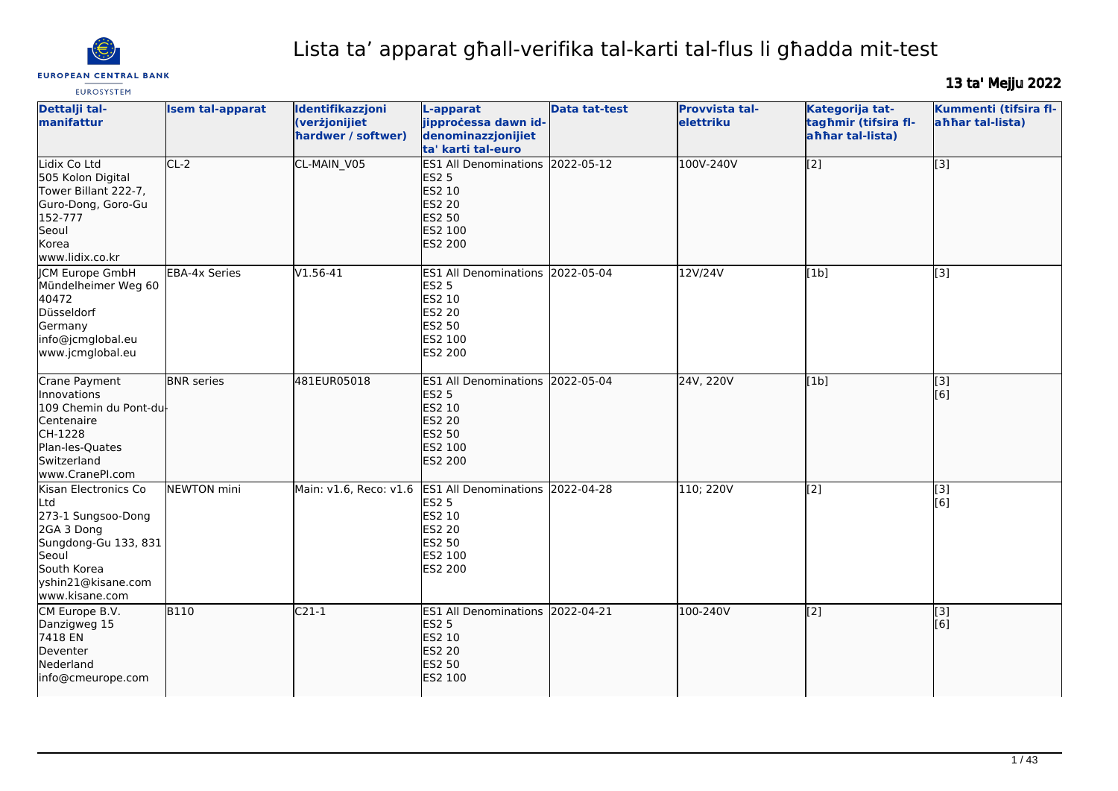

# Lista ta' apparat għall-verifika tal-karti tal-flus li għadda mit-test

# 13 ta' Mejju 2022

| <b>EUROSYSTEM</b>                                                                                                                                       |                         |                                                         |                                                                                                                           |                      |                             |                                                             | ta ng Managara                            |
|---------------------------------------------------------------------------------------------------------------------------------------------------------|-------------------------|---------------------------------------------------------|---------------------------------------------------------------------------------------------------------------------------|----------------------|-----------------------------|-------------------------------------------------------------|-------------------------------------------|
| Dettalji tal-<br>manifattur                                                                                                                             | <b>Isem tal-apparat</b> | Identifikazzjoni<br>(verżjonijiet<br>hardwer / softwer) | L-apparat<br>jipprocessa dawn id-<br>denominazzjonijiet<br>ta' karti tal-euro                                             | <b>Data tat-test</b> | Provvista tal-<br>elettriku | Kategorija tat-<br>tagħmir (tifsira fl-<br>ahhar tal-lista) | Kummenti (tifsira fl-<br>ahhar tal-lista) |
| Lidix Co Ltd<br>505 Kolon Digital<br>Tower Billant 222-7,<br>Guro-Dong, Goro-Gu<br>152-777<br>Seoul<br>Korea<br>www.lidix.co.kr                         | $CL-2$                  | CL-MAIN_V05                                             | ES1 All Denominations 2022-05-12<br><b>ES2 5</b><br>ES2 10<br><b>ES2 20</b><br><b>ES2 50</b><br>ES2 100<br><b>ES2 200</b> |                      | 100V-240V                   | $\overline{[2]}$                                            | $\overline{[}3]$                          |
| <b>JCM Europe GmbH</b><br>Mündelheimer Weg 60<br>40472<br>Düsseldorf<br>Germany<br>info@jcmglobal.eu<br>www.jcmglobal.eu                                | <b>EBA-4x Series</b>    | $V1.56 - 41$                                            | ES1 All Denominations 2022-05-04<br><b>ES2 5</b><br>ES2 10<br>ES2 20<br>ES2 50<br>ES2 100<br>ES2 200                      |                      | 12V/24V                     | [1b]                                                        | [3]                                       |
| Crane Payment<br>lInnovations<br>109 Chemin du Pont-du<br>Centenaire<br>CH-1228<br>Plan-les-Quates<br>Switzerland<br>www.CranePI.com                    | <b>BNR</b> series       | 481EUR05018                                             | <b>ES1 All Denominations</b><br><b>ES2 5</b><br>ES2 10<br><b>ES2 20</b><br><b>ES2 50</b><br>ES2 100<br><b>ES2 200</b>     | 2022-05-04           | 24V, 220V                   | [1b]                                                        | $\overline{[3]}$<br>[[6]                  |
| Kisan Electronics Co<br>Ltd<br>273-1 Sungsoo-Dong<br>2GA 3 Dong<br>Sungdong-Gu 133, 831<br>Seoul<br>South Korea<br>yshin21@kisane.com<br>www.kisane.com | <b>NEWTON</b> mini      | Main: v1.6, Reco: v1.6                                  | ES1 All Denominations 2022-04-28<br><b>ES2 5</b><br>ES2 10<br><b>ES2 20</b><br>ES2 50<br>ES2 100<br>ES2 200               |                      | 110; 220V                   | $\overline{[2]}$                                            | $\overline{[3]}$<br>[6]                   |
| CM Europe B.V.<br>Danzigweg 15<br>7418 EN<br>Deventer<br>Nederland<br>info@cmeurope.com                                                                 | <b>B110</b>             | $C21-1$                                                 | ES1 All Denominations 2022-04-21<br><b>ES2 5</b><br>ES2 10<br><b>ES2 20</b><br><b>ES2 50</b><br>ES2 100                   |                      | 100-240V                    | $\overline{[2]}$                                            | $\overline{[3]}$<br>[6]                   |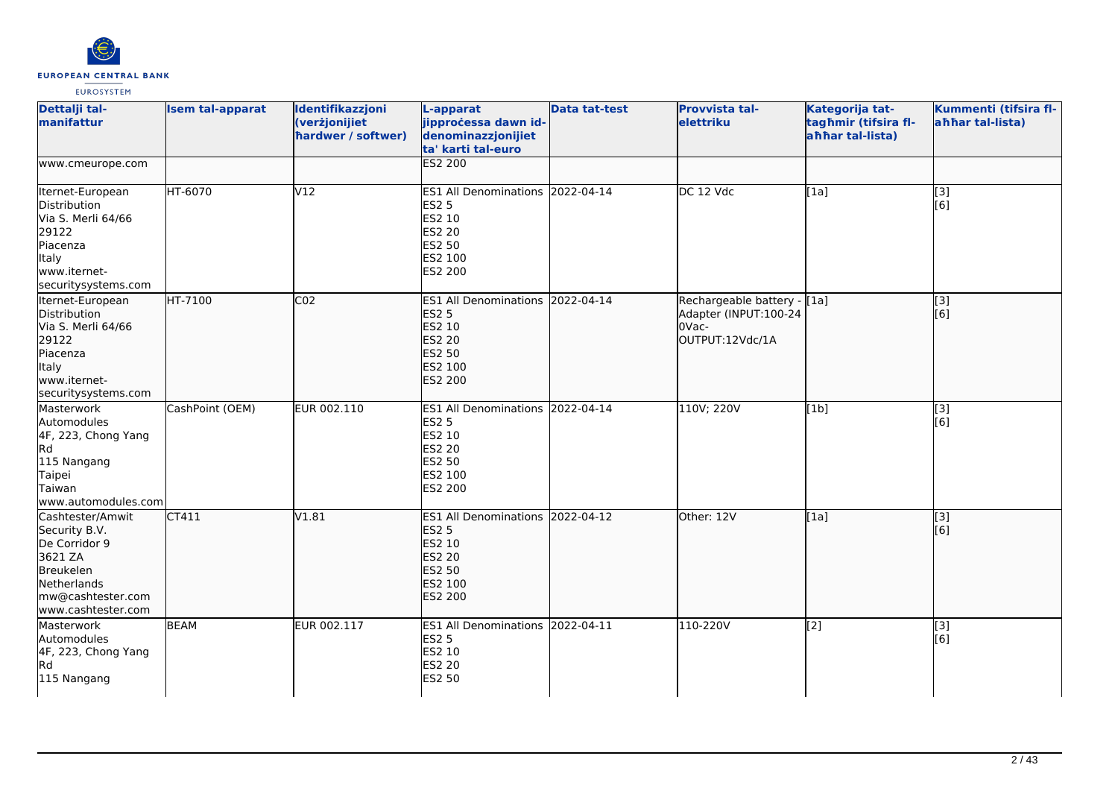

| Dettalji tal-<br>manifattur                                                                                                          | <b>Isem tal-apparat</b> | Identifikazzjoni<br>(verżjonijiet<br>hardwer / softwer) | L-apparat<br>jipprocessa dawn id-<br>denominazzjonijiet<br>ta' karti tal-euro                                             | <b>Data tat-test</b> | <b>Provvista tal-</b><br>elettriku                                                | Kategorija tat-<br>tagħmir (tifsira fl-<br>ahhar tal-lista) | Kummenti (tifsira fl-<br>ahhar tal-lista) |
|--------------------------------------------------------------------------------------------------------------------------------------|-------------------------|---------------------------------------------------------|---------------------------------------------------------------------------------------------------------------------------|----------------------|-----------------------------------------------------------------------------------|-------------------------------------------------------------|-------------------------------------------|
| www.cmeurope.com                                                                                                                     |                         |                                                         | <b>ES2 200</b>                                                                                                            |                      |                                                                                   |                                                             |                                           |
| Iternet-European<br>Distribution<br>Via S. Merli 64/66<br>29122<br>Piacenza<br><b>Italy</b><br>www.iternet-<br>securitysystems.com   | HT-6070                 | V12                                                     | ES1 All Denominations 2022-04-14<br><b>ES2 5</b><br>ES2 10<br><b>ES2 20</b><br>ES2 50<br>ES2 100<br>ES2 200               |                      | DC 12 Vdc                                                                         | [1a]                                                        | $\overline{[3]}$<br>[6]                   |
| Iternet-European<br>Distribution<br>Via S. Merli 64/66<br>29122<br>Piacenza<br>Italy<br>www.iternet-<br>securitysystems.com          | HT-7100                 | CO <sub>2</sub>                                         | ES1 All Denominations 2022-04-14<br><b>ES2 5</b><br>ES2 10<br><b>ES2 20</b><br><b>ES2 50</b><br>ES2 100<br><b>ES2 200</b> |                      | Rechargeable battery - [[1a]<br>Adapter (INPUT:100-24<br>OVac-<br>OUTPUT:12Vdc/1A |                                                             | $\overline{[3]}$<br>[6]                   |
| Masterwork<br>Automodules<br>4F, 223, Chong Yang<br>Rd<br>115 Nangang<br>Taipei<br>Taiwan<br>www.automodules.com                     | CashPoint (OEM)         | EUR 002.110                                             | ES1 All Denominations 2022-04-14<br><b>ES2 5</b><br>ES2 10<br>ES2 20<br>ES2 50<br>ES2 100<br>ES2 200                      |                      | 110V; 220V                                                                        | [1b]                                                        | $[3]$<br>[6]                              |
| Cashtester/Amwit<br>Security B.V.<br>De Corridor 9<br>3621 ZA<br>Breukelen<br>Netherlands<br>mw@cashtester.com<br>www.cashtester.com | CT411                   | V1.81                                                   | ES1 All Denominations 2022-04-12<br><b>ES2 5</b><br>ES2 10<br><b>ES2 20</b><br><b>ES2 50</b><br>ES2 100<br>ES2 200        |                      | Other: 12V                                                                        | [1a]                                                        | [3]<br>[6]                                |
| Masterwork<br>Automodules<br>4F, 223, Chong Yang<br>R <sub>d</sub><br>115 Nangang                                                    | <b>BEAM</b>             | EUR 002.117                                             | ES1 All Denominations 2022-04-11<br><b>ES2 5</b><br>ES2 10<br>ES2 20<br><b>ES2 50</b>                                     |                      | 110-220V                                                                          | [2]                                                         | $\overline{[3]}$<br>[6]                   |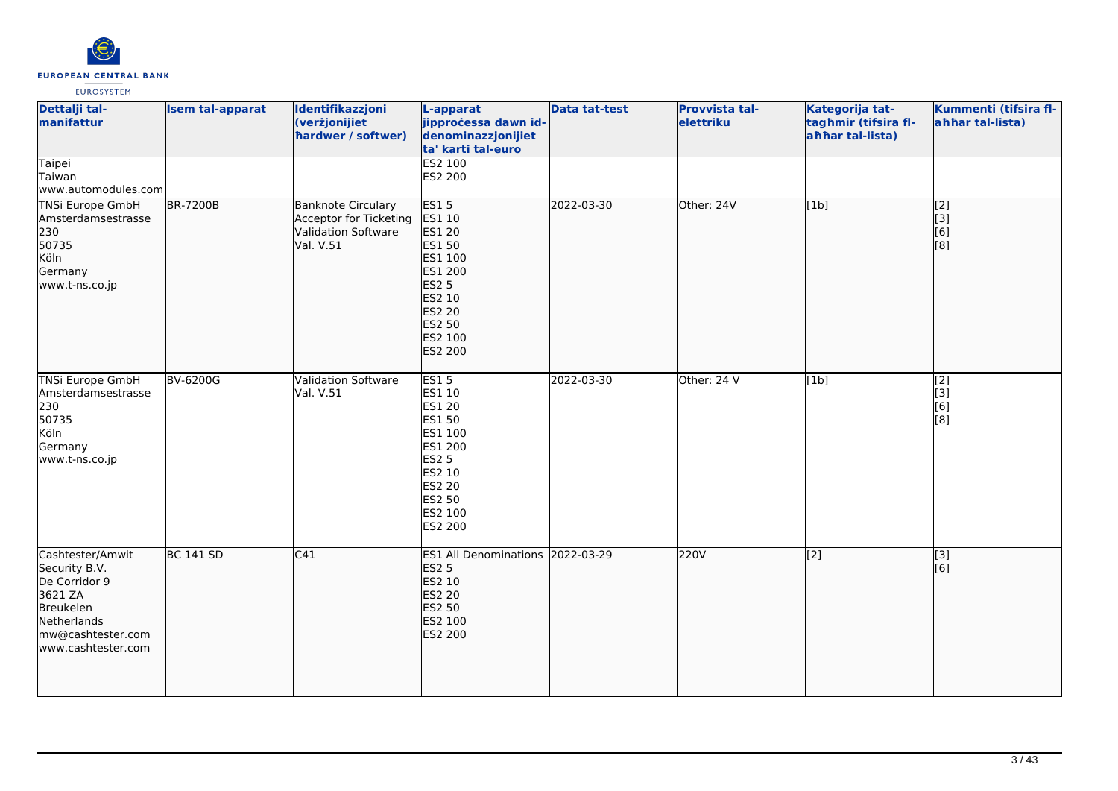

| Dettalji tal-<br>manifattur<br>Taipei                                                                                                | <b>Isem tal-apparat</b> | Identifikazzjoni<br>(verżjonijiet<br>hardwer / softwer)                                 | L-apparat<br>jipprocessa dawn id-<br>denominazzjonijiet<br>ta' karti tal-euro<br>ES2 100                                                                 | <b>Data tat-test</b> | Provvista tal-<br>elettriku | Kategorija tat-<br>tagħmir (tifsira fl-<br>ahhar tal-lista) | Kummenti (tifsira fl-<br>ahhar tal-lista) |
|--------------------------------------------------------------------------------------------------------------------------------------|-------------------------|-----------------------------------------------------------------------------------------|----------------------------------------------------------------------------------------------------------------------------------------------------------|----------------------|-----------------------------|-------------------------------------------------------------|-------------------------------------------|
| Taiwan<br>www.automodules.com                                                                                                        |                         |                                                                                         | ES2 200                                                                                                                                                  |                      |                             |                                                             |                                           |
| <b>TNSi Europe GmbH</b><br>Amsterdamsestrasse<br>230<br>50735<br>Köln<br>Germany<br>www.t-ns.co.jp                                   | <b>BR-7200B</b>         | <b>Banknote Circulary</b><br>Acceptor for Ticketing<br>Validation Software<br>Val. V.51 | <b>ES15</b><br>ES1 10<br><b>ES1 20</b><br><b>ES1 50</b><br>ES1 100<br>ES1 200<br><b>ES2 5</b><br>ES2 10<br><b>ES2 20</b><br>ES2 50<br>ES2 100<br>ES2 200 | 2022-03-30           | Other: 24V                  | [1b]                                                        | $\overline{[2]}$<br>[3]<br>[6]<br>[8]     |
| <b>TNSi Europe GmbH</b><br>Amsterdamsestrasse<br>230<br>50735<br>Köln<br>Germany<br>www.t-ns.co.jp                                   | <b>BV-6200G</b>         | Validation Software<br>Val. V.51                                                        | <b>ES15</b><br>ES1 10<br>ES1 20<br>ES1 50<br>ES1 100<br>ES1 200<br><b>ES2 5</b><br>ES2 10<br>ES2 20<br>ES2 50<br>ES2 100<br>ES2 200                      | 2022-03-30           | Other: 24 V                 | [1b]                                                        | $\overline{[2]}$<br>[3]<br>[6]<br>[8]     |
| Cashtester/Amwit<br>Security B.V.<br>De Corridor 9<br>3621 ZA<br>Breukelen<br>Netherlands<br>mw@cashtester.com<br>www.cashtester.com | <b>BC 141 SD</b>        | C41                                                                                     | ES1 All Denominations 2022-03-29<br><b>ES2 5</b><br>ES2 10<br>ES2 20<br>ES2 50<br>ES2 100<br><b>ES2 200</b>                                              |                      | 220V                        | $\overline{[2]}$                                            | $\overline{[3]}$<br>[6]                   |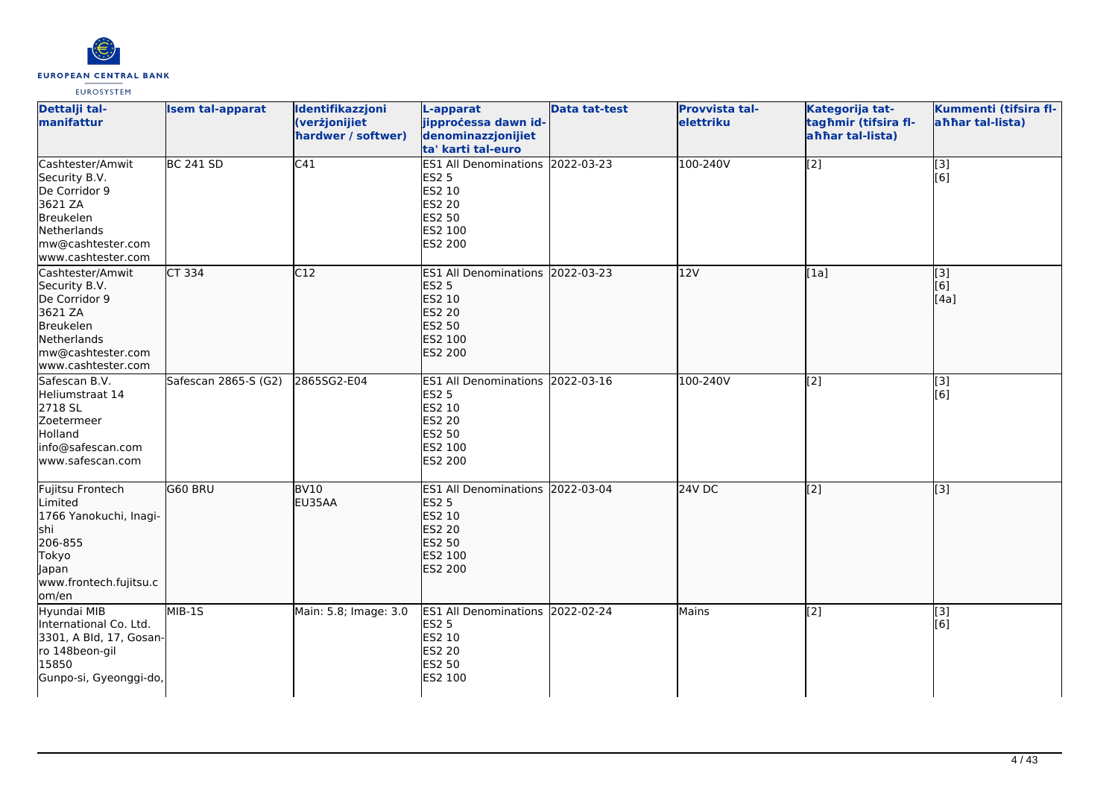

| Dettalji tal-<br>manifattur                                                                                                          | <b>Isem tal-apparat</b> | Identifikazzjoni<br>(verżjonijiet<br>hardwer / softwer) | L-apparat<br>jipprocessa dawn id-<br>denominazzjonijiet<br>ta' karti tal-euro                                         | <b>Data tat-test</b> | Provvista tal-<br>elettriku | Kategorija tat-<br>tagħmir (tifsira fl-<br>ahhar tal-lista) | Kummenti (tifsira fl-<br>ahhar tal-lista) |
|--------------------------------------------------------------------------------------------------------------------------------------|-------------------------|---------------------------------------------------------|-----------------------------------------------------------------------------------------------------------------------|----------------------|-----------------------------|-------------------------------------------------------------|-------------------------------------------|
| Cashtester/Amwit<br>Security B.V.<br>De Corridor 9<br>3621 ZA<br>Breukelen<br>Netherlands<br>mw@cashtester.com<br>www.cashtester.com | <b>BC 241 SD</b>        | C41                                                     | ES1 All Denominations 2022-03-23<br><b>ES2 5</b><br>ES2 10<br>ES2 20<br>ES2 50<br>ES2 100<br>ES2 200                  |                      | 100-240V                    | $\overline{[2]}$                                            | $\overline{[}3]$<br>[6]                   |
| Cashtester/Amwit<br>Security B.V.<br>De Corridor 9<br>3621 ZA<br>Breukelen<br>Netherlands<br>mw@cashtester.com<br>www.cashtester.com | $CT$ 334                | C12                                                     | <b>ES1 All Denominations</b><br><b>ES2 5</b><br>ES2 10<br><b>ES2 20</b><br><b>ES2 50</b><br>ES2 100<br><b>ES2 200</b> | 2022-03-23           | 12V                         | [1a]                                                        | [3]<br>[6]<br>[4a]                        |
| Safescan B.V.<br>Heliumstraat 14<br>2718 SL<br>Zoetermeer<br>Holland<br>info@safescan.com<br>www.safescan.com                        | Safescan 2865-S (G2)    | 2865SG2-E04                                             | <b>ES1 All Denominations</b><br><b>ES2 5</b><br>ES2 10<br>ES2 20<br>ES2 50<br>ES2 100<br>ES2 200                      | 2022-03-16           | 100-240V                    | $\overline{[2]}$                                            | $\overline{[3]}$<br>[6]                   |
| Fujitsu Frontech<br>Limited<br>1766 Yanokuchi, Inagi-<br>shi<br>206-855<br>Tokyo<br>Japan<br>www.frontech.fujitsu.c<br>lom/en        | G60 BRU                 | BV10<br>EU35AA                                          | <b>ES1 All Denominations</b><br><b>ES2 5</b><br>ES2 10<br><b>ES2 20</b><br><b>ES2 50</b><br>ES2 100<br>ES2 200        | 2022-03-04           | $24V$ DC                    | $\overline{[2]}$                                            | $\overline{[3]}$                          |
| Hyundai MIB<br>International Co. Ltd.<br>3301, A Bld, 17, Gosan-<br>ro 148beon-gil<br>15850<br>Gunpo-si, Gyeonggi-do,                | $MIB-15$                | Main: 5.8; Image: 3.0                                   | <b>ES1 All Denominations</b><br><b>ES2 5</b><br>ES2 10<br>ES2 20<br>ES2 50<br>ES2 100                                 | 2022-02-24           | Mains                       | [2]                                                         | $\overline{[3]}$<br>[6]                   |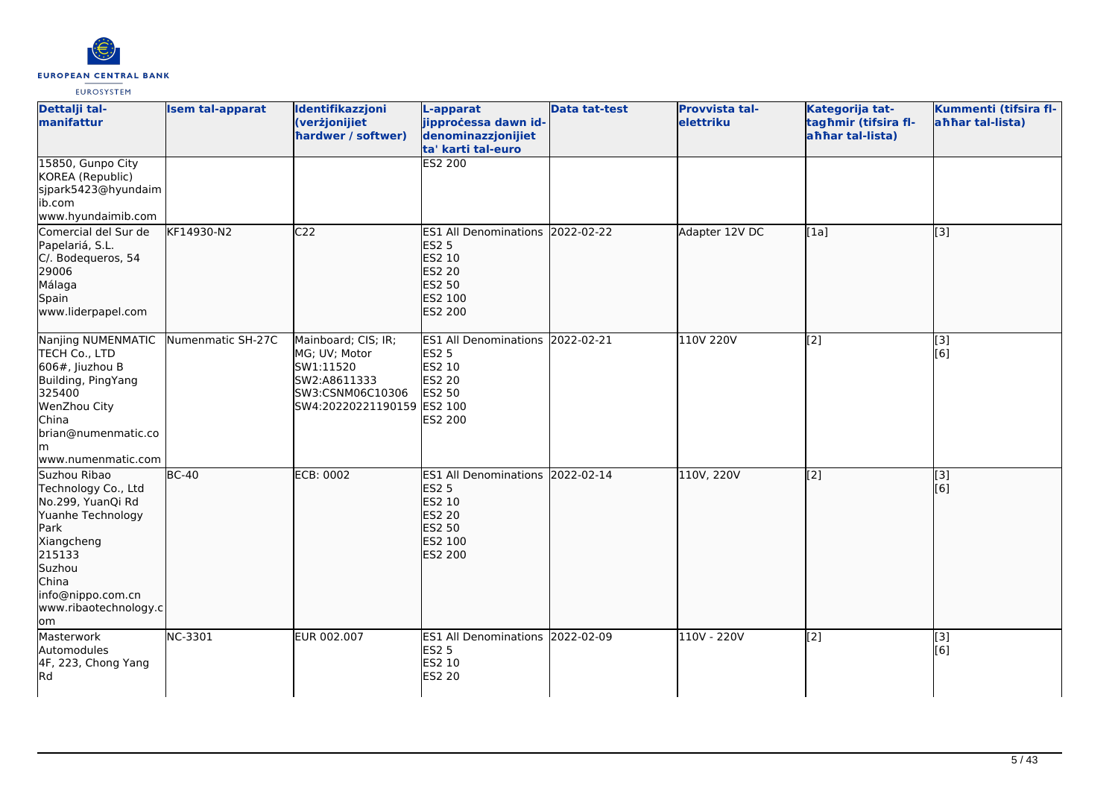

| Dettalji tal-<br>manifattur                                                                                                                                                           | <b>Isem tal-apparat</b> | Identifikazzjoni<br>(verżjonijiet<br>hardwer / softwer)                                                             | L-apparat<br>jipprocessa dawn id-<br>denominazzjonijiet<br>ta' karti tal-euro                                                | <b>Data tat-test</b> | <b>Provvista tal-</b><br>elettriku | Kategorija tat-<br>tagħmir (tifsira fl-<br>ahhar tal-lista) | Kummenti (tifsira fl-<br>ahhar tal-lista) |
|---------------------------------------------------------------------------------------------------------------------------------------------------------------------------------------|-------------------------|---------------------------------------------------------------------------------------------------------------------|------------------------------------------------------------------------------------------------------------------------------|----------------------|------------------------------------|-------------------------------------------------------------|-------------------------------------------|
| 15850, Gunpo City<br>KOREA (Republic)<br>sjpark5423@hyundaim<br>ib.com<br>www.hyundaimib.com                                                                                          |                         |                                                                                                                     | <b>ES2 200</b>                                                                                                               |                      |                                    |                                                             |                                           |
| Comercial del Sur de<br>Papelariá, S.L.<br>C/. Bodequeros, 54<br>29006<br>Málaga<br>Spain<br>www.liderpapel.com                                                                       | KF14930-N2              | C <sub>22</sub>                                                                                                     | <b>ES1 All Denominations</b><br><b>ES2 5</b><br><b>ES2 10</b><br><b>ES2 20</b><br><b>ES2 50</b><br>ES2 100<br><b>ES2 200</b> | 2022-02-22           | Adapter 12V DC                     | [1a]                                                        | [[3]                                      |
| Nanjing NUMENMATIC<br>TECH Co., LTD<br>606#, Jiuzhou B<br>Building, PingYang<br>325400<br>WenZhou City<br>China<br>brian@numenmatic.co<br>lm.<br>www.numenmatic.com                   | Numenmatic SH-27C       | Mainboard; CIS; IR;<br>MG; UV; Motor<br>SW1:11520<br>SW2:A8611333<br>SW3:CSNM06C10306<br>SW4:20220221190159 ES2 100 | ES1 All Denominations 2022-02-21<br><b>ES2 5</b><br>ES2 10<br><b>ES2 20</b><br><b>ES2 50</b><br><b>ES2 200</b>               |                      | 110V 220V                          | [2]                                                         | $\overline{[3]}$<br>[6]                   |
| Suzhou Ribao<br>Technology Co., Ltd<br>No.299, YuanQi Rd<br>Yuanhe Technology<br>Park<br>Xiangcheng<br>215133<br>Suzhou<br>China<br>info@nippo.com.cn<br>www.ribaotechnology.c<br>om/ | $BC-40$                 | <b>ECB: 0002</b>                                                                                                    | ES1 All Denominations 2022-02-14<br><b>ES2 5</b><br>ES2 10<br><b>ES2 20</b><br><b>ES2 50</b><br>ES2 100<br><b>ES2 200</b>    |                      | 110V, 220V                         | $\overline{[2]}$                                            | $\overline{[}3]$<br>[[6]                  |
| Masterwork<br>Automodules<br>4F, 223, Chong Yang<br>Rd                                                                                                                                | NC-3301                 | EUR 002.007                                                                                                         | ES1 All Denominations 2022-02-09<br><b>ES2 5</b><br><b>ES2 10</b><br><b>ES2 20</b>                                           |                      | 110V - 220V                        | [2]                                                         | [3]<br>[6]                                |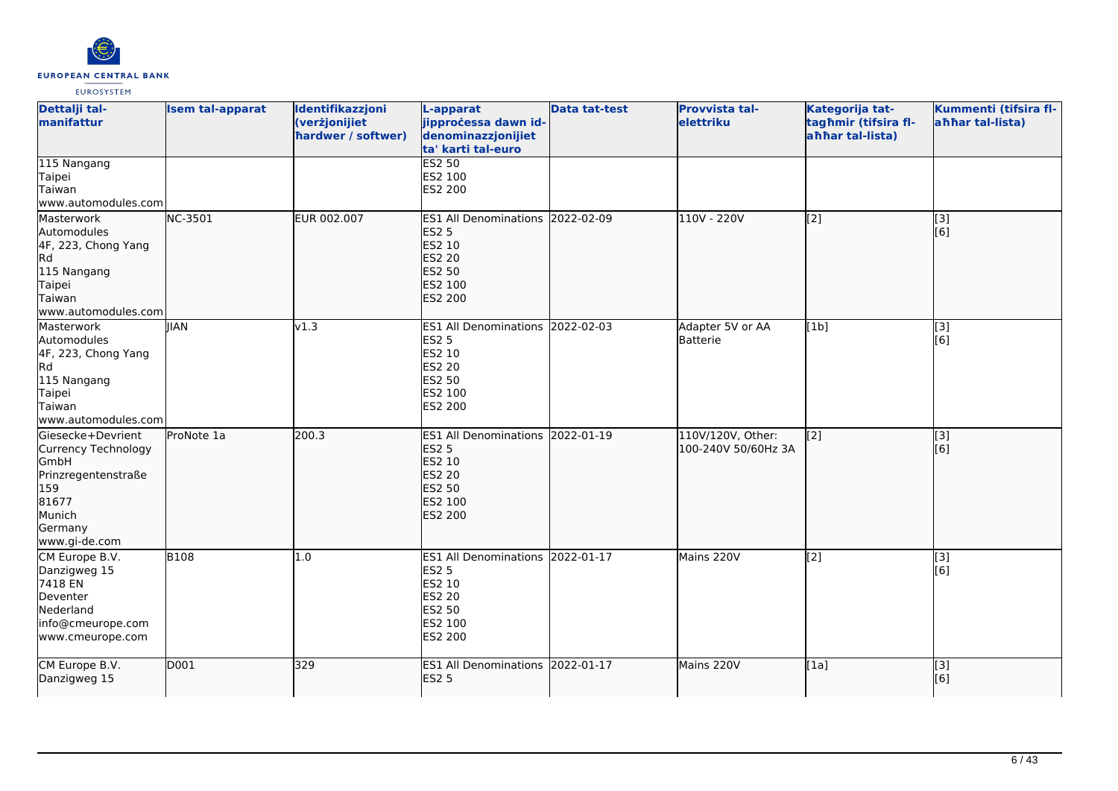

| Dettalji tal-<br>manifattur                                                                                                   | <b>Isem tal-apparat</b> | Identifikazzjoni<br>(verżjonijiet<br>hardwer / softwer) | L-apparat<br>jipprocessa dawn id-<br>denominazzjonijiet<br>ta' karti tal-euro                                                    | <b>Data tat-test</b> | <b>Provvista tal-</b><br>elettriku       | Kategorija tat-<br>tagħmir (tifsira fl-<br>ahhar tal-lista) | Kummenti (tifsira fl-<br>ahhar tal-lista) |
|-------------------------------------------------------------------------------------------------------------------------------|-------------------------|---------------------------------------------------------|----------------------------------------------------------------------------------------------------------------------------------|----------------------|------------------------------------------|-------------------------------------------------------------|-------------------------------------------|
| 115 Nangang<br>Taipei<br>Taiwan<br>www.automodules.com                                                                        |                         |                                                         | <b>ES2 50</b><br>ES2 100<br>ES2 200                                                                                              |                      |                                          |                                                             |                                           |
| Masterwork<br>Automodules<br>4F, 223, Chong Yang<br>Rd<br>115 Nangang<br>Taipei<br>Taiwan<br>www.automodules.com              | NC-3501                 | EUR 002.007                                             | ES1 All Denominations 2022-02-09<br><b>ES2 5</b><br><b>ES2 10</b><br><b>ES2 20</b><br><b>ES2 50</b><br>ES2 100<br><b>ES2 200</b> |                      | 110V - 220V                              | [2]                                                         | [3]<br>[[6]                               |
| Masterwork<br>Automodules<br>4F, 223, Chong Yang<br>Rd<br>115 Nangang<br>Taipei<br>Taiwan<br>www.automodules.com              | <b>IIAN</b>             | v1.3                                                    | ES1 All Denominations 2022-02-03<br><b>ES2 5</b><br><b>ES2 10</b><br><b>ES2 20</b><br><b>ES2 50</b><br>ES2 100<br>ES2 200        |                      | Adapter 5V or AA<br>Batterie             | [1b]                                                        | [3]<br>[6]                                |
| Giesecke+Devrient<br>Currency Technology<br>GmbH<br>Prinzregentenstraße<br>159<br>81677<br>Munich<br>Germany<br>www.gi-de.com | ProNote 1a              | 200.3                                                   | <b>ES1 All Denominations</b><br><b>ES2 5</b><br>ES2 10<br><b>ES2 20</b><br><b>ES2 50</b><br>ES2 100<br><b>ES2 200</b>            | 2022-01-19           | 110V/120V, Other:<br>100-240V 50/60Hz 3A | $\overline{[2]}$                                            | $\overline{[}3]$<br>[6]                   |
| CM Europe B.V.<br>Danzigweg 15<br>7418 EN<br>Deventer<br>Nederland<br>info@cmeurope.com<br>www.cmeurope.com                   | <b>B108</b>             | 1.0                                                     | ES1 All Denominations 2022-01-17<br><b>ES2 5</b><br>ES2 10<br><b>ES2 20</b><br><b>ES2 50</b><br>ES2 100<br>ES2 200               |                      | Mains 220V                               | [2]                                                         | [3]<br>[6]                                |
| CM Europe B.V.<br>Danzigweg 15                                                                                                | D001                    | 329                                                     | ES1 All Denominations 2022-01-17<br><b>ES2 5</b>                                                                                 |                      | Mains 220V                               | [1a]                                                        | $\overline{[}$ [3]<br>[[6]                |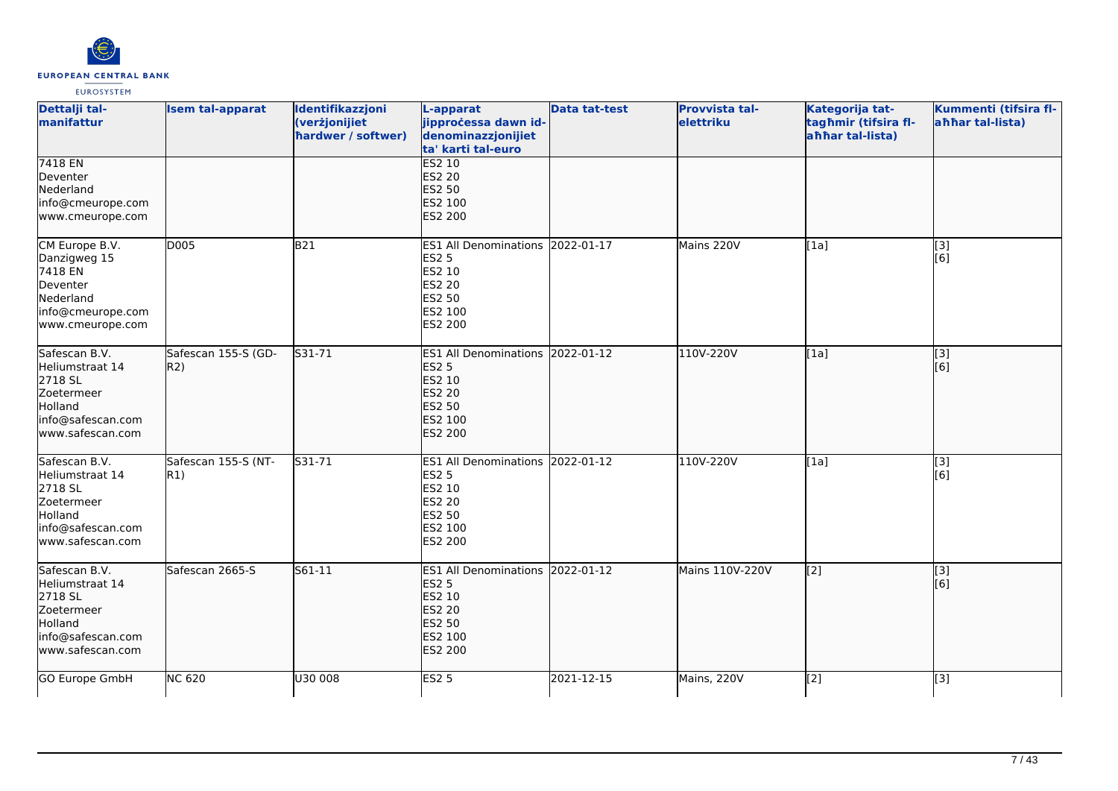

| Dettalji tal-<br>manifattur                                                                                   | <b>Isem tal-apparat</b>    | Identifikazzjoni<br>(verżjonijiet<br>hardwer / softwer) | L-apparat<br>jipprocessa dawn id-<br>denominazzjonijiet<br>ta' karti tal-euro                                             | <b>Data tat-test</b> | <b>Provvista tal-</b><br>elettriku | Kategorija tat-<br>tagħmir (tifsira fl-<br>ahhar tal-lista) | Kummenti (tifsira fl-<br>ahhar tal-lista) |
|---------------------------------------------------------------------------------------------------------------|----------------------------|---------------------------------------------------------|---------------------------------------------------------------------------------------------------------------------------|----------------------|------------------------------------|-------------------------------------------------------------|-------------------------------------------|
| 7418 EN<br>Deventer<br>Nederland<br>info@cmeurope.com<br>www.cmeurope.com                                     |                            |                                                         | <b>ES2 10</b><br><b>ES2 20</b><br><b>ES2 50</b><br>ES2 100<br>ES2 200                                                     |                      |                                    |                                                             |                                           |
| CM Europe B.V.<br>Danzigweg 15<br>7418 EN<br>Deventer<br>Nederland<br>info@cmeurope.com<br>www.cmeurope.com   | D005                       | <b>B21</b>                                              | ES1 All Denominations 2022-01-17<br><b>ES2 5</b><br>ES2 10<br><b>ES2 20</b><br><b>ES2 50</b><br>ES2 100<br>ES2 200        |                      | Mains 220V                         | [1a]                                                        | [3]<br>[6]                                |
| Safescan B.V.<br>Heliumstraat 14<br>2718 SL<br>Zoetermeer<br>Holland<br>info@safescan.com<br>www.safescan.com | Safescan 155-S (GD-<br>R2) | S31-71                                                  | ES1 All Denominations 2022-01-12<br><b>ES2 5</b><br>ES2 10<br><b>ES2 20</b><br><b>ES2 50</b><br>ES2 100<br>ES2 200        |                      | 110V-220V                          | [1a]                                                        | [3]<br>[6]                                |
| Safescan B.V.<br>Heliumstraat 14<br>2718 SL<br>Zoetermeer<br>Holland<br>info@safescan.com<br>www.safescan.com | Safescan 155-S (NT-<br>R1) | S31-71                                                  | ES1 All Denominations 2022-01-12<br><b>ES2 5</b><br>ES2 10<br><b>ES2 20</b><br>ES2 50<br>ES2 100<br>ES2 200               |                      | 110V-220V                          | [1a]                                                        | [3]<br>[6]                                |
| Safescan B.V.<br>Heliumstraat 14<br>2718 SL<br>Zoetermeer<br>Holland<br>info@safescan.com<br>www.safescan.com | Safescan 2665-S            | $561 - 11$                                              | ES1 All Denominations 2022-01-12<br><b>ES2 5</b><br><b>ES2 10</b><br><b>ES2 20</b><br><b>ES2 50</b><br>ES2 100<br>ES2 200 |                      | Mains 110V-220V                    | $\overline{[2]}$                                            | $\overline{[}$ [3]<br>[6]                 |
| GO Europe GmbH                                                                                                | <b>NC 620</b>              | U30 008                                                 | <b>ES2 5</b>                                                                                                              | 2021-12-15           | Mains, 220V                        | [2]                                                         | [3]                                       |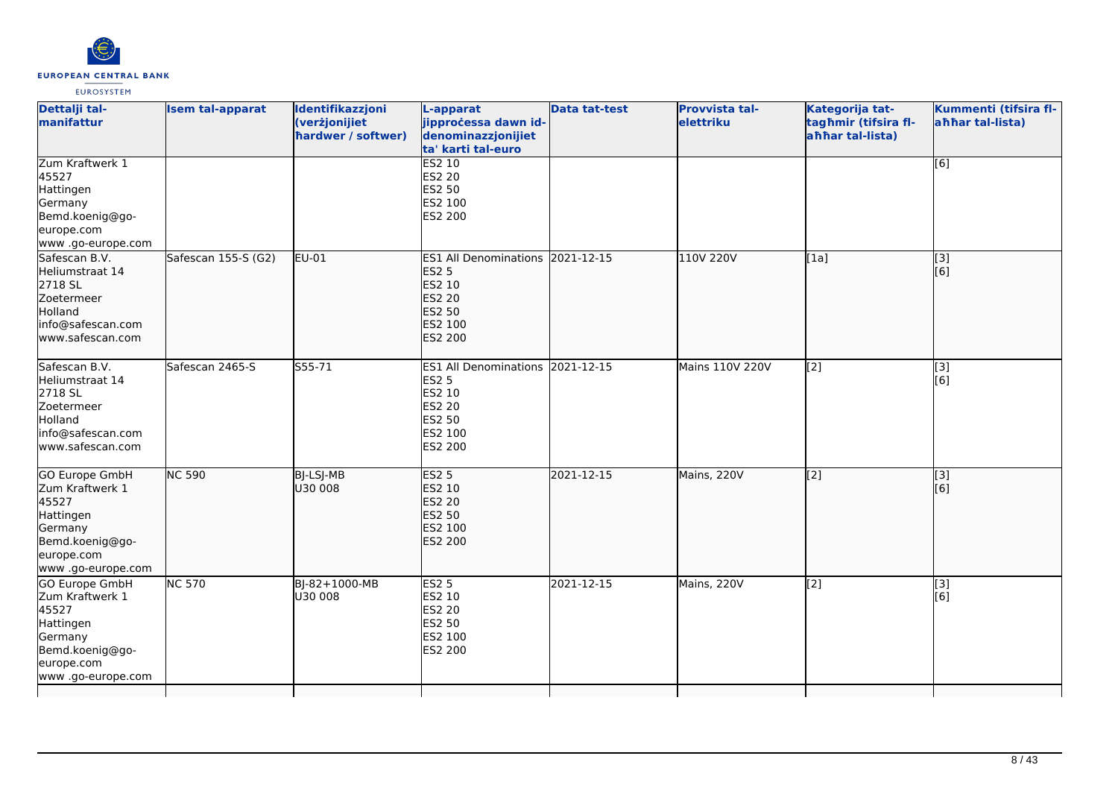

| Dettalji tal-<br>manifattur                                                                                               | <b>Isem tal-apparat</b>     | Identifikazzjoni<br>(verżjonijiet<br>hardwer / softwer) | L-apparat<br>jipprocessa dawn id-<br>denominazzjonijiet<br>ta' karti tal-euro                                             | <b>Data tat-test</b> | <b>Provvista tal-</b><br>elettriku | Kategorija tat-<br>tagħmir (tifsira fl-<br>ahhar tal-lista) | Kummenti (tifsira fl-<br>ahhar tal-lista) |
|---------------------------------------------------------------------------------------------------------------------------|-----------------------------|---------------------------------------------------------|---------------------------------------------------------------------------------------------------------------------------|----------------------|------------------------------------|-------------------------------------------------------------|-------------------------------------------|
| Zum Kraftwerk 1<br>45527<br>Hattingen<br>Germany<br>Bemd.koenig@go-<br>europe.com<br>www.go-europe.com                    |                             |                                                         | <b>ES2 10</b><br><b>ES2 20</b><br><b>ES2 50</b><br>ES2 100<br>ES2 200                                                     |                      |                                    |                                                             | [6]                                       |
| Safescan B.V.<br>Heliumstraat 14<br>2718 SL<br>Zoetermeer<br>Holland<br>info@safescan.com<br>www.safescan.com             | Safescan 155-S (G2)         | EU-01                                                   | ES1 All Denominations 2021-12-15<br><b>ES2 5</b><br>ES2 10<br><b>ES2 20</b><br><b>ES2 50</b><br>ES2 100<br><b>ES2 200</b> |                      | 110V 220V                          | [1a]                                                        | [3]<br>[6]                                |
| Safescan B.V.<br>Heliumstraat 14<br>2718 SL<br>Zoetermeer<br>Holland<br>info@safescan.com<br>www.safescan.com             | Safescan 2465-S             | S55-71                                                  | ES1 All Denominations 2021-12-15<br><b>ES2 5</b><br><b>ES2 10</b><br><b>ES2 20</b><br><b>ES2 50</b><br>ES2 100<br>ES2 200 |                      | Mains 110V 220V                    | $\left[2\right]$                                            | [3]<br>[6]                                |
| GO Europe GmbH<br>Zum Kraftwerk 1<br>45527<br>Hattingen<br>Germany<br>Bemd.koenig@go-<br>europe.com<br>www .go-europe.com | <b>NC 590</b>               | <b>BJ-LSJ-MB</b><br>U30 008                             | <b>ES2 5</b><br><b>ES2 10</b><br><b>ES2 20</b><br><b>ES2 50</b><br>ES2 100<br><b>ES2 200</b>                              | 2021-12-15           | Mains, 220V                        | $\overline{[2]}$                                            | $\overline{[}3]$<br>[6]                   |
| GO Europe GmbH<br>Zum Kraftwerk 1<br>45527<br>Hattingen<br>Germany<br>Bemd.koenig@go-<br>europe.com<br>www .go-europe.com | $\overline{\text{NC } 570}$ | BJ-82+1000-MB<br>lu30 008                               | <b>ES2 5</b><br>ES2 10<br><b>ES2 20</b><br><b>ES2 50</b><br>ES2 100<br>ES2 200                                            | 2021-12-15           | Mains, 220V                        | [2]                                                         | [3]<br>[6]                                |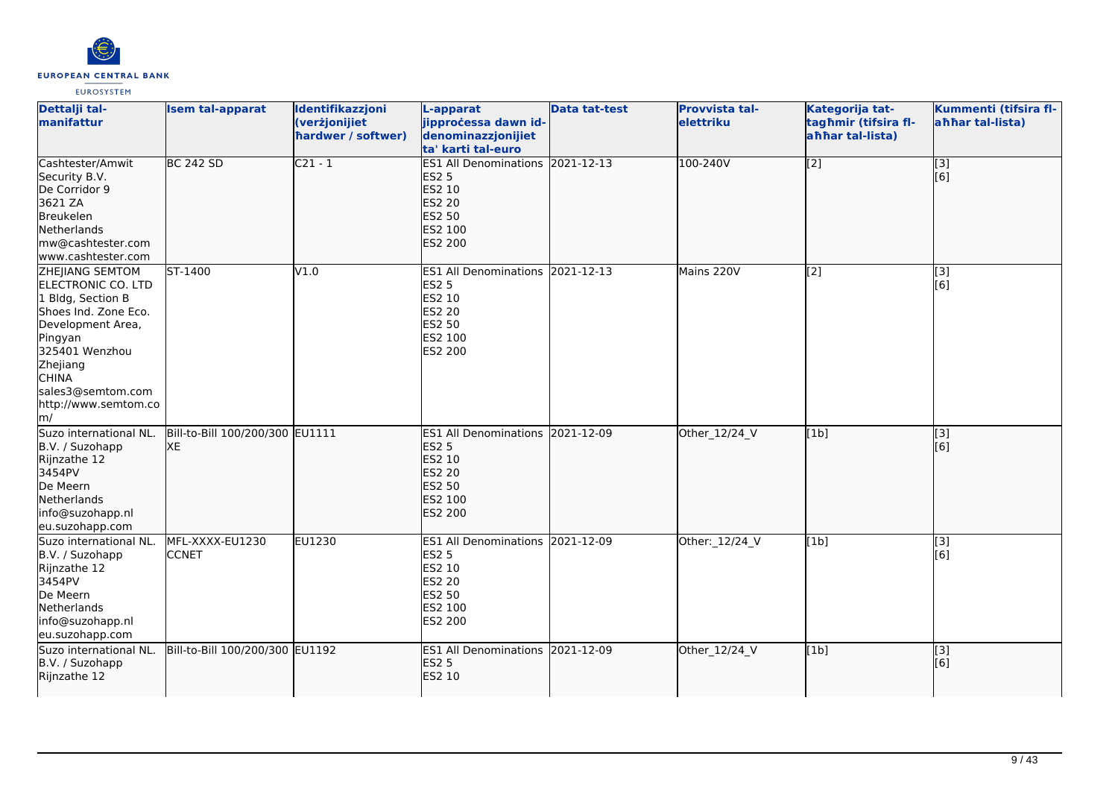

| Dettalji tal-<br>manifattur                                                                                                                                                                                                            | <b>Isem tal-apparat</b>               | Identifikazzjoni<br>(verżjonijiet<br>hardwer / softwer) | L-apparat<br>jipprocessa dawn id-<br>denominazzjonijiet<br>ta' karti tal-euro                                             | <b>Data tat-test</b> | Provvista tal-<br>elettriku | Kategorija tat-<br>tagħmir (tifsira fl-<br>ahhar tal-lista) | Kummenti (tifsira fl-<br>ahhar tal-lista) |
|----------------------------------------------------------------------------------------------------------------------------------------------------------------------------------------------------------------------------------------|---------------------------------------|---------------------------------------------------------|---------------------------------------------------------------------------------------------------------------------------|----------------------|-----------------------------|-------------------------------------------------------------|-------------------------------------------|
| Cashtester/Amwit<br>Security B.V.<br>De Corridor 9<br>3621 ZA<br>Breukelen<br>Netherlands<br>mw@cashtester.com<br>www.cashtester.com                                                                                                   | <b>BC 242 SD</b>                      | $C21 - 1$                                               | ES1 All Denominations 2021-12-13<br><b>ES2 5</b><br>ES2 10<br><b>ES2 20</b><br><b>ES2 50</b><br>ES2 100<br>ES2 200        |                      | 100-240V                    | $\overline{[2]}$                                            | $\overline{[}3]$<br>[6]                   |
| <b>ZHEJIANG SEMTOM</b><br>ELECTRONIC CO. LTD<br>1 Bldg, Section B<br>Shoes Ind. Zone Eco.<br>Development Area,<br>Pingyan<br>325401 Wenzhou<br>Zhejiang<br><b>CHINA</b><br>sales3@semtom.com<br>http://www.semtom.co<br>$\mathsf{Im}/$ | ST-1400                               | V1.0                                                    | <b>ES1 All Denominations</b><br><b>ES2 5</b><br>ES2 10<br>ES2 20<br>ES2 50<br>ES2 100<br><b>ES2 200</b>                   | 2021-12-13           | Mains 220V                  | [2]                                                         | [3]<br>[6]                                |
| Suzo international NL.<br>B.V. / Suzohapp<br>Rijnzathe 12<br>3454PV<br>De Meern<br>Netherlands<br>info@suzohapp.nl<br>eu.suzohapp.com                                                                                                  | Bill-to-Bill 100/200/300 EU1111<br>XE |                                                         | ES1 All Denominations 2021-12-09<br><b>ES2 5</b><br>ES2 10<br><b>ES2 20</b><br><b>ES2 50</b><br>ES2 100<br><b>ES2 200</b> |                      | Other_12/24_V               | [1b]                                                        | $\overline{[}3]$<br>[6]                   |
| Suzo international NL.<br>B.V. / Suzohapp<br>Rijnzathe 12<br>3454PV<br>De Meern<br>Netherlands<br>info@suzohapp.nl<br>eu.suzohapp.com                                                                                                  | MFL-XXXX-EU1230<br><b>CCNET</b>       | EU1230                                                  | <b>ES1 All Denominations</b><br><b>ES2 5</b><br>ES2 10<br><b>ES2 20</b><br>ES2 50<br>ES2 100<br>ES2 200                   | 2021-12-09           | Other: 12/24_V              | [1b]                                                        | [3]<br>[6]                                |
| Suzo international NL.<br>B.V. / Suzohapp<br>Rijnzathe 12                                                                                                                                                                              | Bill-to-Bill 100/200/300 EU1192       |                                                         | ES1 All Denominations 2021-12-09<br><b>ES2 5</b><br>ES2 10                                                                |                      | Other_12/24_V               | [1b]                                                        | $\overline{[}3]$<br>[6]                   |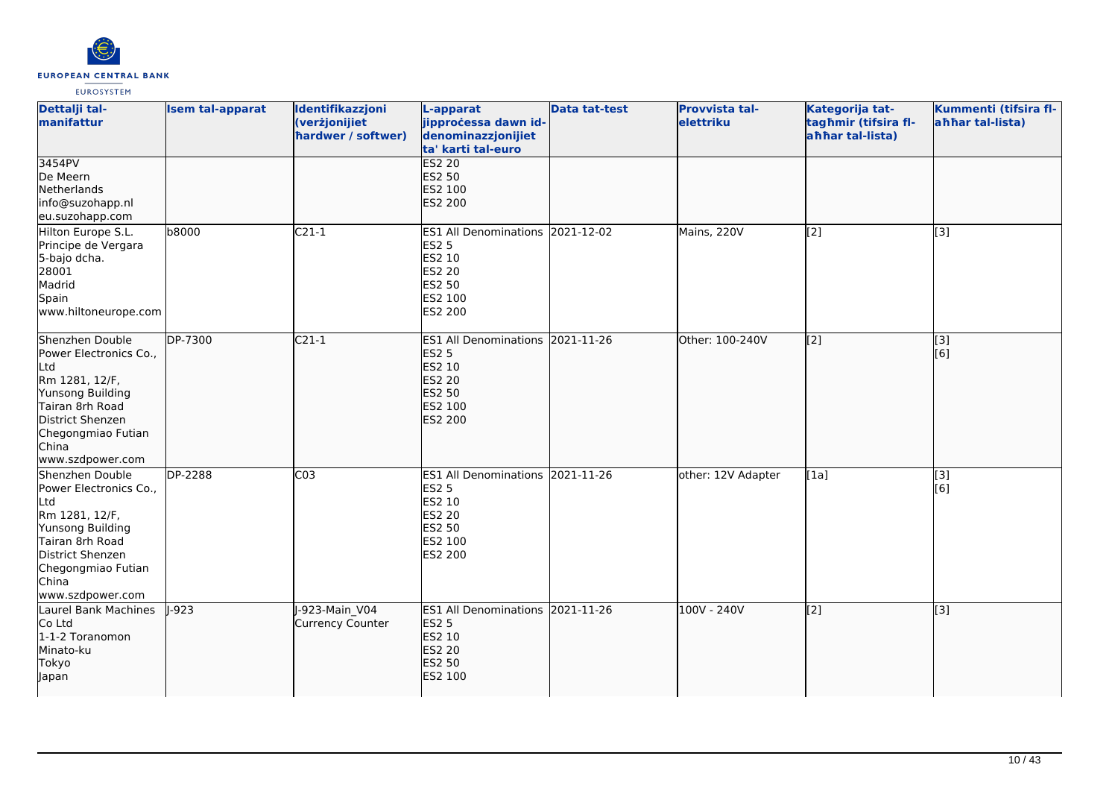

| Dettalji tal-<br>manifattur                                                                                                                                                      | <b>Isem tal-apparat</b> | Identifikazzjoni<br>(verżjonijiet<br>hardwer / softwer) | L-apparat<br>jipprocessa dawn id-<br>denominazzjonijiet<br>ta' karti tal-euro                                      | <b>Data tat-test</b> | Provvista tal-<br>elettriku | Kategorija tat-<br>tagħmir (tifsira fl-<br>ahhar tal-lista) | Kummenti (tifsira fl-<br>ahhar tal-lista) |
|----------------------------------------------------------------------------------------------------------------------------------------------------------------------------------|-------------------------|---------------------------------------------------------|--------------------------------------------------------------------------------------------------------------------|----------------------|-----------------------------|-------------------------------------------------------------|-------------------------------------------|
| 3454PV<br>De Meern<br>Netherlands<br>info@suzohapp.nl<br>eu.suzohapp.com                                                                                                         |                         |                                                         | <b>ES2 20</b><br><b>ES2 50</b><br>ES2 100<br>ES2 200                                                               |                      |                             |                                                             |                                           |
| Hilton Europe S.L.<br>Principe de Vergara<br>5-bajo dcha.<br>28001<br>Madrid<br>Spain<br>www.hiltoneurope.com                                                                    | b8000                   | $C21-1$                                                 | <b>ES1 All Denominations</b><br>ES2 5<br>ES2 10<br><b>ES2 20</b><br>ES2 50<br>ES2 100<br>ES2 200                   | 2021-12-02           | Mains, 220V                 | [2]                                                         | [3]                                       |
| Shenzhen Double<br>Power Electronics Co.,<br>Ltd<br>Rm 1281, 12/F,<br>Yunsong Building<br>Tairan 8rh Road<br>District Shenzen<br>Chegongmiao Futian<br>China<br>www.szdpower.com | DP-7300                 | $C21-1$                                                 | ES1 All Denominations 2021-11-26<br><b>ES2 5</b><br>ES2 10<br><b>ES2 20</b><br><b>ES2 50</b><br>ES2 100<br>ES2 200 |                      | Other: 100-240V             | $\overline{[2]}$                                            | $\overline{[3]}$<br>[6]                   |
| Shenzhen Double<br>Power Electronics Co.,<br>Ltd<br>Rm 1281, 12/F,<br>Yunsong Building<br>Tairan 8rh Road<br>District Shenzen<br>Chegongmiao Futian<br>China<br>www.szdpower.com | <b>DP-2288</b>          | C <sub>03</sub>                                         | ES1 All Denominations 2021-11-26<br><b>ES2 5</b><br>ES2 10<br>ES2 20<br>ES2 50<br>ES2 100<br>ES2 200               |                      | other: 12V Adapter          | [1a]                                                        | $\overline{[3]}$<br>[6]                   |
| Laurel Bank Machines<br>Co Ltd<br>1-1-2 Toranomon<br>Minato-ku<br><b>Tokyo</b><br>Japan                                                                                          | $1-923$                 | J-923-Main V04<br><b>Currency Counter</b>               | ES1 All Denominations 2021-11-26<br><b>ES2 5</b><br>ES2 10<br><b>ES2 20</b><br>ES2 50<br>ES2 100                   |                      | 100V - 240V                 | [2]                                                         | $\overline{[3]}$                          |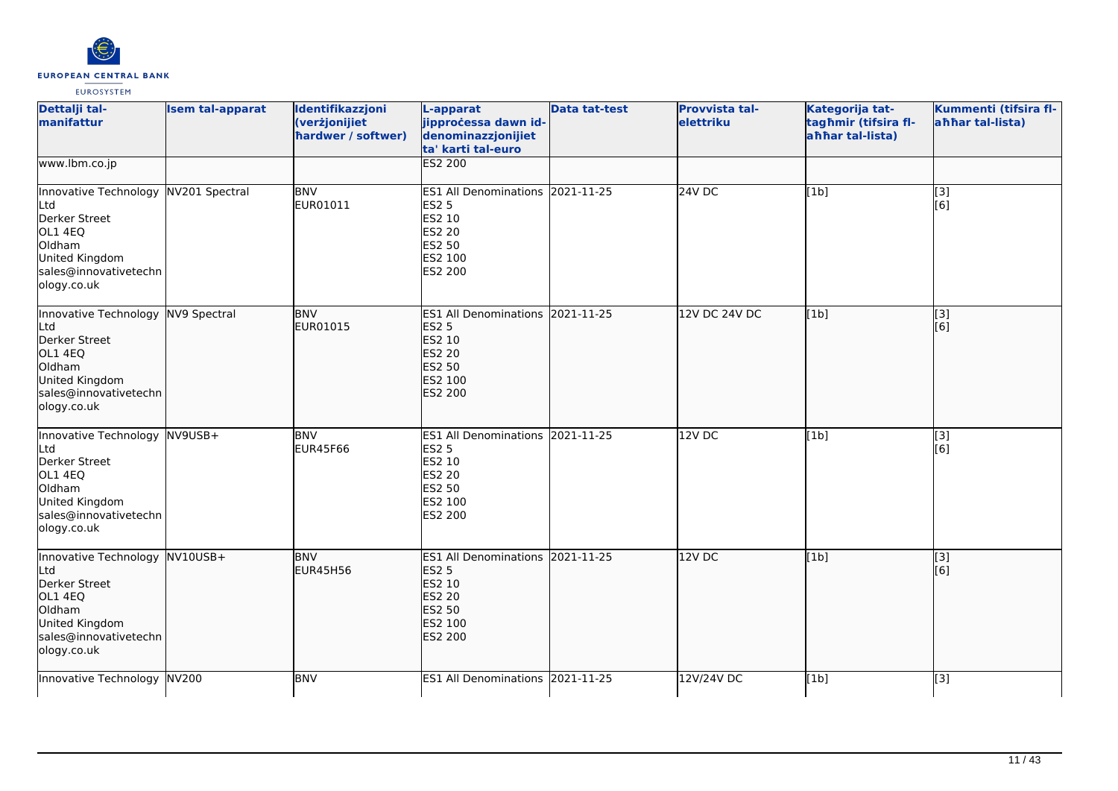

| Dettalji tal-<br>manifattur                                                                                                                 | <b>Isem tal-apparat</b> | Identifikazzjoni<br>(verżjonijiet<br>hardwer / softwer) | L-apparat<br>jipprocessa dawn id-<br>denominazzjonijiet<br>ta' karti tal-euro                                         | <b>Data tat-test</b> | Provvista tal-<br>elettriku | Kategorija tat-<br>tagħmir (tifsira fl-<br>laħħar tal-lista) | Kummenti (tifsira fl-<br>ahhar tal-lista) |
|---------------------------------------------------------------------------------------------------------------------------------------------|-------------------------|---------------------------------------------------------|-----------------------------------------------------------------------------------------------------------------------|----------------------|-----------------------------|--------------------------------------------------------------|-------------------------------------------|
| www.lbm.co.jp                                                                                                                               |                         |                                                         | <b>ES2 200</b>                                                                                                        |                      |                             |                                                              |                                           |
| Innovative Technology NV201 Spectral<br>Ltd<br>Derker Street<br>OL1 4EQ<br>Oldham<br>United Kingdom<br>sales@innovativetechn<br>ology.co.uk |                         | <b>BNV</b><br>EUR01011                                  | ES1 All Denominations 2021-11-25<br><b>ES2 5</b><br>ES2 10<br>ES2 20<br>ES2 50<br>ES2 100<br>ES2 200                  |                      | <b>24V DC</b>               | [1b]                                                         | $\overline{[3]}$<br>[6]                   |
| Innovative Technology NV9 Spectral<br>Ltd<br>Derker Street<br>OL1 4EQ<br>Oldham<br>United Kingdom<br>sales@innovativetechn<br>ology.co.uk   |                         | <b>BNV</b><br>EUR01015                                  | <b>ES1 All Denominations</b><br><b>ES2 5</b><br><b>ES2 10</b><br><b>ES2 20</b><br><b>ES2 50</b><br>ES2 100<br>ES2 200 | 2021-11-25           | 12V DC 24V DC               | [1b]                                                         | $\overline{[}$ [3]<br>[6]                 |
| Innovative Technology NV9USB+<br>Ltd<br>Derker Street<br>OL1 4EQ<br>Oldham<br>United Kingdom<br>sales@innovativetechn<br>ology.co.uk        |                         | <b>BNV</b><br>EUR45F66                                  | ES1 All Denominations 2021-11-25<br><b>ES2 5</b><br><b>ES2 10</b><br><b>ES2 20</b><br>ES2 50<br>ES2 100<br>ES2 200    |                      | 12VDC                       | [1b]                                                         | $\overline{[3]}$<br>[6]                   |
| Innovative Technology NV10USB+<br>Ltd<br>Derker Street<br>OL1 4EQ<br>Oldham<br>United Kingdom<br>sales@innovativetechn<br>ology.co.uk       |                         | <b>BNV</b><br><b>EUR45H56</b>                           | <b>ES1 All Denominations</b><br><b>ES2 5</b><br>ES2 10<br><b>ES2 20</b><br><b>ES2 50</b><br>ES2 100<br>ES2 200        | 2021-11-25           | 12V DC                      | [1b]                                                         | [3]<br>[6]                                |
| Innovative Technology NV200                                                                                                                 |                         | <b>BNV</b>                                              | ES1 All Denominations 2021-11-25                                                                                      |                      | 12V/24V DC                  | [1b]                                                         | $[3]$                                     |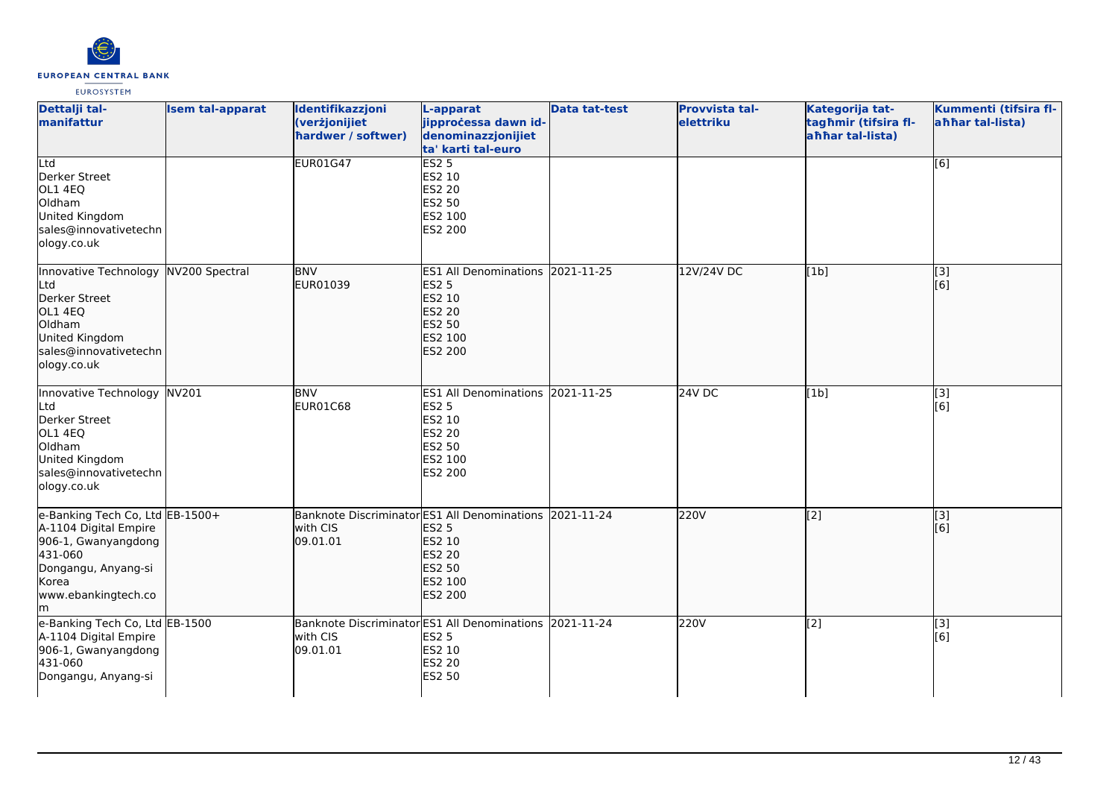

| Dettalji tal-<br>manifattur                                                                                                                              | <b>Isem tal-apparat</b> | Identifikazzjoni<br>(verżjonijiet<br>hardwer / softwer) | L-apparat<br>jipprocessa dawn id-<br>denominazzjonijiet<br>ta' karti tal-euro                                                                           | <b>Data tat-test</b> | <b>Provvista tal-</b><br>elettriku | Kategorija tat-<br>tagħmir (tifsira fl-<br>ahhar tal-lista) | Kummenti (tifsira fl-<br>ahhar tal-lista) |
|----------------------------------------------------------------------------------------------------------------------------------------------------------|-------------------------|---------------------------------------------------------|---------------------------------------------------------------------------------------------------------------------------------------------------------|----------------------|------------------------------------|-------------------------------------------------------------|-------------------------------------------|
| Ltd<br>Derker Street<br>OL1 4EQ<br>Oldham<br>United Kingdom<br>sales@innovativetechn<br>ology.co.uk                                                      |                         | <b>EUR01G47</b>                                         | <b>ES2 5</b><br>ES2 10<br><b>ES2 20</b><br><b>ES2 50</b><br>ES2 100<br>ES2 200                                                                          |                      |                                    |                                                             | [6]                                       |
| Innovative Technology<br>Ltd<br>Derker Street<br>OL1 4EQ<br>Oldham<br>United Kingdom<br>sales@innovativetechn<br>ology.co.uk                             | NV200 Spectral          | <b>BNV</b><br>EUR01039                                  | <b>ES1 All Denominations</b><br><b>ES2 5</b><br><b>ES2 10</b><br><b>ES2 20</b><br><b>ES2 50</b><br>ES2 100<br><b>ES2 200</b>                            | 2021-11-25           | 12V/24V DC                         | [1b]                                                        | [3]<br>[[6]                               |
| Innovative Technology NV201<br>Ltd<br>Derker Street<br>OL1 4EQ<br>Oldham<br>United Kingdom<br>sales@innovativetechn<br>ology.co.uk                       |                         | <b>BNV</b><br>EUR01C68                                  | <b>ES1 All Denominations</b><br><b>ES2 5</b><br><b>ES2 10</b><br><b>ES2 20</b><br><b>ES2 50</b><br>ES2 100<br>ES2 200                                   | 2021-11-25           | 24V DC                             | [1b]                                                        | [3]<br>[6]                                |
| e-Banking Tech Co, Ltd EB-1500+<br>A-1104 Digital Empire<br>906-1, Gwanyangdong<br>431-060<br>Dongangu, Anyang-si<br>Korea<br>www.ebankingtech.co<br>lm. |                         | with CIS<br>09.01.01                                    | Banknote Discriminator ES1 All Denominations 2021-11-24<br><b>ES2 5</b><br><b>ES2 10</b><br><b>ES2 20</b><br><b>ES2 50</b><br>ES2 100<br><b>ES2 200</b> |                      | 220V                               | $\overline{[2]}$                                            | $\overline{[}3]$<br>[6]                   |
| e-Banking Tech Co, Ltd EB-1500<br>A-1104 Digital Empire<br>906-1, Gwanyangdong<br>431-060<br>Dongangu, Anyang-si                                         |                         | with CIS<br>09.01.01                                    | Banknote Discriminator ES1 All Denominations 2021-11-24<br><b>ES2 5</b><br>ES2 10<br><b>ES2 20</b><br><b>ES2 50</b>                                     |                      | 220V                               | [2]                                                         | [3]<br>[6]                                |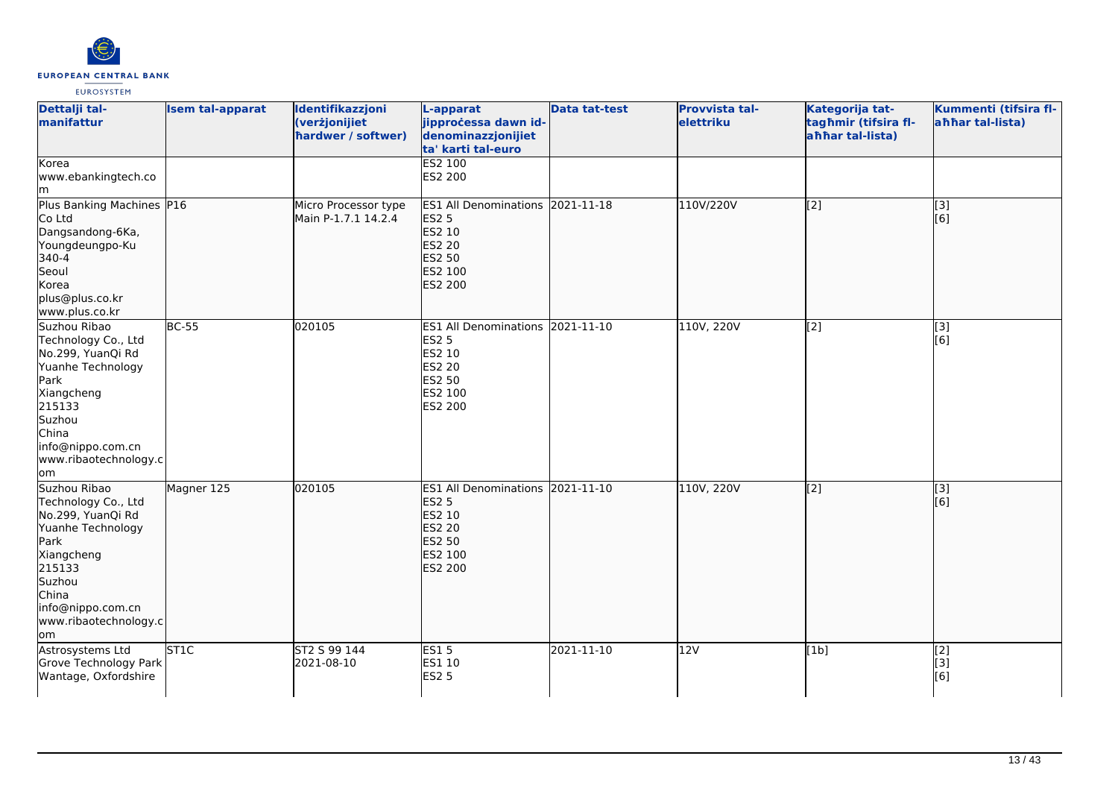

| Dettalji tal-<br>manifattur<br>Korea                                                                                                                                                  | <b>Isem tal-apparat</b> | Identifikazzjoni<br>(verżjonijiet<br>hardwer / softwer) | L-apparat<br>jipprocessa dawn id-<br>denominazzjonijiet<br>ta' karti tal-euro<br>ES2 100                                  | <b>Data tat-test</b> | <b>Provvista tal-</b><br>elettriku | Kategorija tat-<br>tagħmir (tifsira fl-<br>ahhar tal-lista) | Kummenti (tifsira fl-<br>ahhar tal-lista) |
|---------------------------------------------------------------------------------------------------------------------------------------------------------------------------------------|-------------------------|---------------------------------------------------------|---------------------------------------------------------------------------------------------------------------------------|----------------------|------------------------------------|-------------------------------------------------------------|-------------------------------------------|
| www.ebankingtech.co<br>lm.                                                                                                                                                            |                         |                                                         | ES2 200                                                                                                                   |                      |                                    |                                                             |                                           |
| Plus Banking Machines P16<br>Co Ltd<br>Dangsandong-6Ka,<br>Youngdeungpo-Ku<br>340-4<br>Seoul<br>Korea<br>plus@plus.co.kr<br>www.plus.co.kr                                            |                         | Micro Processor type<br>Main P-1.7.1 14.2.4             | ES1 All Denominations 2021-11-18<br><b>ES2 5</b><br>ES2 10<br><b>ES2 20</b><br><b>ES2 50</b><br>ES2 100<br><b>ES2 200</b> |                      | 110V/220V                          | $\overline{[2]}$                                            | $\overline{[3]}$<br>[6]                   |
| Suzhou Ribao<br>Technology Co., Ltd<br>No.299, YuanQi Rd<br>Yuanhe Technology<br>Park<br>Xiangcheng<br>215133<br>Suzhou<br>China<br>info@nippo.com.cn<br>www.ribaotechnology.c<br>lom | <b>BC-55</b>            | 020105                                                  | ES1 All Denominations 2021-11-10<br><b>ES2 5</b><br>ES2 10<br>ES2 20<br>ES2 50<br>ES2 100<br>ES2 200                      |                      | 110V, 220V                         | [2]                                                         | [3]<br>[6]                                |
| Suzhou Ribao<br>Technology Co., Ltd<br>No.299, YuanQi Rd<br>Yuanhe Technology<br>Park<br>Xiangcheng<br>215133<br>Suzhou<br>China<br>info@nippo.com.cn<br>www.ribaotechnology.c<br>lom | Magner 125              | 020105                                                  | ES1 All Denominations 2021-11-10<br><b>ES2 5</b><br>ES2 10<br><b>ES2 20</b><br>ES2 50<br>ES2 100<br>ES2 200               |                      | 110V, 220V                         | $\sqrt{2}$                                                  | [3]<br>[6]                                |
| Astrosystems Ltd<br>Grove Technology Park<br>Wantage, Oxfordshire                                                                                                                     | <b>ST1C</b>             | ST2 S 99 144<br>2021-08-10                              | ES15<br>ES1 10<br><b>ES2 5</b>                                                                                            | 2021-11-10           | 12V                                | [1b]                                                        | $\overline{[2]}$<br>[3]<br>[6]            |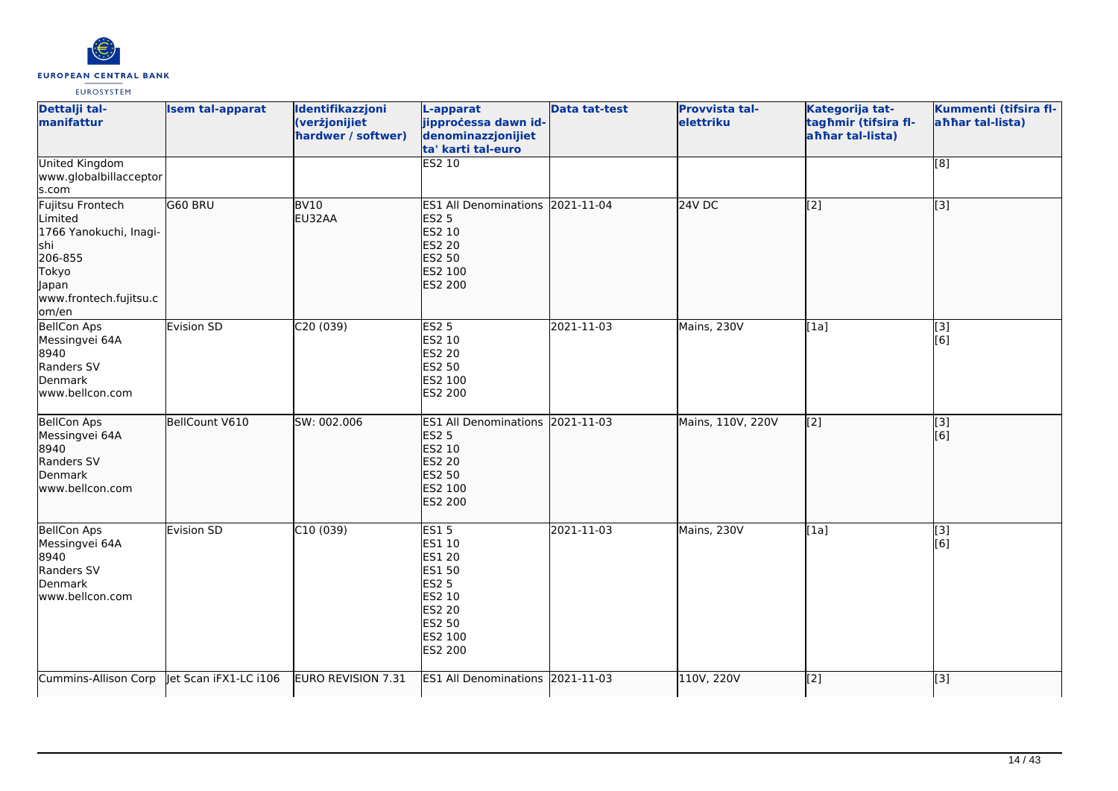

| Dettalji tal-<br>manifattur                                                                                                   | <b>Isem tal-apparat</b> | Identifikazzjoni<br>(verżjonijiet<br>hardwer / softwer) | L-apparat<br>jipprocessa dawn id-<br>denominazzjonijiet<br>ta' karti tal-euro                                               | <b>Data tat-test</b> | Provvista tal-<br>elettriku | Kategorija tat-<br>tagħmir (tifsira fl-<br>ahhar tal-lista) | Kummenti (tifsira fl-<br>ahhar tal-lista) |
|-------------------------------------------------------------------------------------------------------------------------------|-------------------------|---------------------------------------------------------|-----------------------------------------------------------------------------------------------------------------------------|----------------------|-----------------------------|-------------------------------------------------------------|-------------------------------------------|
| <b>United Kingdom</b><br>www.globalbillacceptor<br>s.com                                                                      |                         |                                                         | <b>ES2 10</b>                                                                                                               |                      |                             |                                                             | $\overline{[8]}$                          |
| Fujitsu Frontech<br>Limited<br>1766 Yanokuchi, Inagi-<br>lshi<br>206-855<br>Tokyo<br>Japan<br>www.frontech.fujitsu.c<br>om/en | <b>G60 BRU</b>          | <b>BV10</b><br>EU32AA                                   | <b>ES1 All Denominations</b><br><b>ES2 5</b><br>ES2 10<br><b>ES2 20</b><br>ES2 50<br>ES2 100<br><b>ES2 200</b>              | 2021-11-04           | $24V$ DC                    | $\overline{[2]}$                                            | $\overline{[}3]$                          |
| <b>BellCon Aps</b><br>Messingvei 64A<br>8940<br>Randers SV<br>Denmark<br>www.bellcon.com                                      | Evision SD              | C20 (039)                                               | <b>ES2 5</b><br>ES2 10<br><b>ES2 20</b><br>ES2 50<br>ES2 100<br>ES2 200                                                     | 2021-11-03           | Mains, 230V                 | [1a]                                                        | [3]<br>[6]                                |
| <b>BellCon Aps</b><br>Messingvei 64A<br>8940<br>Randers SV<br>Denmark<br>www.bellcon.com                                      | BellCount V610          | SW: 002.006                                             | <b>ES1 All Denominations</b><br><b>ES2 5</b><br>ES2 10<br><b>ES2 20</b><br><b>ES2 50</b><br>ES2 100<br><b>ES2 200</b>       | 2021-11-03           | Mains, 110V, 220V           | $\overline{[2]}$                                            | [3]<br>[6]                                |
| <b>BellCon Aps</b><br>Messingvei 64A<br>8940<br>Randers SV<br>Denmark<br>www.bellcon.com                                      | Evision SD              | C10(039)                                                | <b>ES15</b><br>ES1 10<br><b>ES1 20</b><br>ES1 50<br><b>ES2 5</b><br>ES2 10<br><b>ES2 20</b><br>ES2 50<br>ES2 100<br>ES2 200 | $2021 - 11 - 03$     | Mains, 230V                 | [1a]                                                        | $\overline{[3]}$<br>[6]                   |
| Cummins-Allison Corp   et Scan iFX1-LC i106                                                                                   |                         | EURO REVISION 7.31                                      | ES1 All Denominations 2021-11-03                                                                                            |                      | 110V, 220V                  | $\overline{[2]}$                                            | [3]                                       |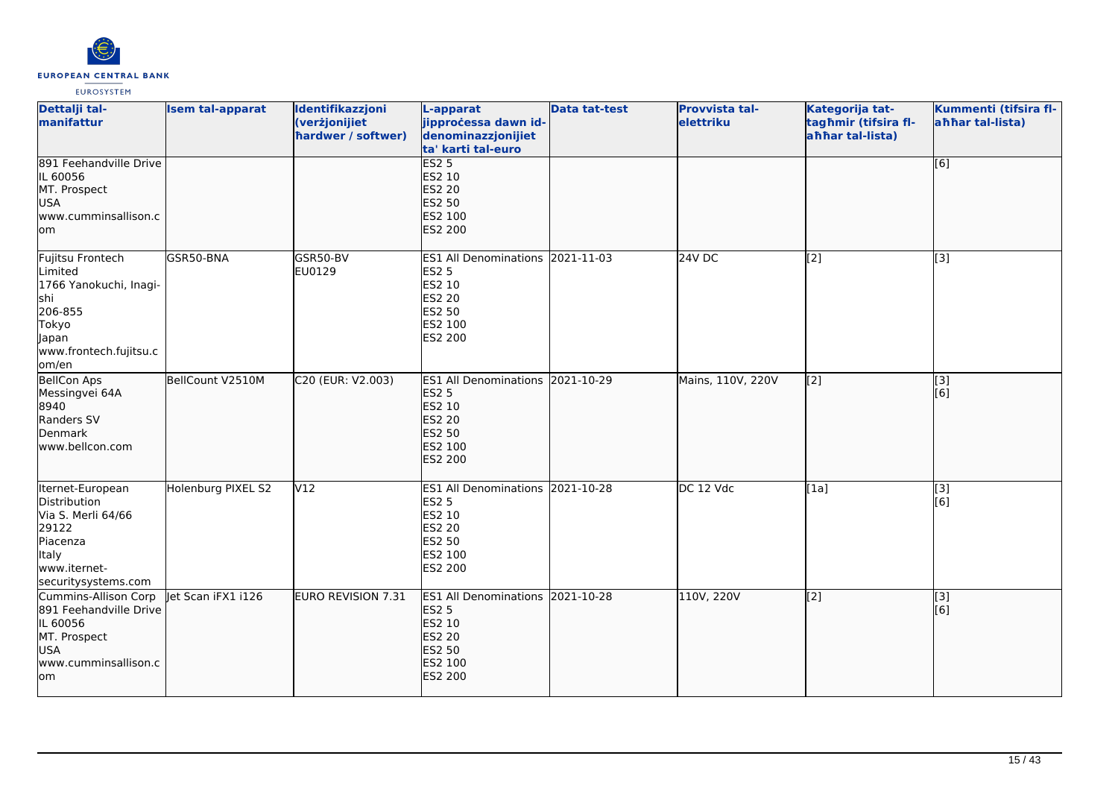

| Dettalji tal-<br>manifattur                                                                                                        | <b>Isem tal-apparat</b> | Identifikazzjoni<br>(verżjonijiet<br>hardwer / softwer) | L-apparat<br>jipprocessa dawn id-<br>denominazzjonijiet<br>ta' karti tal-euro                                         | <b>Data tat-test</b> | Provvista tal-<br>elettriku | Kategorija tat-<br>tagħmir (tifsira fl-<br>ahhar tal-lista) | Kummenti (tifsira fl-<br>ahhar tal-lista) |
|------------------------------------------------------------------------------------------------------------------------------------|-------------------------|---------------------------------------------------------|-----------------------------------------------------------------------------------------------------------------------|----------------------|-----------------------------|-------------------------------------------------------------|-------------------------------------------|
| 891 Feehandville Drive<br>IL 60056<br>MT. Prospect<br>USA<br>www.cumminsallison.c<br>lom                                           |                         |                                                         | ES2 <sub>5</sub><br><b>ES2 10</b><br><b>ES2 20</b><br>ES2 50<br>ES2 100<br><b>ES2 200</b>                             |                      |                             |                                                             | [6]                                       |
| Fujitsu Frontech<br>Limited<br>1766 Yanokuchi, Inagi-<br>shi<br>206-855<br>Tokyo<br>Japan<br>www.frontech.fujitsu.c<br>om/en       | GSR50-BNA               | GSR50-BV<br>EU0129                                      | ES1 All Denominations 2021-11-03<br><b>ES2 5</b><br>ES2 10<br><b>ES2 20</b><br>ES2 50<br>ES2 100<br>ES2 200           |                      | <b>24V DC</b>               | [2]                                                         | $\overline{[3]}$                          |
| <b>BellCon Aps</b><br>Messingvei 64A<br>8940<br>Randers SV<br>Denmark<br>www.bellcon.com                                           | BellCount V2510M        | C20 (EUR: V2.003)                                       | <b>ES1 All Denominations</b><br><b>ES2 5</b><br>ES2 10<br><b>ES2 20</b><br><b>ES2 50</b><br>ES2 100<br>ES2 200        | 2021-10-29           | Mains, 110V, 220V           | $\overline{[2]}$                                            | $\overline{[}3]$<br>[6]                   |
| Iternet-European<br><b>Distribution</b><br>Via S. Merli 64/66<br>29122<br>Piacenza<br>Italy<br>www.iternet-<br>securitysystems.com | Holenburg PIXEL S2      | V12                                                     | ES1 All Denominations 2021-10-28<br><b>ES2 5</b><br>ES2 10<br>ES2 20<br>ES2 50<br>ES2 100<br>ES2 200                  |                      | DC 12 Vdc                   | [1a]                                                        | [3]<br>[6]                                |
| Cummins-Allison Corp<br>891 Feehandville Drive<br>IL 60056<br>MT. Prospect<br>USA<br>www.cumminsallison.c<br>lom                   | let Scan iFX1 i126      | <b>EURO REVISION 7.31</b>                               | <b>ES1 All Denominations</b><br><b>ES2 5</b><br>ES2 10<br><b>ES2 20</b><br><b>ES2 50</b><br>ES2 100<br><b>ES2 200</b> | 2021-10-28           | 110V, 220V                  | $\left[2\right]$                                            | [3]<br>[6]                                |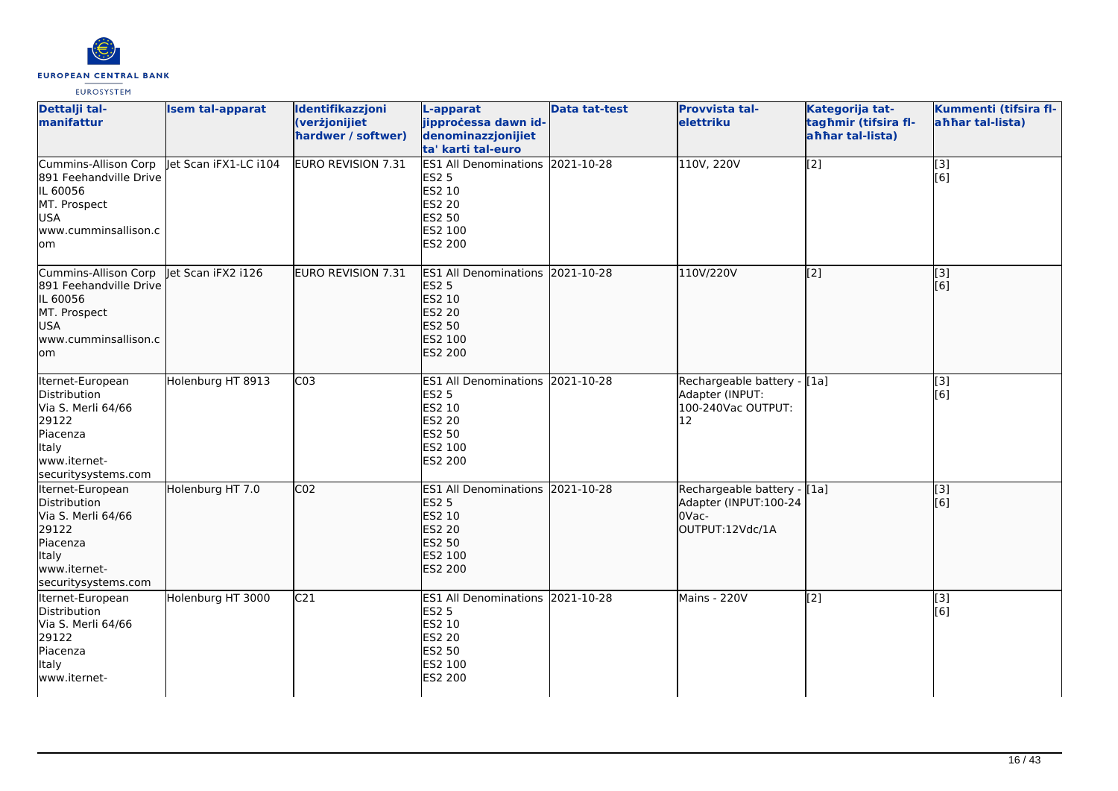

| Dettalji tal-<br>manifattur                                                                                                        | <b>Isem tal-apparat</b> | Identifikazzjoni<br>(verżjonijiet<br>hardwer / softwer) | L-apparat<br>jipprocessa dawn id-<br>denominazzjonijiet<br>ta' karti tal-euro                                             | <b>Data tat-test</b> | <b>Provvista tal-</b><br>elettriku                                               | Kategorija tat-<br>tagħmir (tifsira fl-<br>ahhar tal-lista) | Kummenti (tifsira fl-<br>ahhar tal-lista) |
|------------------------------------------------------------------------------------------------------------------------------------|-------------------------|---------------------------------------------------------|---------------------------------------------------------------------------------------------------------------------------|----------------------|----------------------------------------------------------------------------------|-------------------------------------------------------------|-------------------------------------------|
| Cummins-Allison Corp<br>891 Feehandville Drive<br>IL 60056<br>MT. Prospect<br>lusa.<br>lwww.cumminsallison.c<br>lom                | let Scan iFX1-LC i104   | EURO REVISION 7.31                                      | ES1 All Denominations 2021-10-28<br><b>ES2 5</b><br>ES2 10<br>ES2 20<br>ES2 50<br>ES2 100<br>ES2 200                      |                      | 110V, 220V                                                                       | [2]                                                         | $[3]$<br>[6]                              |
| Cummins-Allison Corp<br>891 Feehandville Drive<br>IL 60056<br>MT. Prospect<br>lusa.<br>www.cumminsallison.c<br>lom                 | let Scan iFX2 i126      | EURO REVISION 7.31                                      | ES1 All Denominations 2021-10-28<br><b>ES2 5</b><br>ES2 10<br><b>ES2 20</b><br><b>ES2 50</b><br>ES2 100<br><b>ES2 200</b> |                      | 110V/220V                                                                        | [[2]                                                        | [3]<br>[[6]                               |
| Iternet-European<br>Distribution<br>Via S. Merli 64/66<br>29122<br>Piacenza<br>Italy<br>www.iternet-<br>securitysystems.com        | Holenburg HT 8913       | C <sub>03</sub>                                         | ES1 All Denominations 2021-10-28<br><b>ES2 5</b><br>ES2 10<br>ES2 20<br>ES2 50<br>ES2 100<br>ES2 200                      |                      | Rechargeable battery - [1a]<br>Adapter (INPUT:<br>100-240Vac OUTPUT:<br>12       |                                                             | $\overline{[3]}$<br>[6]                   |
| Iternet-European<br><b>Distribution</b><br>Via S. Merli 64/66<br>29122<br>Piacenza<br>Italy<br>www.iternet-<br>securitysystems.com | Holenburg HT 7.0        | CO <sub>2</sub>                                         | ES1 All Denominations 2021-10-28<br><b>ES2 5</b><br>ES2 10<br>ES2 20<br><b>ES2 50</b><br>ES2 100<br>ES2 200               |                      | Rechargeable battery - [1a]<br>Adapter (INPUT:100-24<br>OVac-<br>OUTPUT:12Vdc/1A |                                                             | [3]<br>[6]                                |
| Iternet-European<br>Distribution<br>Via S. Merli 64/66<br>29122<br>Piacenza<br>Italy<br>www.iternet-                               | Holenburg HT 3000       | C <sub>21</sub>                                         | ES1 All Denominations 2021-10-28<br><b>ES2 5</b><br>ES2 10<br>ES2 20<br>ES2 50<br>ES2 100<br>ES2 200                      |                      | Mains - 220V                                                                     | [2]                                                         | [3]<br>[6]                                |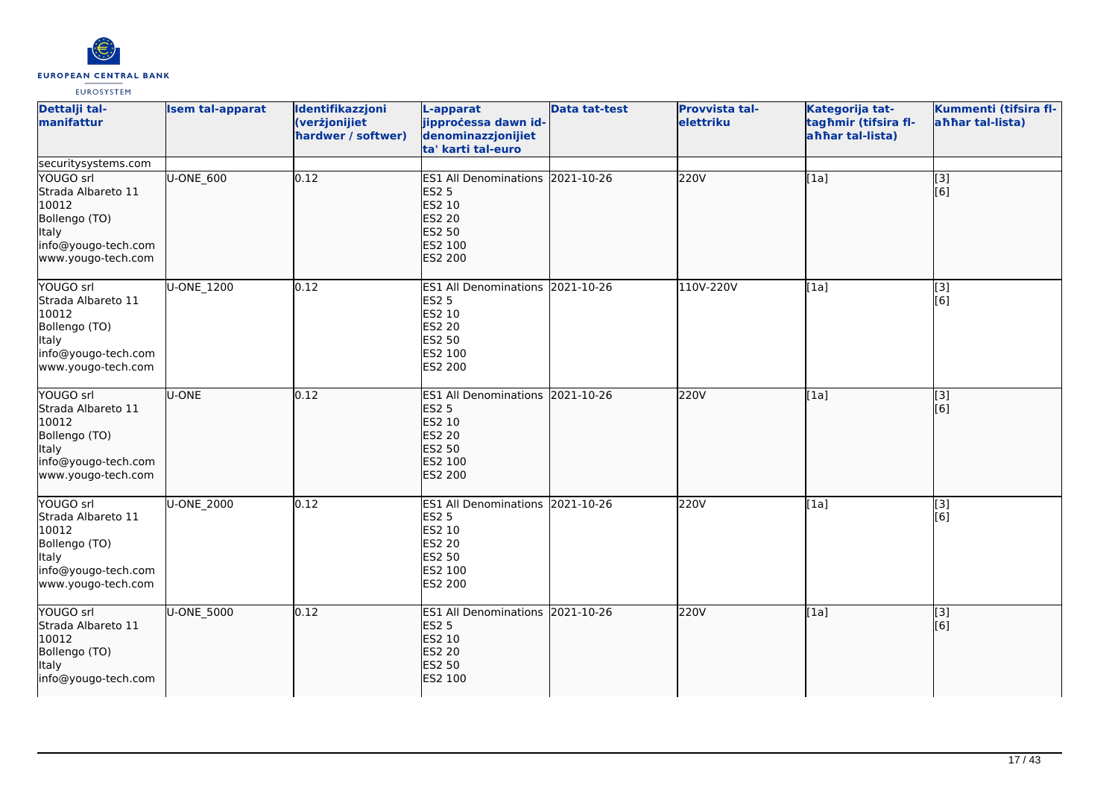

| Dettalji tal-<br>manifattur                                                                                            | <b>Isem tal-apparat</b> | Identifikazzjoni<br>(verżjonijiet<br>hardwer / softwer) | L-apparat<br>jipprocessa dawn id-<br>denominazzjonijiet<br>ta' karti tal-euro                                             | <b>Data tat-test</b> | Provvista tal-<br>elettriku | Kategorija tat-<br>tagħmir (tifsira fl-<br>ahhar tal-lista) | Kummenti (tifsira fl-<br>ahhar tal-lista) |
|------------------------------------------------------------------------------------------------------------------------|-------------------------|---------------------------------------------------------|---------------------------------------------------------------------------------------------------------------------------|----------------------|-----------------------------|-------------------------------------------------------------|-------------------------------------------|
| securitysystems.com                                                                                                    |                         |                                                         |                                                                                                                           |                      |                             |                                                             |                                           |
| YOUGO srl<br>Strada Albareto 11<br>10012<br>Bollengo (TO)<br>Italy<br>info@yougo-tech.com<br>www.yougo-tech.com        | U-ONE_600               | 0.12                                                    | <b>ES1 All Denominations</b><br><b>ES2 5</b><br>ES2 10<br><b>ES2 20</b><br><b>ES2 50</b><br>ES2 100<br>ES2 200            | 2021-10-26           | 220V                        | [1a]                                                        | [3]<br>[6]                                |
| YOUGO srl<br>Strada Albareto 11<br>10012<br>Bollengo (TO)<br><b>Italy</b><br>info@yougo-tech.com<br>www.yougo-tech.com | <b>U-ONE 1200</b>       | 0.12                                                    | <b>ES1 All Denominations</b><br><b>ES2 5</b><br>ES2 10<br><b>ES2 20</b><br>ES2 50<br>ES2 100<br>ES2 200                   | 2021-10-26           | 110V-220V                   | [1a]                                                        | $\overline{[3]}$<br>[6]                   |
| YOUGO srl<br>Strada Albareto 11<br>10012<br>Bollengo (TO)<br>Italy<br>info@yougo-tech.com<br>www.yougo-tech.com        | U-ONE                   | 0.12                                                    | ES1 All Denominations 2021-10-26<br><b>ES2 5</b><br>ES2 10<br><b>ES2 20</b><br><b>ES2 50</b><br>ES2 100<br><b>ES2 200</b> |                      | 220V                        | [1a]                                                        | $\overline{[3]}$<br>[6]                   |
| YOUGO srl<br>Strada Albareto 11<br>10012<br>Bollengo (TO)<br><b>Italy</b><br>info@yougo-tech.com<br>www.yougo-tech.com | U-ONE_2000              | 0.12                                                    | <b>ES1 All Denominations</b><br><b>ES2 5</b><br><b>ES2 10</b><br><b>ES2 20</b><br>ES2 50<br>ES2 100<br>ES2 200            | 2021-10-26           | 220V                        | [1a]                                                        | $\overline{[3]}$<br>[6]                   |
| YOUGO srl<br>Strada Albareto 11<br>10012<br>Bollengo (TO)<br><b>Italy</b><br>info@yougo-tech.com                       | U-ONE_5000              | 0.12                                                    | <b>ES1 All Denominations</b><br><b>ES2 5</b><br><b>ES2 10</b><br><b>ES2 20</b><br><b>ES2 50</b><br>ES2 100                | 2021-10-26           | 220V                        | [1a]                                                        | [3]<br>[6]                                |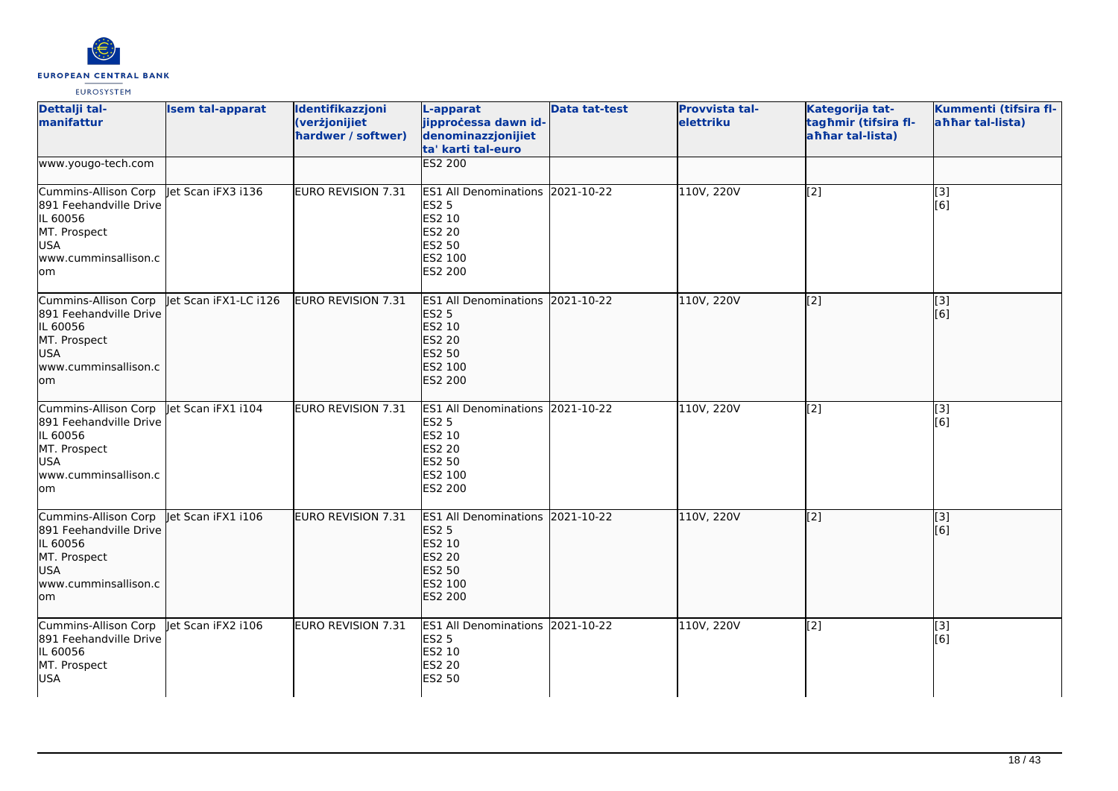

| Dettalji tal-<br>manifattur                                                                                             | <b>Isem tal-apparat</b> | Identifikazzjoni<br>(verżjonijiet<br>hardwer / softwer) | L-apparat<br>jipproċessa dawn id-<br>denominazzjonijiet<br>ta' karti tal-euro                                             | <b>Data tat-test</b> | <b>Provvista tal-</b><br>elettriku | Kategorija tat-<br>tagħmir (tifsira fl-<br>aħħar tal-lista) | Kummenti (tifsira fl-<br>ahhar tal-lista) |
|-------------------------------------------------------------------------------------------------------------------------|-------------------------|---------------------------------------------------------|---------------------------------------------------------------------------------------------------------------------------|----------------------|------------------------------------|-------------------------------------------------------------|-------------------------------------------|
| www.yougo-tech.com                                                                                                      |                         |                                                         | <b>ES2 200</b>                                                                                                            |                      |                                    |                                                             |                                           |
| Cummins-Allison Corp<br>891 Feehandville Drive<br>IL 60056<br>MT. Prospect<br><b>USA</b><br>www.cumminsallison.c<br>lom | Jet Scan iFX3 i136      | EURO REVISION 7.31                                      | ES1 All Denominations 2021-10-22<br><b>ES2 5</b><br><b>ES2 10</b><br><b>ES2 20</b><br><b>ES2 50</b><br>ES2 100<br>ES2 200 |                      | 110V, 220V                         | [2]                                                         | [3]<br>[6]                                |
| Cummins-Allison Corp<br>891 Feehandville Drive<br>IL 60056<br>MT. Prospect<br><b>USA</b><br>www.cumminsallison.c<br>lom | Jet Scan iFX1-LC i126   | EURO REVISION 7.31                                      | <b>ES1 All Denominations</b><br><b>ES2 5</b><br>ES2 10<br><b>ES2 20</b><br><b>ES2 50</b><br>ES2 100<br>ES2 200            | 2021-10-22           | 110V, 220V                         | [2]                                                         | [3]<br>[6]                                |
| Cummins-Allison Corp<br>891 Feehandville Drive<br>IL 60056<br>MT. Prospect<br><b>USA</b><br>www.cumminsallison.c<br>lom | let Scan iFX1 i104      | EURO REVISION 7.31                                      | <b>ES1 All Denominations</b><br><b>ES2 5</b><br>ES2 10<br><b>ES2 20</b><br>ES2 50<br>ES2 100<br><b>ES2 200</b>            | 2021-10-22           | 110V, 220V                         | $[2]$                                                       | [3]<br>[6]                                |
| Cummins-Allison Corp<br>891 Feehandville Drive<br>IL 60056<br>MT. Prospect<br>USA<br>www.cumminsallison.c<br>lom        | let Scan iFX1 i106      | EURO REVISION 7.31                                      | <b>ES1 All Denominations</b><br><b>ES2 5</b><br>ES2 10<br><b>ES2 20</b><br><b>ES2 50</b><br>ES2 100<br><b>ES2 200</b>     | 2021-10-22           | 110V, 220V                         | [2]                                                         | [3]<br>[6]                                |
| Cummins-Allison Corp<br>891 Feehandville Drive<br>IL 60056<br>MT. Prospect<br><b>USA</b>                                | Jet Scan iFX2 i106      | EURO REVISION 7.31                                      | <b>ES1 All Denominations 2021-10-22</b><br><b>ES2 5</b><br>ES2 10<br><b>ES2 20</b><br>ES2 50                              |                      | 110V, 220V                         | [2]                                                         | $\overline{[3]}$<br>[6]                   |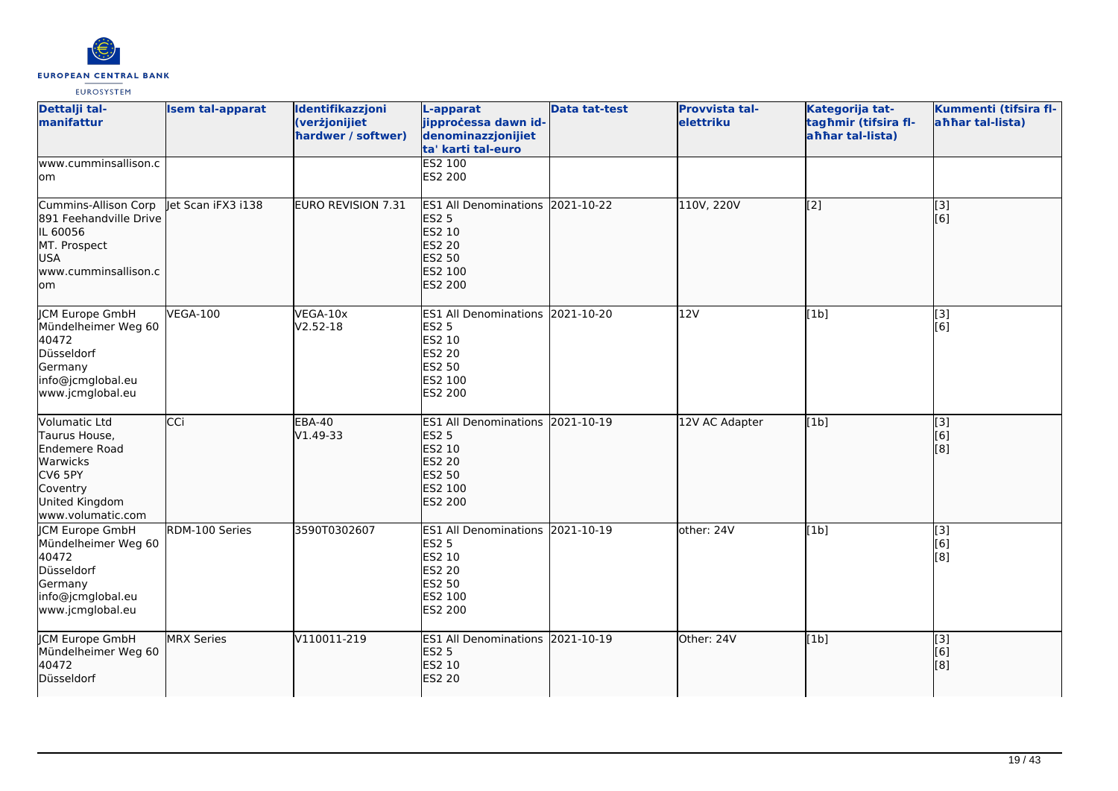

| Dettalji tal-<br>manifattur                                                                                               | <b>Isem tal-apparat</b> | Identifikazzjoni<br>(verżjonijiet<br>hardwer / softwer) | L-apparat<br>jipproċessa dawn id-<br>denominazzjonijiet<br>ta' karti tal-euro                                         | <b>Data tat-test</b> | Provvista tal-<br>elettriku | Kategorija tat-<br>tagħmir (tifsira fl-<br>ahhar tal-lista) | Kummenti (tifsira fl-<br>ahhar tal-lista) |
|---------------------------------------------------------------------------------------------------------------------------|-------------------------|---------------------------------------------------------|-----------------------------------------------------------------------------------------------------------------------|----------------------|-----------------------------|-------------------------------------------------------------|-------------------------------------------|
| www.cumminsallison.c<br>lom                                                                                               |                         |                                                         | <b>ES2 100</b><br>ES2 200                                                                                             |                      |                             |                                                             |                                           |
| Cummins-Allison Corp<br>891 Feehandville Drive<br>IL 60056<br>MT. Prospect<br><b>USA</b><br>www.cumminsallison.c<br>lom.  | let Scan iFX3 i138      | <b>EURO REVISION 7.31</b>                               | <b>ES1 All Denominations</b><br><b>ES2 5</b><br>ES2 10<br><b>ES2 20</b><br><b>ES2 50</b><br>ES2 100<br>ES2 200        | 2021-10-22           | 110V, 220V                  | $\overline{[2]}$                                            | $\overline{[3]}$<br>[6]                   |
| JCM Europe GmbH<br>Mündelheimer Weg 60<br>40472<br>Düsseldorf<br>Germany<br>info@jcmglobal.eu<br>www.jcmglobal.eu         | <b>VEGA-100</b>         | VEGA-10x<br>V2.52-18                                    | <b>ES1 All Denominations</b><br><b>ES2 5</b><br>ES2 10<br>ES2 20<br>ES2 50<br>ES2 100<br>ES2 200                      | 2021-10-20           | 12V                         | [1b]                                                        | $[3]$<br>[6]                              |
| Volumatic Ltd<br>Taurus House,<br>Endemere Road<br>Warwicks<br>CV6 5PY<br>Coventry<br>United Kingdom<br>www.volumatic.com | CCi                     | <b>EBA-40</b><br>V1.49-33                               | <b>ES1 All Denominations</b><br><b>ES2 5</b><br>ES2 10<br><b>ES2 20</b><br><b>ES2 50</b><br>ES2 100<br><b>ES2 200</b> | 2021-10-19           | 12V AC Adapter              | [1b]                                                        | [3]<br>[6]<br>[8]                         |
| <b>JCM Europe GmbH</b><br>Mündelheimer Weg 60<br>40472<br>Düsseldorf<br>Germany<br>info@jcmglobal.eu<br>www.jcmglobal.eu  | RDM-100 Series          | 3590T0302607                                            | <b>ES1 All Denominations</b><br><b>ES2 5</b><br>ES2 10<br>ES2 20<br>ES2 50<br>ES2 100<br>ES2 200                      | 2021-10-19           | other: 24V                  | [1b]                                                        | $\overline{[3]}$<br>[6]<br>[8]            |
| <b>JCM Europe GmbH</b><br>Mündelheimer Weg 60<br>40472<br>Düsseldorf                                                      | <b>MRX Series</b>       | V110011-219                                             | ES1 All Denominations 2021-10-19<br><b>ES2 5</b><br>ES2 10<br><b>ES2 20</b>                                           |                      | Other: 24V                  | [1b]                                                        | [3]<br>[6]<br>[8]                         |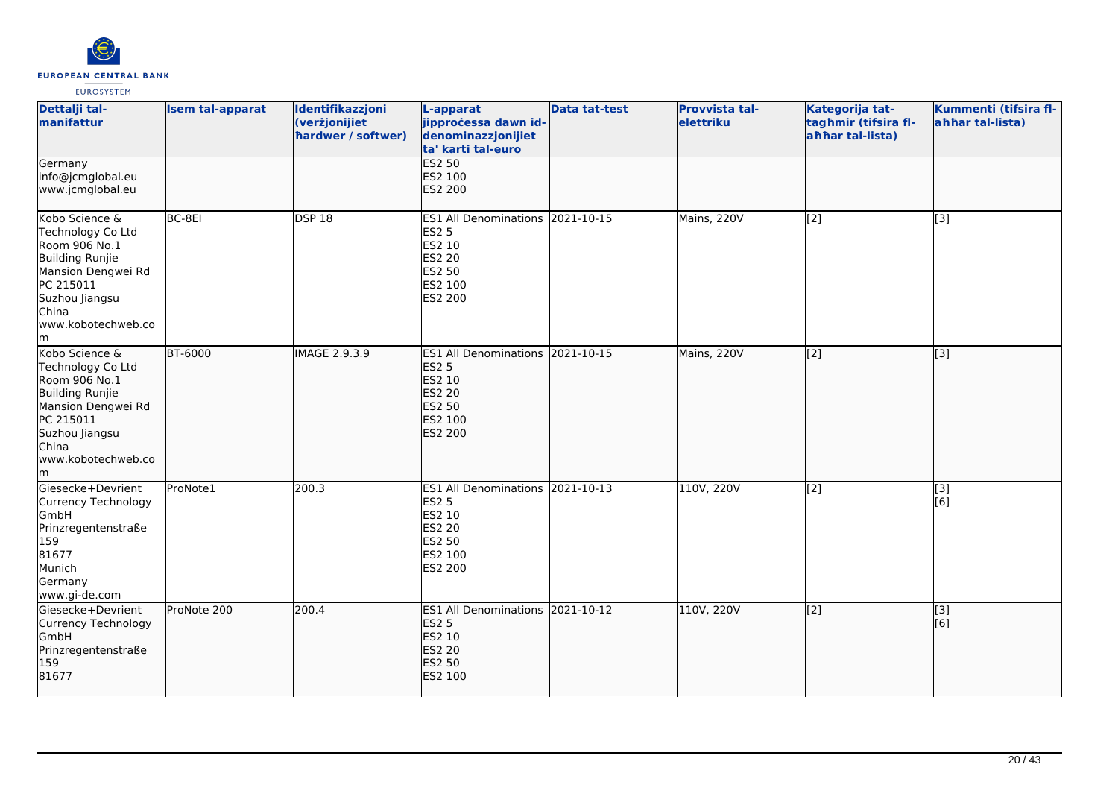

| Dettalji tal-<br>manifattur                                                                                                                                             | <b>Isem tal-apparat</b> | Identifikazzjoni<br>(verżjonijiet<br>hardwer / softwer) | L-apparat<br>jipprocessa dawn id-<br>denominazzjonijiet<br>ta' karti tal-euro                                             | <b>Data tat-test</b> | <b>Provvista tal-</b><br>elettriku | Kategorija tat-<br>tagħmir (tifsira fl-<br>ahhar tal-lista) | Kummenti (tifsira fl-<br>ahhar tal-lista) |
|-------------------------------------------------------------------------------------------------------------------------------------------------------------------------|-------------------------|---------------------------------------------------------|---------------------------------------------------------------------------------------------------------------------------|----------------------|------------------------------------|-------------------------------------------------------------|-------------------------------------------|
| Germany<br>info@jcmglobal.eu<br>www.jcmglobal.eu                                                                                                                        |                         |                                                         | <b>ES2 50</b><br>ES2 100<br>ES2 200                                                                                       |                      |                                    |                                                             |                                           |
| Kobo Science &<br>Technology Co Ltd<br>Room 906 No.1<br><b>Building Runjie</b><br>Mansion Dengwei Rd<br>PC 215011<br>Suzhou Jiangsu<br>China<br>www.kobotechweb.co<br>m | BC-8EI                  | <b>DSP 18</b>                                           | <b>ES1 All Denominations</b><br><b>ES2 5</b><br>ES2 10<br>ES2 20<br>ES2 50<br>ES2 100<br>ES2 200                          | 2021-10-15           | Mains, 220V                        | [2]                                                         | [3]                                       |
| Kobo Science &<br>Technology Co Ltd<br>Room 906 No.1<br><b>Building Runjie</b><br>Mansion Dengwei Rd<br>PC 215011<br>Suzhou Jiangsu<br>China<br>www.kobotechweb.co<br>m | <b>BT-6000</b>          | <b>IMAGE 2.9.3.9</b>                                    | ES1 All Denominations 2021-10-15<br><b>ES2 5</b><br>ES2 10<br><b>ES2 20</b><br><b>ES2 50</b><br>ES2 100<br><b>ES2 200</b> |                      | Mains, 220V                        | $\vert$ [2]                                                 | $\overline{[3]}$                          |
| Giesecke+Devrient<br>Currency Technology<br><b>GmbH</b><br>Prinzregentenstraße<br>159<br>81677<br>Munich<br>Germany<br>www.gi-de.com                                    | ProNote1                | 200.3                                                   | ES1 All Denominations 2021-10-13<br><b>ES2 5</b><br>ES2 10<br>ES2 20<br>ES2 50<br>ES2 100<br>ES2 200                      |                      | 110V, 220V                         | $\overline{[2]}$                                            | $\overline{[}3]$<br>[6]                   |
| Giesecke+Devrient<br>Currency Technology<br>GmbH<br>Prinzregentenstraße<br>159<br>81677                                                                                 | ProNote 200             | 200.4                                                   | ES1 All Denominations 2021-10-12<br><b>ES2 5</b><br>ES2 10<br><b>ES2 20</b><br><b>ES2 50</b><br>ES2 100                   |                      | 110V, 220V                         | $\left[2\right]$                                            | $\overline{[3]}$<br>[6]                   |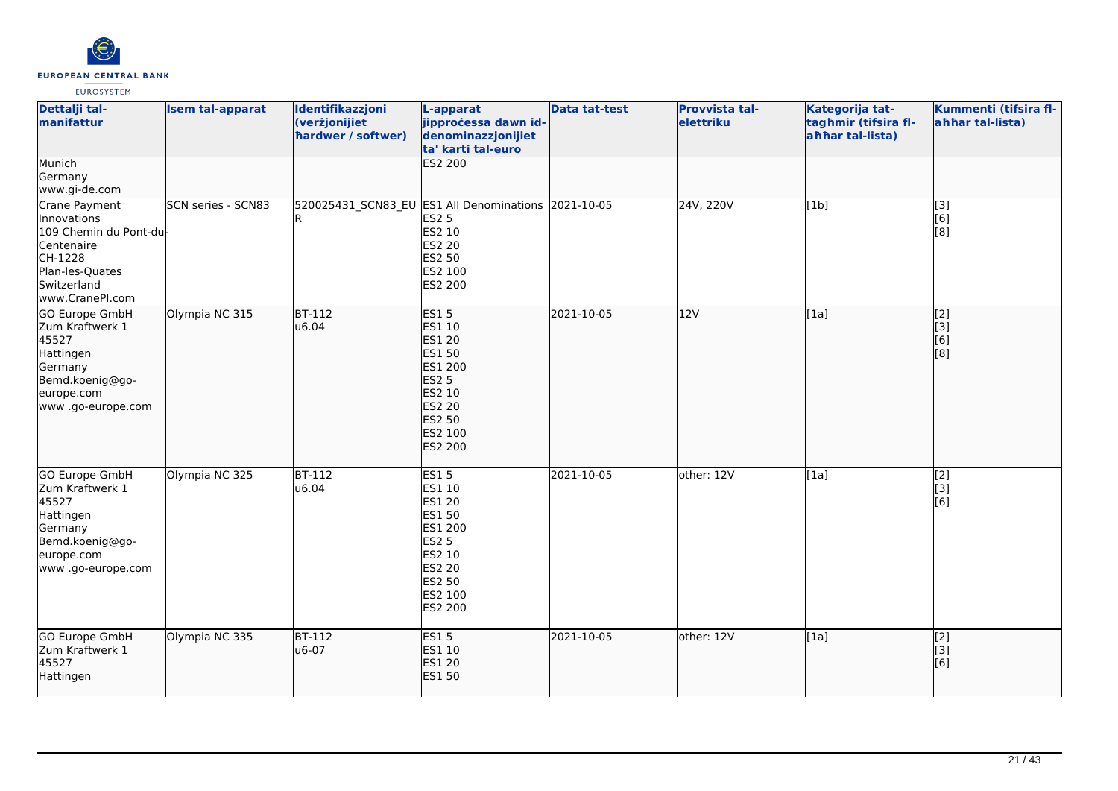

| Dettalji tal-<br>manifattur                                                                                                         | <b>Isem tal-apparat</b>   | Identifikazzjoni<br>(verżjonijiet<br>hardwer / softwer) | L-apparat<br>jipproċessa dawn id-<br>denominazzjonijiet<br>ta' karti tal-euro                                                                               | <b>Data tat-test</b> | Provvista tal-<br>elettriku | Kategorija tat-<br>tagħmir (tifsira fl-<br>ahhar tal-lista) | Kummenti (tifsira fl-<br>ahhar tal-lista) |
|-------------------------------------------------------------------------------------------------------------------------------------|---------------------------|---------------------------------------------------------|-------------------------------------------------------------------------------------------------------------------------------------------------------------|----------------------|-----------------------------|-------------------------------------------------------------|-------------------------------------------|
| Munich<br>Germany<br>www.gi-de.com                                                                                                  |                           |                                                         | <b>ES2 200</b>                                                                                                                                              |                      |                             |                                                             |                                           |
| Crane Payment<br>Innovations<br>109 Chemin du Pont-du<br>Centenaire<br>CH-1228<br>Plan-les-Quates<br>Switzerland<br>www.CranePI.com | <b>SCN series - SCN83</b> | 520025431_SCN83_EU ES1 All Denominations                | <b>ES2 5</b><br>ES2 10<br><b>ES2 20</b><br>ES2 50<br>ES2 100<br><b>ES2 200</b>                                                                              | 2021-10-05           | 24V, 220V                   | [1b]                                                        | $\overline{[3]}$<br>[6]<br>[8]            |
| GO Europe GmbH<br>Zum Kraftwerk 1<br>45527<br>Hattingen<br>Germany<br>Bemd.koenig@go-<br>europe.com<br>www .go-europe.com           | Olympia NC 315            | $BT-112$<br>u6.04                                       | <b>ES15</b><br>ES1 10<br><b>ES1 20</b><br><b>ES1 50</b><br><b>ES1 200</b><br><b>ES2 5</b><br>ES2 10<br><b>ES2 20</b><br><b>ES2 50</b><br>ES2 100<br>ES2 200 | 2021-10-05           | 12V                         | [1a]                                                        | [2]<br>[3]<br>[6]<br>[8]                  |
| <b>GO Europe GmbH</b><br>Zum Kraftwerk 1<br>45527<br>Hattingen<br>Germany<br>Bemd.koenig@go-<br>europe.com<br>www .go-europe.com    | Olympia NC 325            | $BT-112$<br>u6.04                                       | ES15<br>ES1 10<br>ES1 20<br><b>ES1 50</b><br>ES1 200<br><b>ES2 5</b><br><b>ES2 10</b><br>ES2 20<br>ES2 50<br>ES2 100<br><b>ES2 200</b>                      | 2021-10-05           | other: 12V                  | [1a]                                                        | $\overline{[2]}$<br>[3]<br>[6]            |
| GO Europe GmbH<br>Zum Kraftwerk 1<br>45527<br>Hattingen                                                                             | Olympia NC 335            | <b>BT-112</b><br>u6-07                                  | <b>ES15</b><br>ES1 10<br><b>ES1 20</b><br><b>ES1 50</b>                                                                                                     | 2021-10-05           | other: $12V$                | [1a]                                                        | [2]<br>[3]<br>[6]                         |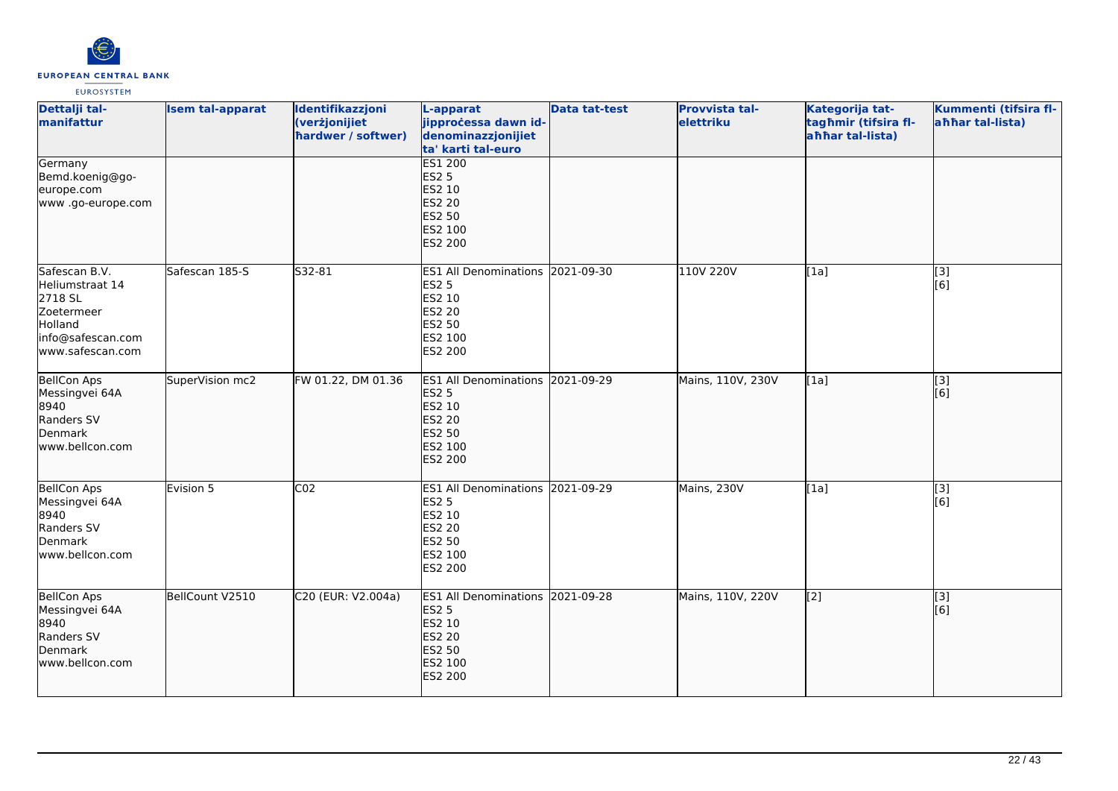

| Dettalji tal-<br>manifattur                                                                                    | <b>Isem tal-apparat</b> | Identifikazzjoni<br>(verżjonijiet<br>hardwer / softwer) | L-apparat<br>jipprocessa dawn id-<br>denominazzjonijiet<br>ta' karti tal-euro                                             | <b>Data tat-test</b> | Provvista tal-<br>elettriku | Kategorija tat-<br>tagħmir (tifsira fl-<br>ahhar tal-lista) | Kummenti (tifsira fl-<br>ahhar tal-lista) |
|----------------------------------------------------------------------------------------------------------------|-------------------------|---------------------------------------------------------|---------------------------------------------------------------------------------------------------------------------------|----------------------|-----------------------------|-------------------------------------------------------------|-------------------------------------------|
| Germany<br>Bemd.koenig@go-<br>europe.com<br>www.go-europe.com                                                  |                         |                                                         | <b>ES1 200</b><br><b>ES2 5</b><br>ES2 10<br><b>ES2 20</b><br><b>ES2 50</b><br>ES2 100<br><b>ES2 200</b>                   |                      |                             |                                                             |                                           |
| Safescan B.V.<br>Heliumstraat 14<br>2718 SL<br>Zoetermeer<br>Holland<br>info@safescan.com<br>lwww.safescan.com | Safescan 185-S          | S32-81                                                  | ES1 All Denominations 2021-09-30<br><b>ES2 5</b><br>ES2 10<br>ES2 20<br><b>ES2 50</b><br>ES2 100<br>ES2 200               |                      | 110V 220V                   | [1a]                                                        | [3]<br>[6]                                |
| BellCon Aps<br>Messingvei 64A<br>8940<br>Randers SV<br>Denmark<br>www.bellcon.com                              | SuperVision mc2         | FW 01.22, DM 01.36                                      | ES1 All Denominations 2021-09-29<br><b>ES2 5</b><br>ES2 10<br><b>ES2 20</b><br><b>ES2 50</b><br>ES2 100<br><b>ES2 200</b> |                      | Mains, 110V, 230V           | [1a]                                                        | $\overline{[3]}$<br>[6]                   |
| <b>BellCon Aps</b><br>Messingvei 64A<br>8940<br>Randers SV<br>Denmark<br>www.bellcon.com                       | Evision 5               | $\overline{CO2}$                                        | ES1 All Denominations 2021-09-29<br><b>ES2 5</b><br><b>ES2 10</b><br>ES2 20<br><b>ES2 50</b><br>ES2 100<br>ES2 200        |                      | Mains, 230V                 | [1a]                                                        | [3]<br>[6]                                |
| <b>BellCon Aps</b><br>Messingvei 64A<br>8940<br>Randers SV<br>Denmark<br>www.bellcon.com                       | BellCount V2510         | C20 (EUR: V2.004a)                                      | ES1 All Denominations 2021-09-28<br><b>ES2 5</b><br>ES2 10<br><b>ES2 20</b><br><b>ES2 50</b><br>ES2 100<br>ES2 200        |                      | Mains, 110V, 220V           | $\left[2\right]$                                            | [3]<br>[6]                                |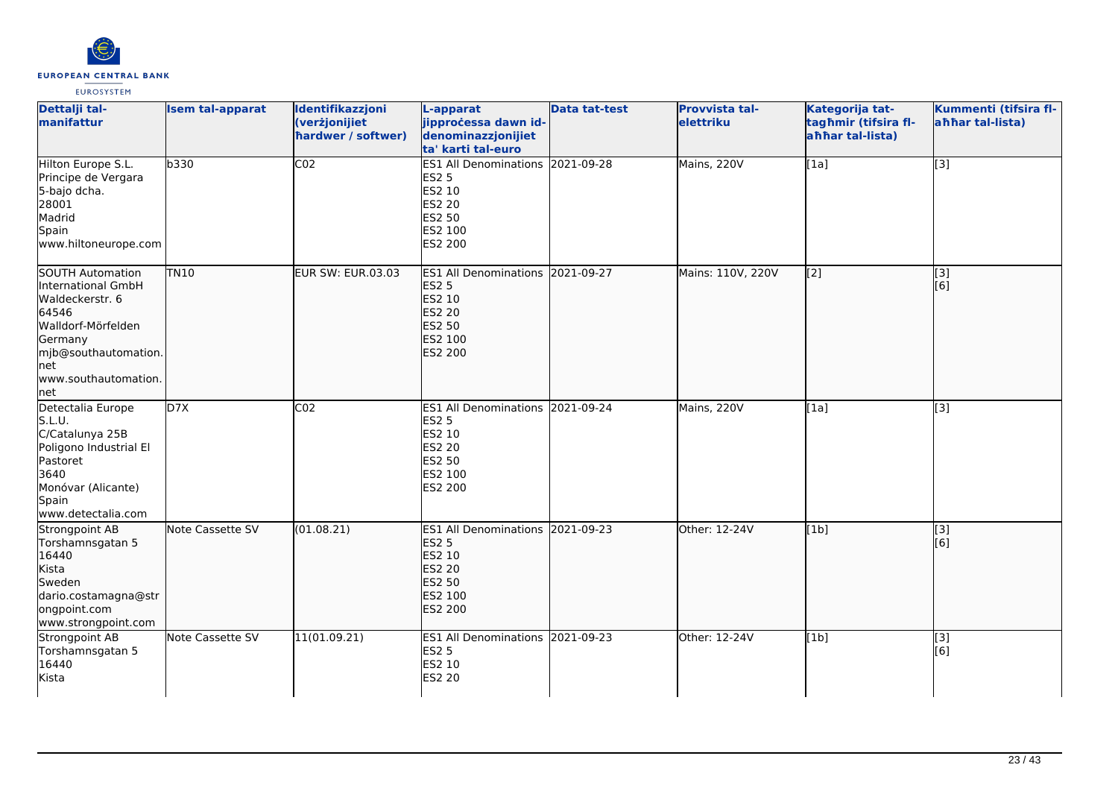

| Dettalji tal-<br>manifattur                                                                                                                                                 | <b>Isem tal-apparat</b> | Identifikazzjoni<br>(verżjonijiet<br>hardwer / softwer) | L-apparat<br>jipprocessa dawn id-<br>denominazzjonijiet<br>ta' karti tal-euro                                             | <b>Data tat-test</b> | Provvista tal-<br><b>elettriku</b> | Kategorija tat-<br>tagħmir (tifsira fl-<br>ahhar tal-lista) | Kummenti (tifsira fl-<br>ahhar tal-lista) |
|-----------------------------------------------------------------------------------------------------------------------------------------------------------------------------|-------------------------|---------------------------------------------------------|---------------------------------------------------------------------------------------------------------------------------|----------------------|------------------------------------|-------------------------------------------------------------|-------------------------------------------|
| Hilton Europe S.L.<br>Principe de Vergara<br>5-bajo dcha.<br>28001<br>Madrid<br>Spain<br>www.hiltoneurope.com                                                               | b330                    | CO <sub>2</sub>                                         | ES1 All Denominations 2021-09-28<br><b>ES2 5</b><br>ES2 10<br>ES2 20<br>ES2 50<br>ES2 100<br>ES2 200                      |                      | Mains, 220V                        | [1a]                                                        | $[3]$                                     |
| SOUTH Automation<br>International GmbH<br>Waldeckerstr. 6<br>64546<br>Walldorf-Mörfelden<br>Germany<br>mjb@southautomation.<br><b>I</b> net<br>www.southautomation.<br> net | <b>TN10</b>             | <b>EUR SW: EUR.03.03</b>                                | ES1 All Denominations 2021-09-27<br><b>ES2 5</b><br>ES2 10<br><b>ES2 20</b><br><b>ES2 50</b><br>ES2 100<br><b>ES2 200</b> |                      | Mains: 110V, 220V                  | $\left[ \begin{matrix} 2 \end{matrix} \right]$              | [3]<br>[6]                                |
| Detectalia Europe<br>S.L.U.<br>C/Catalunya 25B<br>Poligono Industrial El<br>Pastoret<br>3640<br>Monóvar (Alicante)<br>Spain<br>www.detectalia.com                           | D7X                     | CO <sub>2</sub>                                         | <b>ES1 All Denominations</b><br><b>ES2 5</b><br>ES2 10<br>ES2 20<br>ES2 50<br>ES2 100<br><b>ES2 200</b>                   | 2021-09-24           | Mains, 220V                        | [1a]                                                        | [3]                                       |
| Strongpoint AB<br>Torshamnsgatan 5<br>16440<br>Kista<br>Sweden<br>dario.costamagna@str<br>ongpoint.com<br>www.strongpoint.com                                               | Note Cassette SV        | (01.08.21)                                              | ES1 All Denominations 2021-09-23<br><b>ES2 5</b><br>ES2 10<br><b>ES2 20</b><br>ES2 50<br>ES2 100<br>ES2 200               |                      | Other: 12-24V                      | [1b]                                                        | [3]<br>[6]                                |
| Strongpoint AB<br>Torshamnsgatan 5<br>16440<br>Kista                                                                                                                        | Note Cassette SV        | 11(01.09.21)                                            | ES1 All Denominations 2021-09-23<br><b>ES2 5</b><br>ES2 10<br>ES2 20                                                      |                      | Other: 12-24V                      | [1b]                                                        | [3]<br>[6]                                |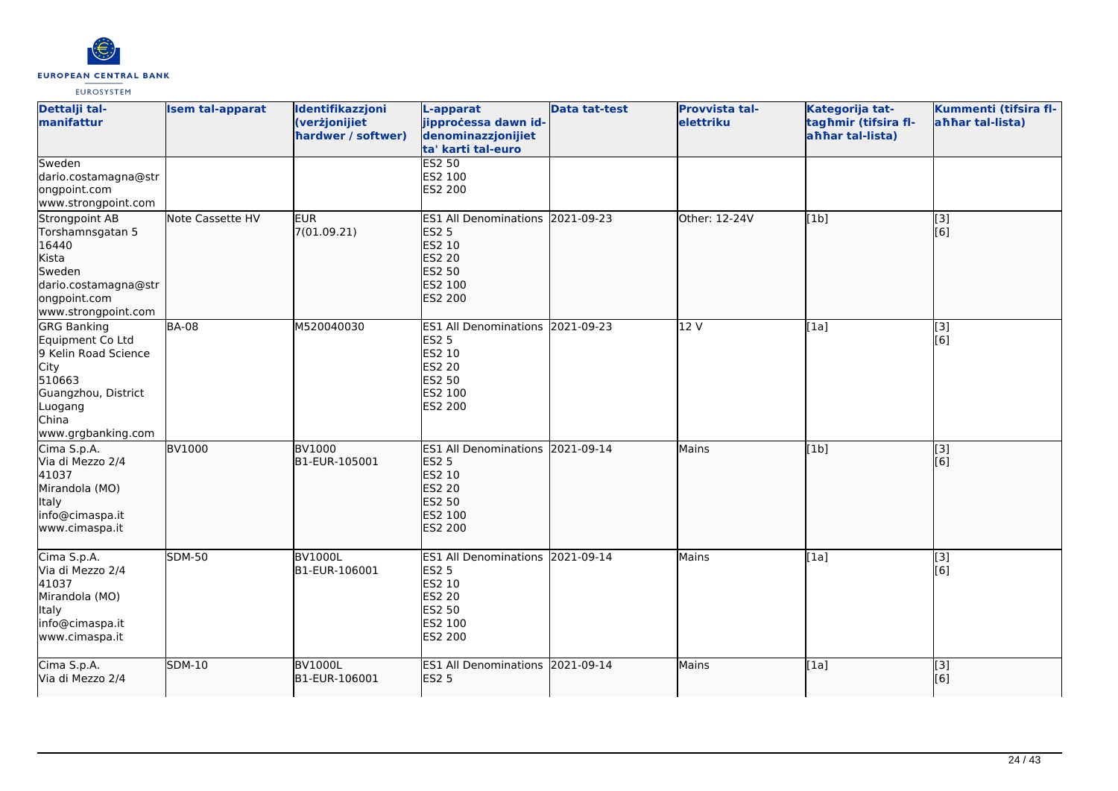

| Dettalji tal-<br>manifattur                                                                                                                              | <b>Isem tal-apparat</b> | Identifikazzjoni<br>(verżjonijiet<br>hardwer / softwer) | L-apparat<br>jipproċessa dawn id-<br>denominazzjonijiet<br>ta' karti tal-euro                                             | <b>Data tat-test</b> | Provvista tal-<br>elettriku | Kategorija tat-<br>tagħmir (tifsira fl-<br>ahhar tal-lista) | Kummenti (tifsira fl-<br>aħħar tal-lista) |
|----------------------------------------------------------------------------------------------------------------------------------------------------------|-------------------------|---------------------------------------------------------|---------------------------------------------------------------------------------------------------------------------------|----------------------|-----------------------------|-------------------------------------------------------------|-------------------------------------------|
| Sweden<br>dario.costamagna@str<br>ongpoint.com<br>www.strongpoint.com                                                                                    |                         |                                                         | <b>ES2 50</b><br>ES2 100<br>ES2 200                                                                                       |                      |                             |                                                             |                                           |
| Strongpoint AB<br>Torshamnsgatan 5<br>16440<br>Kista<br>Sweden<br>dario.costamagna@str<br>ongpoint.com<br>www.strongpoint.com                            | Note Cassette HV        | <b>EUR</b><br>7(01.09.21)                               | ES1 All Denominations 2021-09-23<br><b>ES2 5</b><br>ES2 10<br><b>ES2 20</b><br><b>ES2 50</b><br>ES2 100<br>ES2 200        |                      | <b>Other: 12-24V</b>        | [1b]                                                        | [3]<br>[6]                                |
| <b>GRG Banking</b><br>Equipment Co Ltd<br>9 Kelin Road Science<br><b>City</b><br>510663<br>Guangzhou, District<br>Luogang<br>China<br>www.grgbanking.com | <b>BA-08</b>            | M520040030                                              | <b>ES1 All Denominations</b><br><b>ES2 5</b><br>ES2 10<br>ES2 20<br>ES2 50<br>ES2 100<br>ES2 200                          | 2021-09-23           | 12 V                        | [1a]                                                        | [3]<br>[6]                                |
| Cima S.p.A.<br>Via di Mezzo 2/4<br>41037<br>Mirandola (MO)<br><b>Italy</b><br>info@cimaspa.it<br>www.cimaspa.it                                          | <b>BV1000</b>           | <b>BV1000</b><br>B1-EUR-105001                          | ES1 All Denominations 2021-09-14<br><b>ES2 5</b><br>ES2 10<br><b>ES2 20</b><br><b>ES2 50</b><br>ES2 100<br><b>ES2 200</b> |                      | Mains                       | [1b]                                                        | [3]<br>[6]                                |
| Cima S.p.A.<br>Via di Mezzo 2/4<br>41037<br>Mirandola (MO)<br><b>Italy</b><br>info@cimaspa.it<br>www.cimaspa.it                                          | <b>SDM-50</b>           | BV1000L<br>B1-EUR-106001                                | <b>ES1 All Denominations</b><br><b>ES2 5</b><br>ES2 10<br><b>ES2 20</b><br>ES2 50<br>ES2 100<br>ES2 200                   | 2021-09-14           | Mains                       | [1a]                                                        | [3]<br>[6]                                |
| Cima S.p.A.<br>Via di Mezzo 2/4                                                                                                                          | <b>SDM-10</b>           | <b>BV1000L</b><br>B1-EUR-106001                         | ES1 All Denominations 2021-09-14<br><b>ES2 5</b>                                                                          |                      | <b>Mains</b>                | [1a]                                                        | $\overline{[3]}$<br>[6]                   |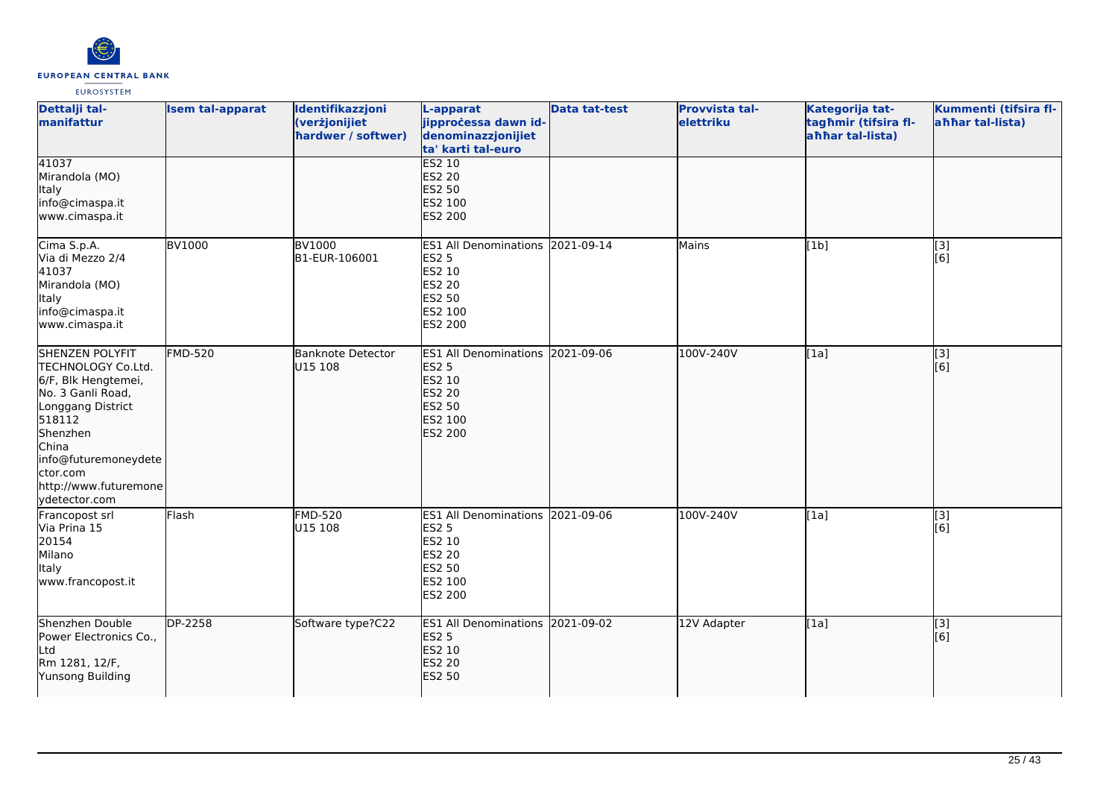

| Dettalji tal-<br>manifattur                                                                                                                                                                                                | <b>Isem tal-apparat</b> | Identifikazzjoni<br>(verżjonijiet<br>hardwer / softwer) | L-apparat<br>jipprocessa dawn id-<br>denominazzjonijiet<br>ta' karti tal-euro                                                    | <b>Data tat-test</b> | <b>Provvista tal-</b><br>elettriku | Kategorija tat-<br>tagħmir (tifsira fl-<br>ahhar tal-lista) | Kummenti (tifsira fl-<br>ahhar tal-lista) |
|----------------------------------------------------------------------------------------------------------------------------------------------------------------------------------------------------------------------------|-------------------------|---------------------------------------------------------|----------------------------------------------------------------------------------------------------------------------------------|----------------------|------------------------------------|-------------------------------------------------------------|-------------------------------------------|
| 41037<br>Mirandola (MO)<br><b>Italy</b><br>info@cimaspa.it<br>www.cimaspa.it                                                                                                                                               |                         |                                                         | <b>ES2 10</b><br><b>ES2 20</b><br><b>ES2 50</b><br>ES2 100<br><b>ES2 200</b>                                                     |                      |                                    |                                                             |                                           |
| Cima S.p.A.<br>Via di Mezzo 2/4<br>41037<br>Mirandola (MO)<br>Italy<br>info@cimaspa.it<br>www.cimaspa.it                                                                                                                   | <b>BV1000</b>           | <b>BV1000</b><br>B1-EUR-106001                          | ES1 All Denominations 2021-09-14<br><b>ES2 5</b><br>ES2 10<br><b>ES2 20</b><br><b>ES2 50</b><br>ES2 100<br>ES2 200               |                      | Mains                              | [1b]                                                        | $\overline{[3]}$<br>[6]                   |
| <b>SHENZEN POLYFIT</b><br>TECHNOLOGY Co.Ltd.<br>6/F, Blk Hengtemei,<br>No. 3 Ganli Road,<br>Longgang District<br>518112<br>Shenzhen<br>China<br>info@futuremoneydete<br>ctor.com<br>http://www.futuremone<br>ydetector.com | <b>FMD-520</b>          | <b>Banknote Detector</b><br>U15 108                     | ES1 All Denominations 2021-09-06<br><b>ES2 5</b><br><b>ES2 10</b><br><b>ES2 20</b><br><b>ES2 50</b><br>ES2 100<br><b>ES2 200</b> |                      | 100V-240V                          | [1a]                                                        | [3]<br>[6]                                |
| Francopost srl<br>Via Prina 15<br>20154<br>Milano<br>Italy<br>www.francopost.it                                                                                                                                            | Flash                   | <b>FMD-520</b><br>U15 108                               | ES1 All Denominations 2021-09-06<br><b>ES2 5</b><br>ES2 10<br><b>ES2 20</b><br><b>ES2 50</b><br>ES2 100<br>ES2 200               |                      | 100V-240V                          | [1a]                                                        | [3]<br>[6]                                |
| Shenzhen Double<br>Power Electronics Co.,<br>Ltd<br>Rm 1281, 12/F,<br>Yunsong Building                                                                                                                                     | DP-2258                 | Software type?C22                                       | ES1 All Denominations 2021-09-02<br><b>ES2 5</b><br><b>ES2 10</b><br><b>ES2 20</b><br><b>ES2 50</b>                              |                      | 12V Adapter                        | [1a]                                                        | $\overline{[}$ [3]<br>[6]                 |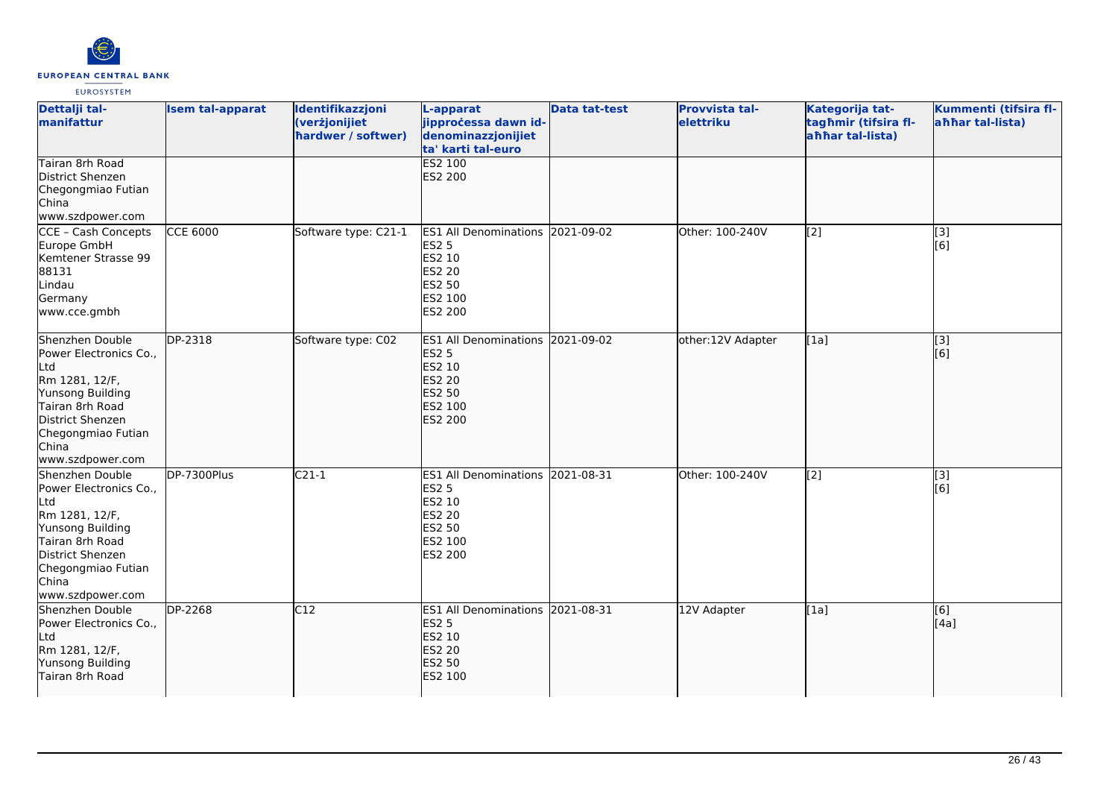

| Dettalji tal-<br>manifattur                                                                                                                                                             | <b>Isem tal-apparat</b> | Identifikazzjoni<br>(verżjonijiet<br>hardwer / softwer) | L-apparat<br>jipproċessa dawn id-<br>denominazzjonijiet<br>ta' karti tal-euro                                      | <b>Data tat-test</b> | Provvista tal-<br>elettriku | Kategorija tat-<br>tagħmir (tifsira fl-<br>ahhar tal-lista) | Kummenti (tifsira fl-<br>ahhar tal-lista) |
|-----------------------------------------------------------------------------------------------------------------------------------------------------------------------------------------|-------------------------|---------------------------------------------------------|--------------------------------------------------------------------------------------------------------------------|----------------------|-----------------------------|-------------------------------------------------------------|-------------------------------------------|
| Tairan 8rh Road<br>District Shenzen<br>Chegongmiao Futian<br>China<br>www.szdpower.com                                                                                                  |                         |                                                         | ES2 100<br>ES2 200                                                                                                 |                      |                             |                                                             |                                           |
| CCE - Cash Concepts<br>Europe GmbH<br>Kemtener Strasse 99<br>88131<br>Lindau<br>Germany<br>www.cce.gmbh                                                                                 | <b>CCE 6000</b>         | Software type: C21-1                                    | <b>ES1 All Denominations</b><br><b>ES2 5</b><br>ES2 10<br><b>ES2 20</b><br>ES2 50<br>ES2 100<br>ES2 200            | 2021-09-02           | Other: 100-240V             | [2]                                                         | [3]<br>[6]                                |
| Shenzhen Double<br>Power Electronics Co.,<br>Ltd<br>Rm 1281, 12/F,<br>Yunsong Building<br>Tairan 8rh Road<br>District Shenzen<br>Chegongmiao Futian<br>China<br>www.szdpower.com        | DP-2318                 | Software type: C02                                      | ES1 All Denominations 2021-09-02<br><b>ES2 5</b><br>ES2 10<br><b>ES2 20</b><br><b>ES2 50</b><br>ES2 100<br>ES2 200 |                      | other:12V Adapter           | [1a]                                                        | [3]<br>[6]                                |
| Shenzhen Double<br>Power Electronics Co.,<br>Ltd<br>Rm 1281, 12/F,<br>Yunsong Building<br>Tairan 8rh Road<br>District Shenzen<br>Chegongmiao Futian<br><b>China</b><br>www.szdpower.com | DP-7300Plus             | $C21-1$                                                 | ES1 All Denominations 2021-08-31<br>ES2 5<br>ES2 10<br>ES2 20<br>ES2 50<br>ES2 100<br>ES2 200                      |                      | Other: 100-240V             | $\overline{[2]}$                                            | $\overline{[3]}$<br>[6]                   |
| Shenzhen Double<br>Power Electronics Co.,<br>Ltd<br>Rm 1281, 12/F,<br>Yunsong Building<br>Tairan 8rh Road                                                                               | <b>DP-2268</b>          | C12                                                     | ES1 All Denominations 2021-08-31<br><b>ES2 5</b><br><b>ES2 10</b><br><b>ES2 20</b><br><b>ES2 50</b><br>ES2 100     |                      | 12V Adapter                 | [1a]                                                        | [6]<br>[4a]                               |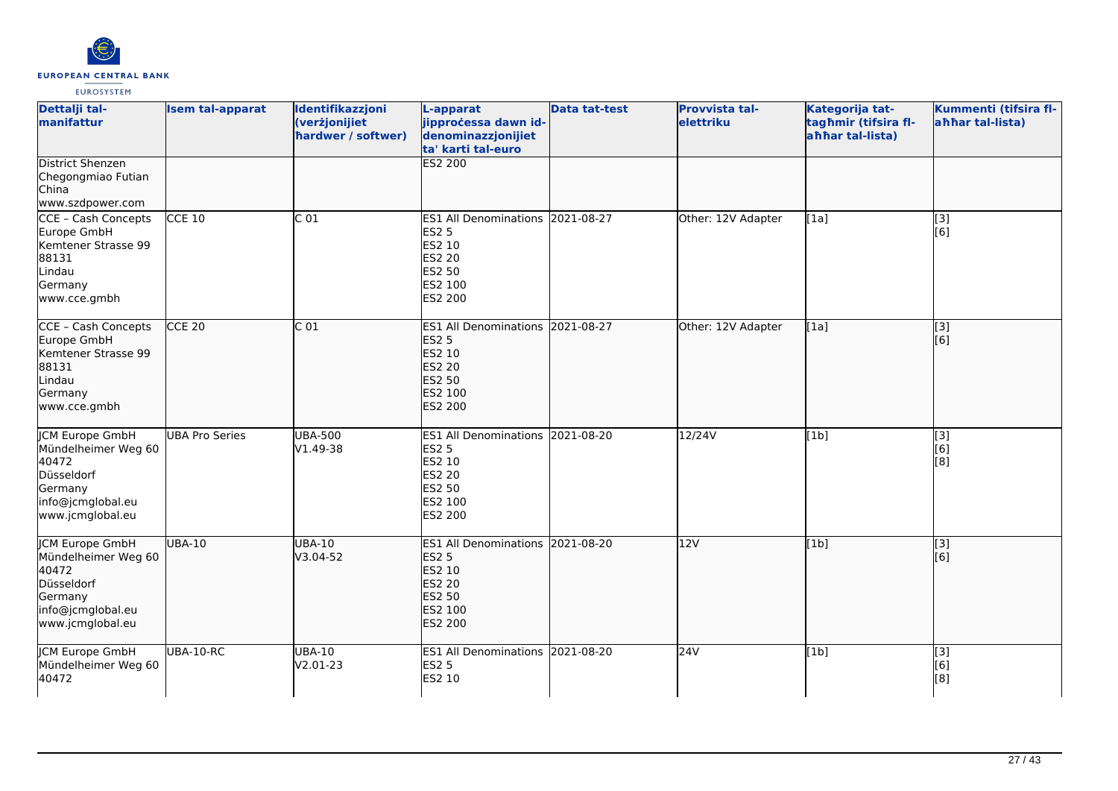

| Dettalji tal-<br>manifattur                                                                                              | <b>Isem tal-apparat</b> | Identifikazzjoni<br>(verżjonijiet<br>hardwer / softwer) | L-apparat<br>jipproċessa dawn id-<br>denominazzjonijiet<br>ta' karti tal-euro                                                | <b>Data tat-test</b> | <b>Provvista tal-</b><br>elettriku | Kategorija tat-<br>tagħmir (tifsira fl-<br>ahhar tal-lista) | Kummenti (tifsira fl-<br>ahhar tal-lista) |
|--------------------------------------------------------------------------------------------------------------------------|-------------------------|---------------------------------------------------------|------------------------------------------------------------------------------------------------------------------------------|----------------------|------------------------------------|-------------------------------------------------------------|-------------------------------------------|
| <b>District Shenzen</b><br>Chegongmiao Futian<br>China<br>www.szdpower.com                                               |                         |                                                         | <b>ES2 200</b>                                                                                                               |                      |                                    |                                                             |                                           |
| CCE - Cash Concepts<br>Europe GmbH<br>Kemtener Strasse 99<br>88131<br>Lindau<br>Germany<br>www.cce.gmbh                  | <b>CCE 10</b>           | C <sub>01</sub>                                         | ES1 All Denominations 2021-08-27<br><b>ES2 5</b><br><b>ES2 10</b><br><b>ES2 20</b><br><b>ES2 50</b><br>ES2 100<br>ES2 200    |                      | Other: 12V Adapter                 | [1a]                                                        | $[3]$<br>[6]                              |
| CCE - Cash Concepts<br>Europe GmbH<br>Kemtener Strasse 99<br>88131<br>Lindau<br>Germany<br>www.cce.gmbh                  | <b>CCE 20</b>           | C <sub>01</sub>                                         | <b>ES1 All Denominations</b><br><b>ES2 5</b><br><b>ES2 10</b><br><b>ES2 20</b><br><b>ES2 50</b><br>ES2 100<br><b>ES2 200</b> | 2021-08-27           | Other: 12V Adapter                 | [1a]                                                        | [3]<br>[6]                                |
| <b>JCM Europe GmbH</b><br>Mündelheimer Weg 60<br>40472<br>Düsseldorf<br>Germany<br>info@jcmglobal.eu<br>www.jcmglobal.eu | <b>UBA Pro Series</b>   | <b>UBA-500</b><br>V1.49-38                              | ES1 All Denominations 2021-08-20<br><b>ES2 5</b><br><b>ES2 10</b><br><b>ES2 20</b><br><b>ES2 50</b><br>ES2 100<br>ES2 200    |                      | 12/24V                             | [1b]                                                        | $\overline{[3]}$<br>[6]<br>[8]            |
| JCM Europe GmbH<br>Mündelheimer Weg 60<br>40472<br>Düsseldorf<br>Germany<br>info@jcmglobal.eu<br>www.jcmglobal.eu        | <b>UBA-10</b>           | <b>UBA-10</b><br>V3.04-52                               | ES1 All Denominations 2021-08-20<br><b>ES2 5</b><br><b>ES2 10</b><br><b>ES2 20</b><br><b>ES2 50</b><br>ES2 100<br>ES2 200    |                      | 12V                                | [1b]                                                        | [3]<br>[6]                                |
| <b>JCM Europe GmbH</b><br>Mündelheimer Weg 60<br>40472                                                                   | UBA-10-RC               | <b>UBA-10</b><br>V2.01-23                               | ES1 All Denominations 2021-08-20<br><b>ES2 5</b><br>ES2 10                                                                   |                      | 24V                                | [1b]                                                        | [3]<br>[6]<br>[8]                         |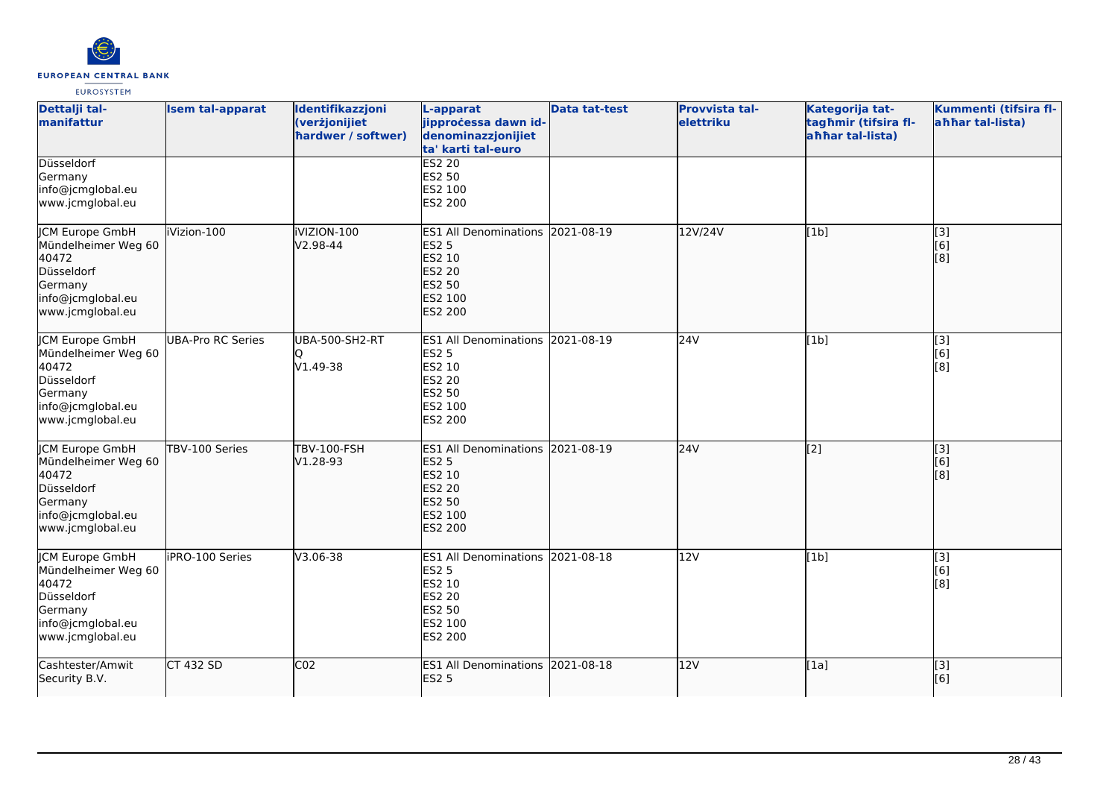

| Dettalji tal-<br>manifattur                                                                                              | <b>Isem tal-apparat</b>  | Identifikazzjoni<br>(verżjonijiet<br>hardwer / softwer) | L-apparat<br>jipprocessa dawn id-<br>denominazzjonijiet<br>ta' karti tal-euro                                             | <b>Data tat-test</b> | <b>Provvista tal-</b><br>elettriku | Kategorija tat-<br>tagħmir (tifsira fl-<br>ahhar tal-lista) | Kummenti (tifsira fl-<br>ahhar tal-lista)                    |
|--------------------------------------------------------------------------------------------------------------------------|--------------------------|---------------------------------------------------------|---------------------------------------------------------------------------------------------------------------------------|----------------------|------------------------------------|-------------------------------------------------------------|--------------------------------------------------------------|
| Düsseldorf<br>Germany<br>info@jcmglobal.eu<br>www.jcmglobal.eu                                                           |                          |                                                         | <b>ES2 20</b><br>ES2 50<br>ES2 100<br>ES2 200                                                                             |                      |                                    |                                                             |                                                              |
| JCM Europe GmbH<br>Mündelheimer Weg 60<br>40472<br>Düsseldorf<br>Germany<br>info@jcmglobal.eu<br>www.jcmglobal.eu        | iVizion-100              | iVIZION-100<br>V2.98-44                                 | <b>ES1 All Denominations</b><br><b>ES2 5</b><br>ES2 10<br><b>ES2 20</b><br>ES2 50<br><b>ES2 100</b><br>ES2 200            | 2021-08-19           | 12V/24V                            | [1b]                                                        | [3]<br>[6]<br>[8]                                            |
| <b>JCM Europe GmbH</b><br>Mündelheimer Weg 60<br>40472<br>Düsseldorf<br>Germany<br>info@jcmglobal.eu<br>www.jcmglobal.eu | <b>UBA-Pro RC Series</b> | <b>UBA-500-SH2-RT</b><br>V1.49-38                       | ES1 All Denominations 2021-08-19<br><b>ES2 5</b><br>ES2 10<br>ES2 20<br>ES2 50<br>ES2 100<br>ES2 200                      |                      | 24V                                | [1b]                                                        | $\overline{[3]}$<br>[6]<br>[8]                               |
| JCM Europe GmbH<br>Mündelheimer Weg 60<br>40472<br>Düsseldorf<br>Germany<br>info@jcmglobal.eu<br>www.jcmglobal.eu        | TBV-100 Series           | <b>TBV-100-FSH</b><br>V1.28-93                          | ES1 All Denominations 2021-08-19<br><b>ES2 5</b><br>ES2 10<br><b>ES2 20</b><br><b>ES2 50</b><br>ES2 100<br><b>ES2 200</b> |                      | 24V                                | $\overline{[2]}$                                            | [3]<br>[6]<br>$\left[ \begin{matrix} 8 \end{matrix} \right]$ |
| JCM Europe GmbH<br>Mündelheimer Weg 60<br>40472<br>Düsseldorf<br>Germany<br>info@jcmglobal.eu<br>www.jcmglobal.eu        | iPRO-100 Series          | V3.06-38                                                | <b>ES1 All Denominations</b><br><b>ES2 5</b><br>ES2 10<br><b>ES2 20</b><br><b>ES2 50</b><br>ES2 100<br>ES2 200            | 2021-08-18           | 12V                                | [1b]                                                        | [3]<br>[6]<br>[8]                                            |
| Cashtester/Amwit<br>Security B.V.                                                                                        | <b>CT 432 SD</b>         | $\overline{CO2}$                                        | ES1 All Denominations 2021-08-18<br><b>ES2 5</b>                                                                          |                      | 12V                                | [1a]                                                        | $\overline{[}$ [3]<br>[6]                                    |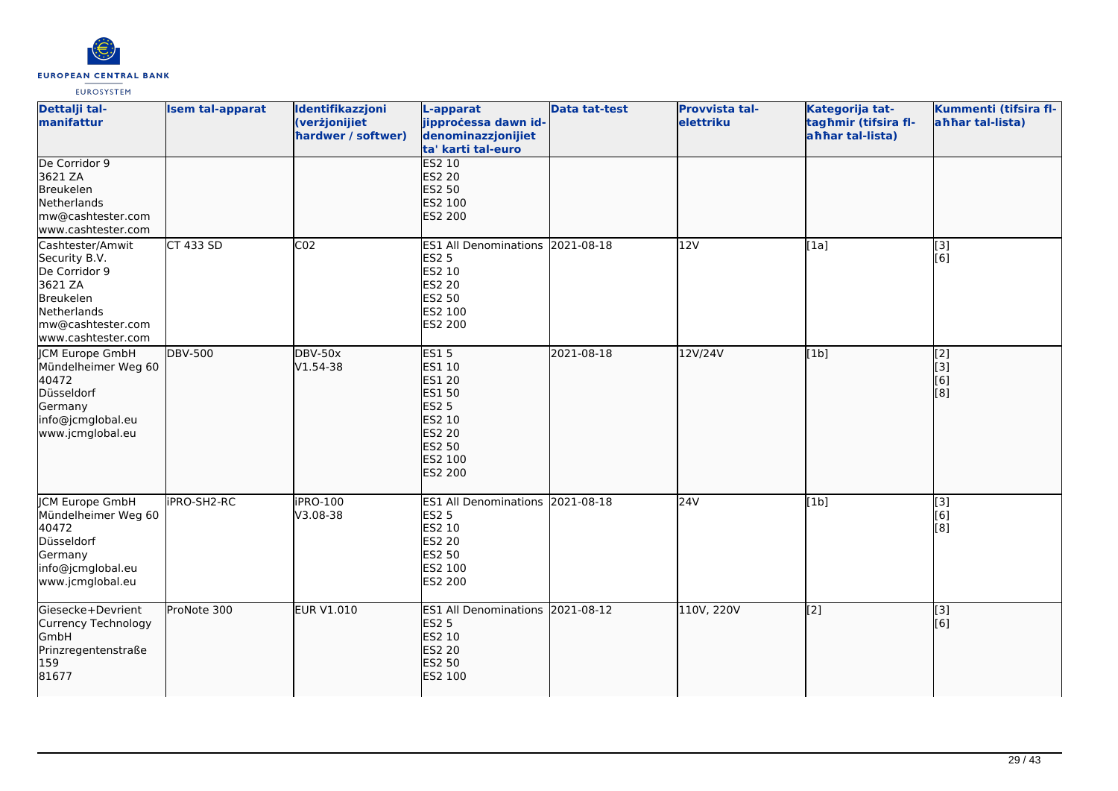

| Dettalji tal-<br>manifattur                                                                                                          | <b>Isem tal-apparat</b> | Identifikazzjoni<br>(verżjonijiet<br>hardwer / softwer) | L-apparat<br>jipprocessa dawn id-<br>denominazzjonijiet<br>ta' karti tal-euro                                                             | <b>Data tat-test</b> | Provvista tal-<br>elettriku | Kategorija tat-<br>tagħmir (tifsira fl-<br>ahhar tal-lista) | Kummenti (tifsira fl-<br>ahhar tal-lista)                           |
|--------------------------------------------------------------------------------------------------------------------------------------|-------------------------|---------------------------------------------------------|-------------------------------------------------------------------------------------------------------------------------------------------|----------------------|-----------------------------|-------------------------------------------------------------|---------------------------------------------------------------------|
| De Corridor 9<br>3621 ZA<br>Breukelen<br>Netherlands<br>mw@cashtester.com<br>www.cashtester.com                                      |                         |                                                         | <b>ES2 10</b><br><b>ES2 20</b><br><b>ES2 50</b><br>ES2 100<br>ES2 200                                                                     |                      |                             |                                                             |                                                                     |
| Cashtester/Amwit<br>Security B.V.<br>De Corridor 9<br>3621 ZA<br>Breukelen<br>Netherlands<br>mw@cashtester.com<br>www.cashtester.com | <b>CT 433 SD</b>        | CO <sub>2</sub>                                         | ES1 All Denominations 2021-08-18<br><b>ES2 5</b><br>ES2 10<br><b>ES2 20</b><br>ES2 50<br>ES2 100<br>ES2 200                               |                      | 12V                         | [1a]                                                        | $\overline{[3]}$<br>[6]                                             |
| <b>JCM Europe GmbH</b><br>Mündelheimer Weg 60<br>40472<br>Düsseldorf<br>Germany<br>info@jcmglobal.eu<br>www.jcmglobal.eu             | <b>DBV-500</b>          | <b>DBV-50x</b><br>V1.54-38                              | ES15<br>ES1 10<br><b>ES1 20</b><br><b>ES1 50</b><br><b>ES2 5</b><br>ES2 10<br><b>ES2 20</b><br><b>ES2 50</b><br>ES2 100<br><b>ES2 200</b> | 2021-08-18           | 12V/24V                     | [1b]                                                        | [2]<br>[3]<br>[6]<br>$\left[ \begin{matrix} 8 \end{matrix} \right]$ |
| <b>CM Europe GmbH</b><br>Mündelheimer Weg 60<br>40472<br>Düsseldorf<br>Germany<br>info@jcmglobal.eu<br>www.jcmglobal.eu              | iPRO-SH2-RC             | iPRO-100<br>V3.08-38                                    | <b>ES1 All Denominations</b><br><b>ES2 5</b><br>ES2 10<br>ES2 20<br>ES2 50<br>ES2 100<br>ES2 200                                          | 2021-08-18           | 24V                         | [1b]                                                        | [3]<br>[6]<br>[8]                                                   |
| Giesecke+Devrient<br>Currency Technology<br>GmbH<br>Prinzregentenstraße<br>159<br>81677                                              | ProNote 300             | <b>EUR V1.010</b>                                       | ES1 All Denominations 2021-08-12<br><b>ES2 5</b><br>ES2 10<br><b>ES2 20</b><br><b>ES2 50</b><br>ES2 100                                   |                      | 110V, 220V                  | [2]                                                         | $\overline{[}3]$<br>[6]                                             |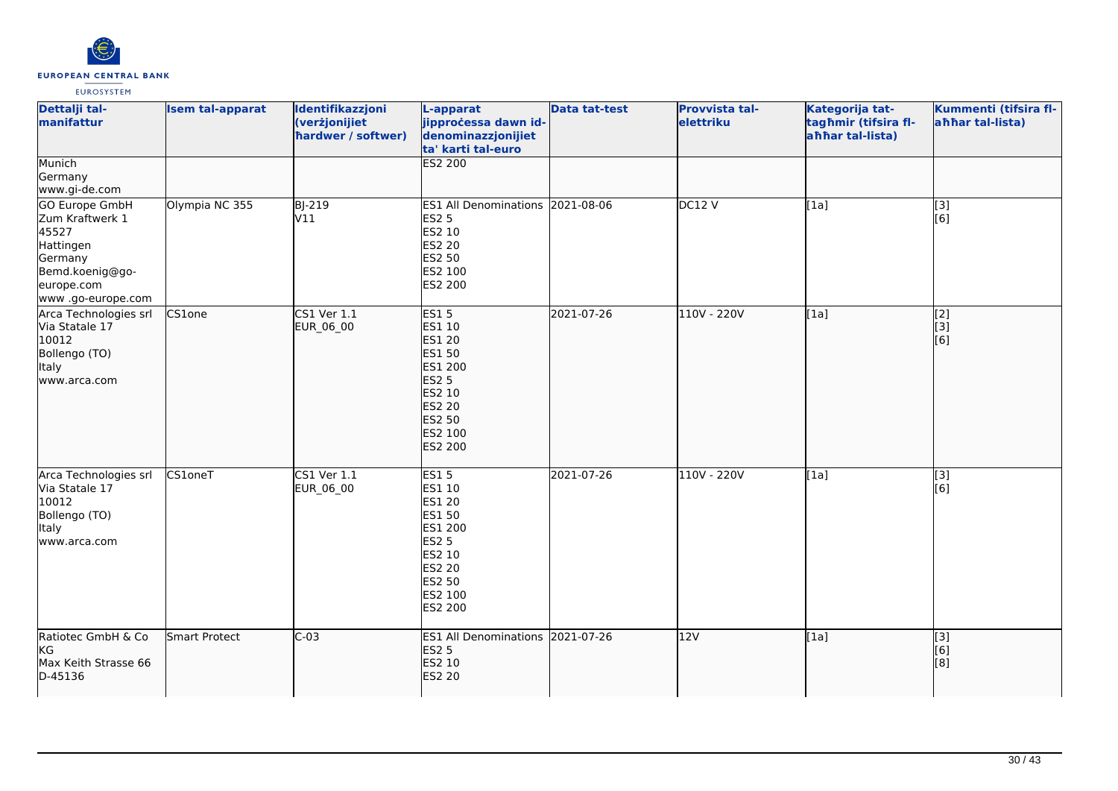

| Dettalji tal-<br>manifattur                                                                                              | <b>Isem tal-apparat</b> | Identifikazzjoni<br>(verżjonijiet<br>hardwer / softwer) | L-apparat<br>jipproċessa dawn id-<br>denominazzjonijiet<br>ta' karti tal-euro                                                                               | <b>Data tat-test</b> | Provvista tal-<br>elettriku | Kategorija tat-<br>tagħmir (tifsira fl-<br>ahhar tal-lista) | Kummenti (tifsira fl-<br>ahhar tal-lista) |
|--------------------------------------------------------------------------------------------------------------------------|-------------------------|---------------------------------------------------------|-------------------------------------------------------------------------------------------------------------------------------------------------------------|----------------------|-----------------------------|-------------------------------------------------------------|-------------------------------------------|
| Munich<br>Germany<br>www.gi-de.com                                                                                       |                         |                                                         | ES2 200                                                                                                                                                     |                      |                             |                                                             |                                           |
| GO Europe GmbH<br>Zum Kraftwerk 1<br>45527<br>Hattingen<br>Germany<br>Bemd.koenig@go-<br>europe.com<br>www.go-europe.com | Olympia NC 355          | <b>BJ-219</b><br>V11                                    | ES1 All Denominations 2021-08-06<br><b>ES2 5</b><br>ES2 10<br><b>ES2 20</b><br>ES2 50<br>ES2 100<br>ES2 200                                                 |                      | DC12V                       | [1a]                                                        | $\overline{[3]}$<br>[6]                   |
| Arca Technologies srl<br>Via Statale 17<br>10012<br>Bollengo (TO)<br>Italy<br>www.arca.com                               | CS1one                  | CS1 Ver 1.1<br>EUR_06_00                                | <b>ES15</b><br><b>ES1 10</b><br><b>ES1 20</b><br><b>ES1 50</b><br>ES1 200<br><b>ES2 5</b><br>ES2 10<br><b>ES2 20</b><br><b>ES2 50</b><br>ES2 100<br>ES2 200 | 2021-07-26           | 110V - 220V                 | [1a]                                                        | $\overline{[2]}$<br>[3]<br>[6]            |
| Arca Technologies srl<br>Via Statale 17<br>10012<br>Bollengo (TO)<br>Italy<br>www.arca.com                               | CS1oneT                 | $CS1$ Ver $1.1$<br>EUR_06_00                            | <b>ES15</b><br>ES1 10<br><b>ES1 20</b><br><b>ES1 50</b><br>ES1 200<br><b>ES2 5</b><br><b>ES2 10</b><br>ES2 20<br>ES2 50<br>ES2 100<br><b>ES2 200</b>        | 2021-07-26           | 110V - 220V                 | [1a]                                                        | $\overline{[3]}$<br>[6]                   |
| Ratiotec GmbH & Co<br><b>KG</b><br>Max Keith Strasse 66<br>D-45136                                                       | Smart Protect           | $C-03$                                                  | ES1 All Denominations 2021-07-26<br><b>ES2 5</b><br>ES2 10<br><b>ES2 20</b>                                                                                 |                      | 12V                         | [1a]                                                        | [3]<br>[6]<br>[8]                         |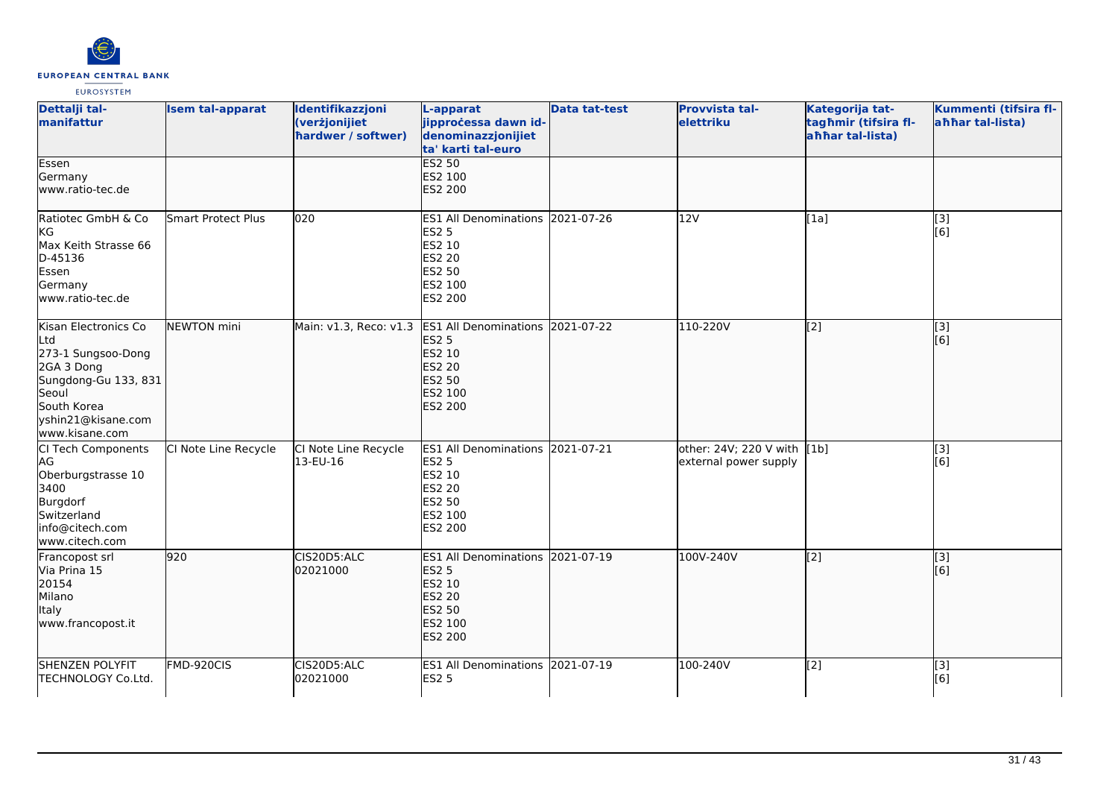

| Dettalji tal-<br>manifattur                                                                                                                             | <b>Isem tal-apparat</b>   | Identifikazzjoni<br>(verżjonijiet<br>hardwer / softwer) | L-apparat<br>jipprocessa dawn id-<br>denominazzjonijiet<br>ta' karti tal-euro                                             | <b>Data tat-test</b> | <b>Provvista tal-</b><br>elettriku                   | Kategorija tat-<br>tagħmir (tifsira fl-<br>ahhar tal-lista) | Kummenti (tifsira fl-<br>ahhar tal-lista) |
|---------------------------------------------------------------------------------------------------------------------------------------------------------|---------------------------|---------------------------------------------------------|---------------------------------------------------------------------------------------------------------------------------|----------------------|------------------------------------------------------|-------------------------------------------------------------|-------------------------------------------|
| Essen<br>Germany<br>www.ratio-tec.de                                                                                                                    |                           |                                                         | <b>ES2 50</b><br>ES2 100<br>ES2 200                                                                                       |                      |                                                      |                                                             |                                           |
| Ratiotec GmbH & Co<br><b>KG</b><br>Max Keith Strasse 66<br>D-45136<br>Essen<br>Germany<br>www.ratio-tec.de                                              | <b>Smart Protect Plus</b> | 020                                                     | ES1 All Denominations 2021-07-26<br><b>ES2 5</b><br>ES2 10<br>ES2 20<br><b>ES2 50</b><br>ES2 100<br>ES2 200               |                      | 12V                                                  | [1a]                                                        | [3]<br>[6]                                |
| Kisan Electronics Co<br>Ltd<br>273-1 Sungsoo-Dong<br>2GA 3 Dong<br>Sungdong-Gu 133, 831<br>Seoul<br>South Korea<br>yshin21@kisane.com<br>www.kisane.com | <b>NEWTON</b> mini        | Main: v1.3, Reco: v1.3                                  | <b>ES1 All Denominations</b><br><b>ES2 5</b><br><b>ES2 10</b><br><b>ES2 20</b><br>ES2 50<br>ES2 100<br><b>ES2 200</b>     | 2021-07-22           | 110-220V                                             | $\left[2\right]$                                            | [3]<br>[6]                                |
| CI Tech Components<br>AG<br>Oberburgstrasse 10<br>3400<br>Burgdorf<br>Switzerland<br>info@citech.com<br>www.citech.com                                  | CI Note Line Recycle      | CI Note Line Recycle<br>13-EU-16                        | ES1 All Denominations 2021-07-21<br><b>ES2 5</b><br>ES2 10<br><b>ES2 20</b><br>ES2 50<br>ES2 100<br>ES2 200               |                      | other: 24V; 220 V with [1b]<br>external power supply |                                                             | $[3]$<br>[6]                              |
| Francopost srl<br>Via Prina 15<br>20154<br>Milano<br>Italy<br>www.francopost.it                                                                         | 920                       | CIS20D5:ALC<br>02021000                                 | ES1 All Denominations 2021-07-19<br><b>ES2 5</b><br>ES2 10<br><b>ES2 20</b><br><b>ES2 50</b><br>ES2 100<br><b>ES2 200</b> |                      | 100V-240V                                            | $\left[ \begin{matrix} 2 \end{matrix} \right]$              | [3]<br>[6]                                |
| <b>SHENZEN POLYFIT</b><br>TECHNOLOGY Co.Ltd.                                                                                                            | FMD-920CIS                | CIS20D5:ALC<br>02021000                                 | ES1 All Denominations 2021-07-19<br><b>ES2 5</b>                                                                          |                      | 100-240V                                             | [2]                                                         | $\overline{[3]}$<br>[6]                   |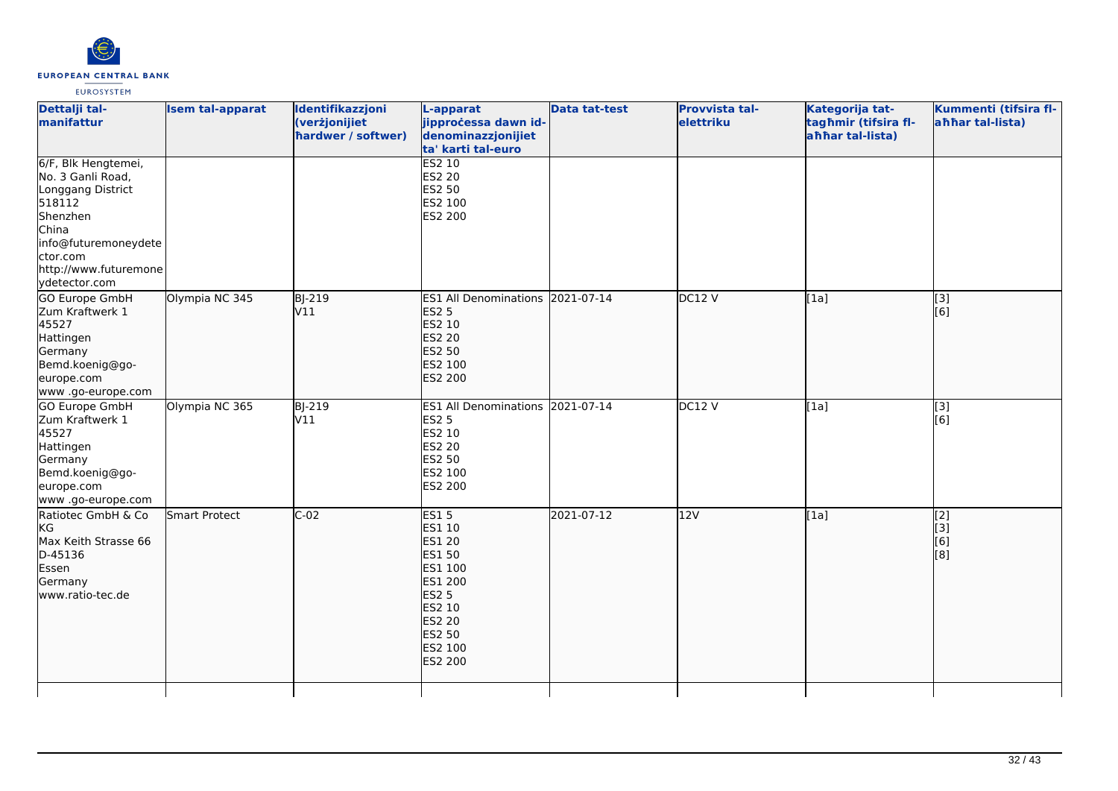

| Dettalji tal-<br>manifattur                                                                                                                                                | <b>Isem tal-apparat</b> | Identifikazzjoni<br>(verżjonijiet<br>hardwer / softwer) | L-apparat<br>jipprocessa dawn id-<br>denominazzjonijiet<br>ta' karti tal-euro                                                                                          | <b>Data tat-test</b> | <b>Provvista tal-</b><br>elettriku | Kategorija tat-<br>tagħmir (tifsira fl-<br>ahhar tal-lista) | Kummenti (tifsira fl-<br>ahhar tal-lista) |
|----------------------------------------------------------------------------------------------------------------------------------------------------------------------------|-------------------------|---------------------------------------------------------|------------------------------------------------------------------------------------------------------------------------------------------------------------------------|----------------------|------------------------------------|-------------------------------------------------------------|-------------------------------------------|
| 6/F, Blk Hengtemei,<br>No. 3 Ganli Road,<br>Longgang District<br>518112<br>Shenzhen<br>China<br>info@futuremoneydete<br>ctor.com<br>http://www.futuremone<br>ydetector.com |                         |                                                         | <b>ES2 10</b><br><b>ES2 20</b><br><b>ES2 50</b><br>ES2 100<br>ES2 200                                                                                                  |                      |                                    |                                                             |                                           |
| <b>GO Europe GmbH</b><br>Zum Kraftwerk 1<br>45527<br>Hattingen<br>Germany<br>Bemd.koenig@go-<br>europe.com<br>www.go-europe.com                                            | Olympia NC 345          | BJ-219<br>V11                                           | ES1 All Denominations 2021-07-14<br><b>ES2 5</b><br><b>ES2 10</b><br><b>ES2 20</b><br><b>ES2 50</b><br>ES2 100<br><b>ES2 200</b>                                       |                      | DC12V                              | [1a]                                                        | [3]<br>[6]                                |
| GO Europe GmbH<br>Zum Kraftwerk 1<br>45527<br>Hattingen<br>Germany<br>Bemd.koenig@go-<br>europe.com<br>www .go-europe.com                                                  | Olympia NC 365          | BJ-219<br>V11                                           | <b>ES1 All Denominations</b><br><b>ES2 5</b><br><b>ES2 10</b><br><b>ES2 20</b><br><b>ES2 50</b><br>ES2 100<br><b>ES2 200</b>                                           | 2021-07-14           | <b>DC12 V</b>                      | [1a]                                                        | [3]<br>[6]                                |
| Ratiotec GmbH & Co<br>KG<br>Max Keith Strasse 66<br>D-45136<br>Essen<br>Germany<br>www.ratio-tec.de                                                                        | Smart Protect           | $C-02$                                                  | <b>ES15</b><br>ES1 10<br><b>ES1 20</b><br><b>ES1 50</b><br>ES1 100<br>ES1 200<br><b>ES2 5</b><br><b>ES2 10</b><br><b>ES2 20</b><br>ES2 50<br>ES2 100<br><b>ES2 200</b> | 2021-07-12           | 12V                                | [1a]                                                        | [2]<br>[[3]<br>[6]<br>[8]                 |
|                                                                                                                                                                            |                         |                                                         |                                                                                                                                                                        |                      |                                    |                                                             |                                           |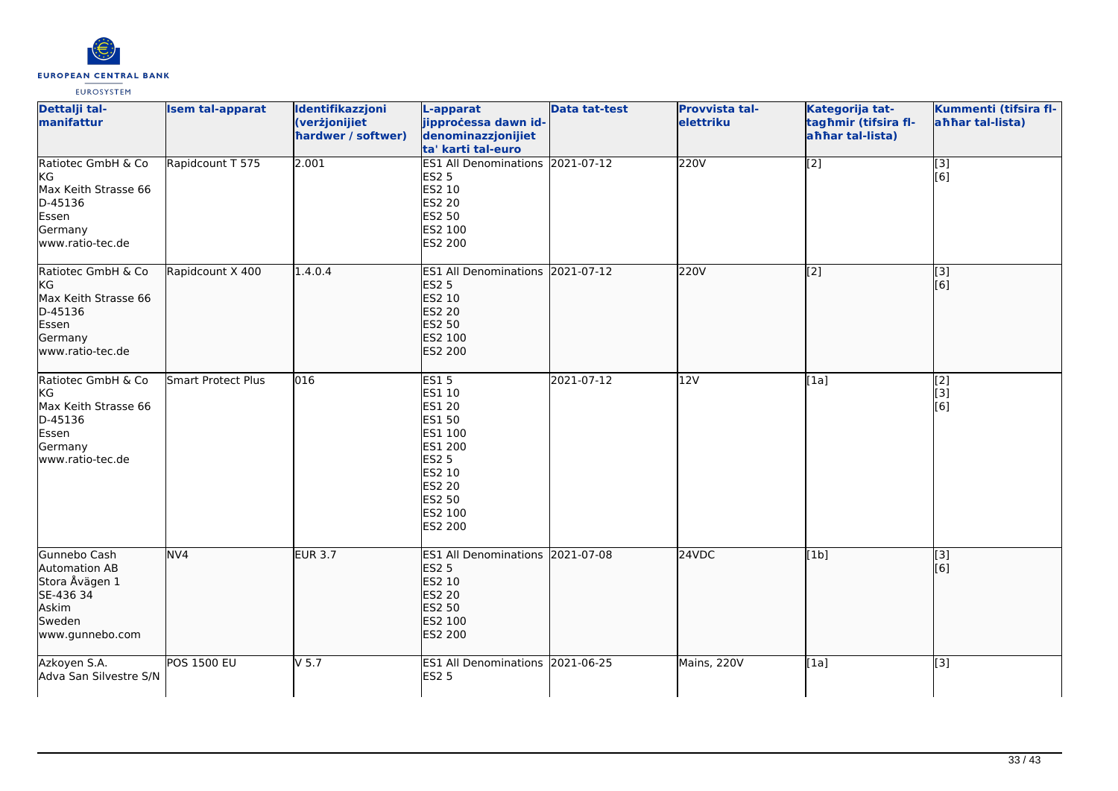

| Dettalji tal-<br>manifattur                                                                          | <b>Isem tal-apparat</b> | Identifikazzjoni<br>(verżjonijiet<br>hardwer / softwer) | L-apparat<br>jipprocessa dawn id-<br>denominazzjonijiet<br>ta' karti tal-euro                                                                     | <b>Data tat-test</b> | <b>Provvista tal-</b><br>elettriku | Kategorija tat-<br>tagħmir (tifsira fl-<br>ahhar tal-lista) | Kummenti (tifsira fl-<br>ahhar tal-lista) |
|------------------------------------------------------------------------------------------------------|-------------------------|---------------------------------------------------------|---------------------------------------------------------------------------------------------------------------------------------------------------|----------------------|------------------------------------|-------------------------------------------------------------|-------------------------------------------|
| Ratiotec GmbH & Co<br>kG<br>Max Keith Strasse 66<br>D-45136<br>Essen<br>Germany<br>www.ratio-tec.de  | Rapidcount T 575        | 2.001                                                   | ES1 All Denominations 2021-07-12<br><b>ES2 5</b><br>ES2 10<br><b>ES2 20</b><br>ES2 50<br>ES2 100<br><b>ES2 200</b>                                |                      | 220V                               | $\overline{[2]}$                                            | $\overline{[3]}$<br>[6]                   |
| Ratiotec GmbH & Co<br>KG<br>Max Keith Strasse 66<br>D-45136<br>Essen<br>Germany<br>lwww.ratio-tec.de | Rapidcount X 400        | 1.4.0.4                                                 | ES1 All Denominations 2021-07-12<br><b>ES2 5</b><br>ES2 10<br><b>ES2 20</b><br><b>ES2 50</b><br>ES2 100<br>ES2 200                                |                      | 220V                               | [2]                                                         | [3]<br>[6]                                |
| Ratiotec GmbH & Co<br>KG<br>Max Keith Strasse 66<br>D-45136<br>Essen<br>Germany<br>www.ratio-tec.de  | Smart Protect Plus      | 016                                                     | <b>ES15</b><br>ES1 10<br>ES1 20<br><b>ES1 50</b><br>ES1 100<br>ES1 200<br><b>ES2 5</b><br>ES2 10<br>ES2 20<br><b>ES2 50</b><br>ES2 100<br>ES2 200 | 2021-07-12           | 12V                                | [1a]                                                        | $\overline{[2]}$<br>[3]<br>[6]            |
| Gunnebo Cash<br>Automation AB<br>Stora Åvägen 1<br>SE-436 34<br>Askim<br>Sweden<br>www.gunnebo.com   | NVA                     | <b>EUR 3.7</b>                                          | ES1 All Denominations 2021-07-08<br><b>ES2 5</b><br>ES2 10<br><b>ES2 20</b><br><b>ES2 50</b><br>ES2 100<br><b>ES2 200</b>                         |                      | 24VDC                              | [1b]                                                        | $\overline{[}3]$<br>[6]                   |
| Azkoyen S.A.<br>Adva San Silvestre S/N                                                               | <b>POS 1500 EU</b>      | $V$ 5.7                                                 | ES1 All Denominations 2021-06-25<br><b>ES2 5</b>                                                                                                  |                      | Mains, 220V                        | [1a]                                                        | $\overline{[3]}$                          |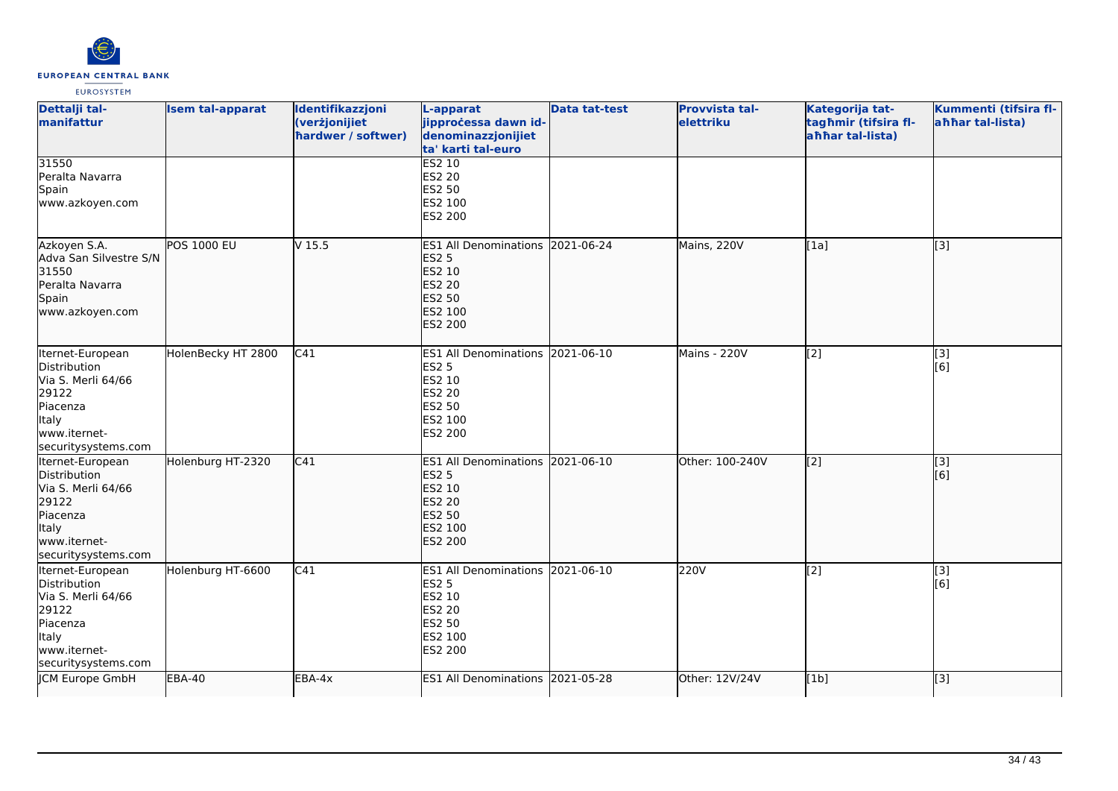

| Dettalji tal-<br>manifattur                                                                                                        | <b>Isem tal-apparat</b> | Identifikazzjoni<br>(verżjonijiet<br>hardwer / softwer) | L-apparat<br>jipprocessa dawn id-<br>denominazzjonijiet<br>ta' karti tal-euro                                      | <b>Data tat-test</b> | Provvista tal-<br>elettriku | Kategorija tat-<br>tagħmir (tifsira fl-<br>ahhar tal-lista) | Kummenti (tifsira fl-<br>ahhar tal-lista) |
|------------------------------------------------------------------------------------------------------------------------------------|-------------------------|---------------------------------------------------------|--------------------------------------------------------------------------------------------------------------------|----------------------|-----------------------------|-------------------------------------------------------------|-------------------------------------------|
| 31550<br>Peralta Navarra<br>Spain<br>www.azkoyen.com                                                                               |                         |                                                         | <b>ES2 10</b><br><b>ES2 20</b><br>ES2 50<br>ES2 100<br>ES2 200                                                     |                      |                             |                                                             |                                           |
| Azkoyen S.A.<br>Adva San Silvestre S/N<br>31550<br>Peralta Navarra<br>Spain<br>www.azkoyen.com                                     | <b>POS 1000 EU</b>      | V <sub>15.5</sub>                                       | ES1 All Denominations 2021-06-24<br><b>ES2 5</b><br>ES2 10<br><b>ES2 20</b><br><b>ES2 50</b><br>ES2 100<br>ES2 200 |                      | Mains, 220V                 | [1a]                                                        | [3]                                       |
| Iternet-European<br>Distribution<br>Via S. Merli 64/66<br>29122<br>Piacenza<br><b>Italy</b><br>www.iternet-<br>securitysystems.com | HolenBecky HT 2800      | C41                                                     | ES1 All Denominations 2021-06-10<br><b>ES2 5</b><br>ES2 10<br>ES2 20<br>ES2 50<br>ES2 100<br>ES2 200               |                      | Mains - 220V                | [2]                                                         | [3]<br>[6]                                |
| Iternet-European<br>Distribution<br>Via S. Merli 64/66<br>29122<br>Piacenza<br>Italy<br>www.iternet-<br>securitysystems.com        | Holenburg HT-2320       | C41                                                     | <b>ES1 All Denominations</b><br><b>ES2 5</b><br>ES2 10<br><b>ES2 20</b><br>ES2 50<br>ES2 100<br>ES2 200            | 2021-06-10           | Other: 100-240V             | $\left[ \begin{matrix} 2 \end{matrix} \right]$              | [3]<br>[6]                                |
| Iternet-European<br>Distribution<br>Via S. Merli 64/66<br>29122<br>Piacenza<br>Italy<br>www.iternet-<br>securitysystems.com        | Holenburg HT-6600       | C41                                                     | ES1 All Denominations 2021-06-10<br><b>ES2 5</b><br>ES2 10<br><b>ES2 20</b><br>ES2 50<br>ES2 100<br>ES2 200        |                      | 220V                        | $\overline{[2]}$                                            | $\overline{[3]}$<br>[6]                   |
| JCM Europe GmbH                                                                                                                    | <b>EBA-40</b>           | EBA-4x                                                  | <b>ES1 All Denominations</b>                                                                                       | 2021-05-28           | Other: 12V/24V              | [1b]                                                        | [3]                                       |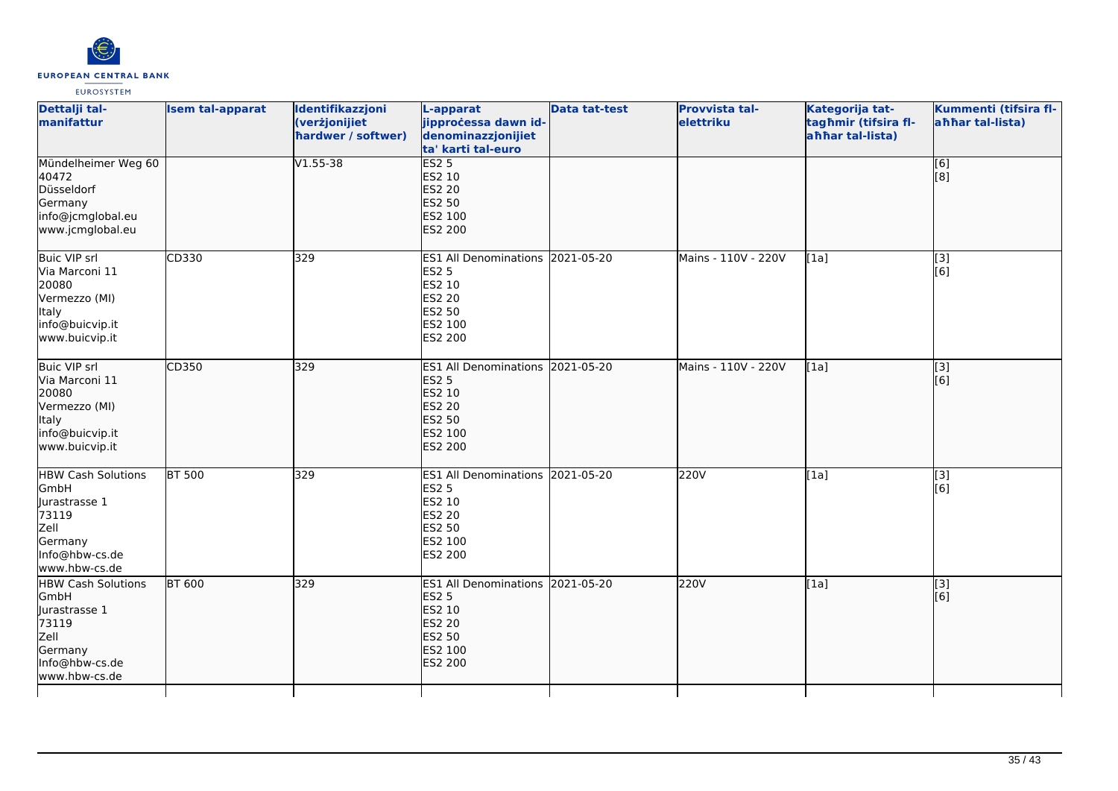

| Dettalji tal-<br>manifattur                                                                                       | <b>Isem tal-apparat</b> | Identifikazzjoni<br>(verżjonijiet<br>hardwer / softwer) | L-apparat<br>jipprocessa dawn id-<br>denominazzjonijiet<br>ta' karti tal-euro                                         | <b>Data tat-test</b> | Provvista tal-<br>elettriku | Kategorija tat-<br>tagħmir (tifsira fl-<br>ahhar tal-lista) | Kummenti (tifsira fl-<br>ahhar tal-lista)             |
|-------------------------------------------------------------------------------------------------------------------|-------------------------|---------------------------------------------------------|-----------------------------------------------------------------------------------------------------------------------|----------------------|-----------------------------|-------------------------------------------------------------|-------------------------------------------------------|
| Mündelheimer Weg 60<br>40472<br>Düsseldorf<br>Germany<br>info@jcmglobal.eu<br>www.jcmglobal.eu                    |                         | $V1.55 - 38$                                            | ES2 <sub>5</sub><br>ES2 10<br><b>ES2 20</b><br><b>ES2 50</b><br>ES2 100<br>ES2 200                                    |                      |                             |                                                             | [6]<br>$\left[ \begin{matrix} 8 \end{matrix} \right]$ |
| Buic VIP srl<br>Via Marconi 11<br>20080<br>Vermezzo (MI)<br>Italy<br>info@buicvip.it<br>www.buicvip.it            | CD330                   | 329                                                     | ES1 All Denominations 2021-05-20<br><b>ES2 5</b><br>ES2 10<br><b>ES2 20</b><br>ES2 50<br>ES2 100<br>ES2 200           |                      | Mains - 110V - 220V         | [1a]                                                        | $[3]$<br>[6]                                          |
| Buic VIP srl<br>Via Marconi 11<br>20080<br>Vermezzo (MI)<br><b>Italy</b><br>info@buicvip.it<br>www.buicvip.it     | CD350                   | 329                                                     | <b>ES1 All Denominations</b><br><b>ES2 5</b><br>ES2 10<br><b>ES2 20</b><br><b>ES2 50</b><br>ES2 100<br>ES2 200        | 2021-05-20           | Mains - 110V - 220V         | [1a]                                                        | [3]<br>[6]                                            |
| <b>HBW Cash Solutions</b><br>GmbH<br>Jurastrasse 1<br>73119<br>Zell<br>Germany<br>Info@hbw-cs.de<br>www.hbw-cs.de | <b>BT 500</b>           | 329                                                     | ES1 All Denominations 2021-05-20<br><b>ES2 5</b><br>ES2 10<br>ES2 20<br>ES2 50<br>ES2 100<br><b>ES2 200</b>           |                      | 220V                        | [1a]                                                        | $\overline{[3]}$<br>[6]                               |
| <b>HBW Cash Solutions</b><br>GmbH<br>lurastrasse 1<br>73119<br>Zell<br>Germany<br>Info@hbw-cs.de<br>www.hbw-cs.de | <b>BT 600</b>           | 329                                                     | <b>ES1 All Denominations</b><br><b>ES2 5</b><br><b>ES2 10</b><br><b>ES2 20</b><br><b>ES2 50</b><br>ES2 100<br>ES2 200 | 2021-05-20           | 220V                        | [1a]                                                        | $\overline{[}$ [3]<br>[6]                             |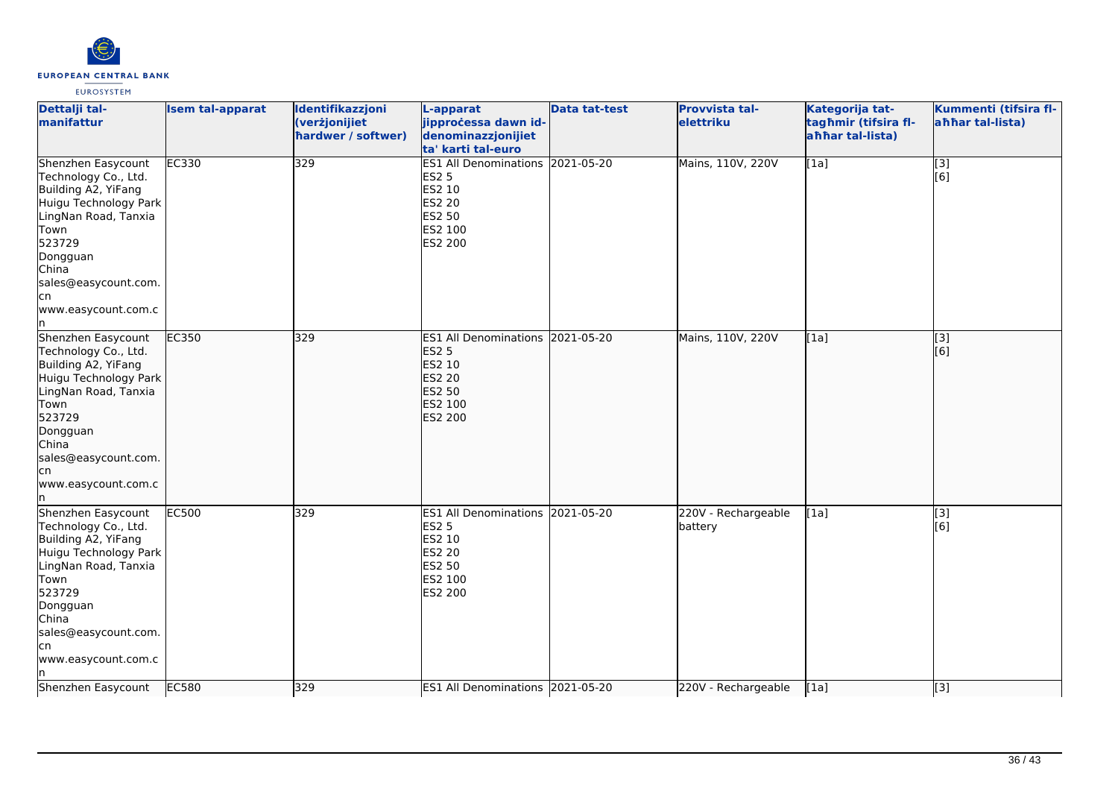

| Dettalji tal-<br>manifattur                                                                                                                                                                                                  | <b>Isem tal-apparat</b> | Identifikazzjoni<br>(verżjonijiet<br>hardwer / softwer) | L-apparat<br>jipprocessa dawn id-<br>denominazzjonijiet<br>ta' karti tal-euro                                             | <b>Data tat-test</b> | <b>Provvista tal-</b><br>elettriku | Kategorija tat-<br>tagħmir (tifsira fl-<br>ahhar tal-lista) | Kummenti (tifsira fl-<br>ahhar tal-lista) |
|------------------------------------------------------------------------------------------------------------------------------------------------------------------------------------------------------------------------------|-------------------------|---------------------------------------------------------|---------------------------------------------------------------------------------------------------------------------------|----------------------|------------------------------------|-------------------------------------------------------------|-------------------------------------------|
| Shenzhen Easycount<br>Technology Co., Ltd.<br>Building A2, YiFang<br>Huigu Technology Park<br>LingNan Road, Tanxia<br>Town<br>523729<br>Dongguan<br>China<br>sales@easycount.com.<br>cn<br>www.easycount.com.c<br>n          | <b>EC330</b>            | 329                                                     | ES1 All Denominations 2021-05-20<br><b>ES2 5</b><br>ES2 10<br>ES2 20<br>ES2 50<br>ES2 100<br><b>ES2 200</b>               |                      | Mains, 110V, 220V                  | [1a]                                                        | [3]<br>[6]                                |
| Shenzhen Easycount<br>Technology Co., Ltd.<br>Building A2, YiFang<br>Huigu Technology Park<br>LingNan Road, Tanxia<br>Town<br>523729<br>Dongguan<br><b>China</b><br>sales@easycount.com.<br>cn<br>www.easycount.com.c<br>In. | <b>EC350</b>            | 329                                                     | ES1 All Denominations 2021-05-20<br><b>ES2 5</b><br>ES2 10<br><b>ES2 20</b><br>ES2 50<br><b>ES2 100</b><br><b>ES2 200</b> |                      | Mains, 110V, 220V                  | [1a]                                                        | [3]<br>[6]                                |
| Shenzhen Easycount<br>Technology Co., Ltd.<br>Building A2, YiFang<br>Huigu Technology Park<br>LingNan Road, Tanxia<br>Town<br>523729<br>Dongguan<br>China<br>sales@easycount.com.<br>cn<br>www.easycount.com.c<br>n          | <b>EC500</b>            | 329                                                     | ES1 All Denominations 2021-05-20<br><b>ES2 5</b><br>ES2 10<br>ES2 20<br>ES2 50<br>ES2 100<br>ES2 200                      |                      | 220V - Rechargeable<br>battery     | [1a]                                                        | $\overline{[3]}$<br>[6]                   |
| Shenzhen Easycount                                                                                                                                                                                                           | EC580                   | 329                                                     | ES1 All Denominations 2021-05-20                                                                                          |                      | 220V - Rechargeable                | [1a]                                                        | [3]                                       |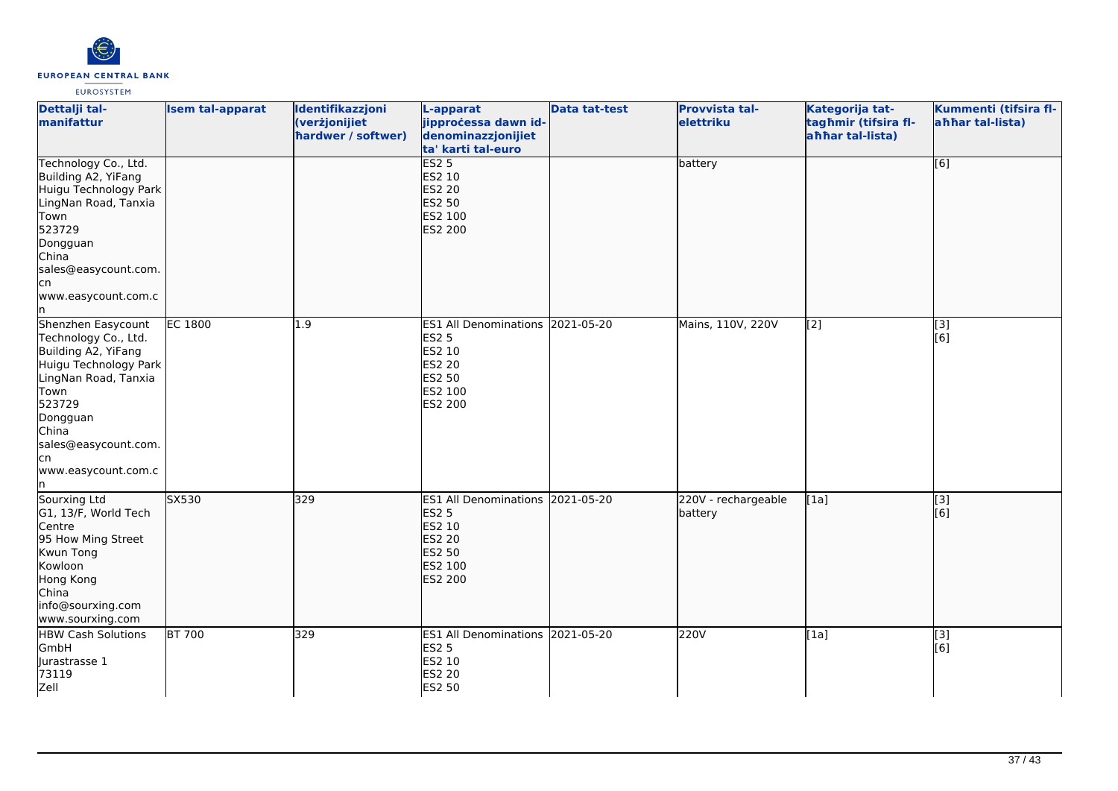

| Dettalji tal-<br>manifattur                                                                                                                                                                                            | <b>Isem tal-apparat</b> | Identifikazzjoni<br>(verżjonijiet<br>hardwer / softwer) | L-apparat<br>jipprocessa dawn id-<br>denominazzjonijiet<br>ta' karti tal-euro                                      | <b>Data tat-test</b> | <b>Provvista tal-</b><br>elettriku | Kategorija tat-<br>tagħmir (tifsira fl-<br>ahhar tal-lista) | Kummenti (tifsira fl-<br>ahhar tal-lista) |
|------------------------------------------------------------------------------------------------------------------------------------------------------------------------------------------------------------------------|-------------------------|---------------------------------------------------------|--------------------------------------------------------------------------------------------------------------------|----------------------|------------------------------------|-------------------------------------------------------------|-------------------------------------------|
| Technology Co., Ltd.<br>Building A2, YiFang<br>Huigu Technology Park<br>LingNan Road, Tanxia<br>Town<br>523729<br>Dongguan<br>China<br>sales@easycount.com.<br>lcn<br>www.easycount.com.c<br>In.                       |                         |                                                         | ES2 <sub>5</sub><br><b>ES2 10</b><br><b>ES2 20</b><br><b>ES2 50</b><br>ES2 100<br>ES2 200                          |                      | battery                            |                                                             | $\overline{[6]}$                          |
| Shenzhen Easycount<br>Technology Co., Ltd.<br>Building A2, YiFang<br>Huigu Technology Park<br>LingNan Road, Tanxia<br>Town<br>523729<br>Dongguan<br>China<br>sales@easycount.com.<br>lcn<br>www.easycount.com.c<br>In. | <b>EC 1800</b>          | $\overline{1.9}$                                        | ES1 All Denominations 2021-05-20<br><b>ES2 5</b><br>ES2 10<br>ES2 20<br><b>ES2 50</b><br>ES2 100<br>ES2 200        |                      | Mains, 110V, 220V                  | $\overline{[2]}$                                            | [3]<br>[6]                                |
| Sourxing Ltd<br>G1, 13/F, World Tech<br>Centre<br>95 How Ming Street<br>Kwun Tong<br>Kowloon<br>Hong Kong<br>China<br>info@sourxing.com<br>www.sourxing.com                                                            | SX530                   | 329                                                     | ES1 All Denominations 2021-05-20<br><b>ES2 5</b><br>ES2 10<br><b>ES2 20</b><br>ES2 50<br>ES2 100<br><b>ES2 200</b> |                      | 220V - rechargeable<br>battery     | [1a]                                                        | $\overline{[}3]$<br>[6]                   |
| <b>HBW Cash Solutions</b><br>GmbH<br>Jurastrasse 1<br>73119<br>Zell                                                                                                                                                    | <b>BT 700</b>           | 329                                                     | ES1 All Denominations 2021-05-20<br><b>ES2 5</b><br>ES2 10<br>ES2 20<br>ES2 50                                     |                      | 220V                               | [1a]                                                        | [3]<br>[6]                                |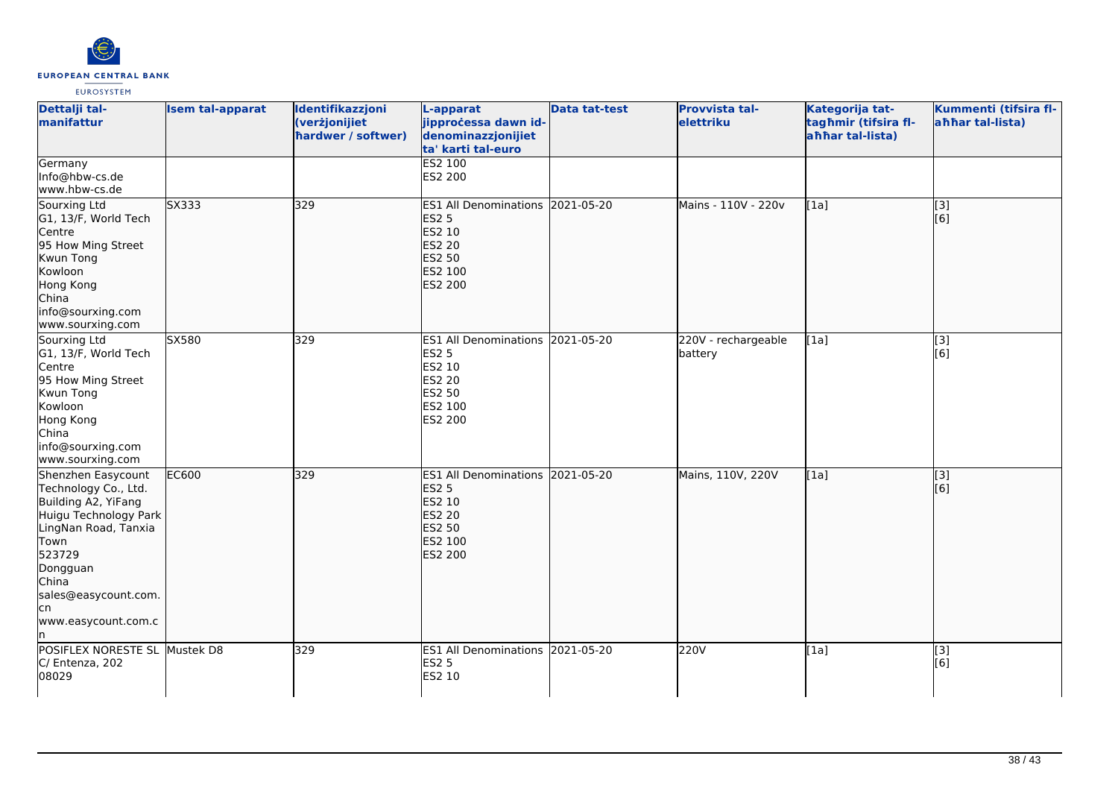

| Dettalji tal-<br>manifattur                                                                                                                                                                                     | <b>Isem tal-apparat</b> | Identifikazzjoni<br>(verżjonijiet<br>hardwer / softwer) | L-apparat<br>jipproċessa dawn id-<br>denominazzjonijiet<br>ta' karti tal-euro<br>ES2 100                                  | <b>Data tat-test</b> | Provvista tal-<br>elettriku    | Kategorija tat-<br>tagħmir (tifsira fl-<br>ahhar tal-lista) | Kummenti (tifsira fl-<br>ahhar tal-lista) |
|-----------------------------------------------------------------------------------------------------------------------------------------------------------------------------------------------------------------|-------------------------|---------------------------------------------------------|---------------------------------------------------------------------------------------------------------------------------|----------------------|--------------------------------|-------------------------------------------------------------|-------------------------------------------|
| Germany<br>Info@hbw-cs.de<br>www.hbw-cs.de                                                                                                                                                                      |                         |                                                         | ES2 200                                                                                                                   |                      |                                |                                                             |                                           |
| Sourxing Ltd<br>G1, 13/F, World Tech<br>Centre<br>95 How Ming Street<br>Kwun Tong<br>Kowloon<br>Hong Kong<br>China<br>info@sourxing.com<br>www.sourxing.com                                                     | SX333                   | 329                                                     | <b>ES1 All Denominations</b><br><b>ES2 5</b><br>ES2 10<br><b>ES2 20</b><br><b>ES2 50</b><br>ES2 100<br>ES2 200            | 2021-05-20           | Mains - 110V - 220v            | [1a]                                                        | $\overline{[}3]$<br>[6]                   |
| Sourxing Ltd<br>G1, 13/F, World Tech<br>Centre<br>95 How Ming Street<br>Kwun Tong<br>Kowloon<br>Hong Kong<br>China<br>info@sourxing.com<br>www.sourxing.com                                                     | SX580                   | 329                                                     | ES1 All Denominations 2021-05-20<br><b>ES2 5</b><br>ES2 10<br>ES2 20<br>ES2 50<br>ES2 100<br>ES2 200                      |                      | 220V - rechargeable<br>battery | [1a]                                                        | $\overline{[3]}$<br>[6]                   |
| Shenzhen Easycount<br>Technology Co., Ltd.<br>Building A2, YiFang<br>Huigu Technology Park<br>LingNan Road, Tanxia<br>Town<br>523729<br>Dongguan<br>China<br>sales@easycount.com.<br>lcn<br>www.easycount.com.c | <b>EC600</b>            | 329                                                     | ES1 All Denominations 2021-05-20<br><b>ES2 5</b><br><b>ES2 10</b><br><b>ES2 20</b><br><b>ES2 50</b><br>ES2 100<br>ES2 200 |                      | Mains, 110V, 220V              | [1a]                                                        | $\overline{[3]}$<br>[6]                   |
| POSIFLEX NORESTE SL Mustek D8<br>C/ Entenza, 202<br>08029                                                                                                                                                       |                         | 329                                                     | ES1 All Denominations 2021-05-20<br><b>ES2 5</b><br>ES2 10                                                                |                      | 220V                           | [1a]                                                        | $\overline{[3]}$<br>[6]                   |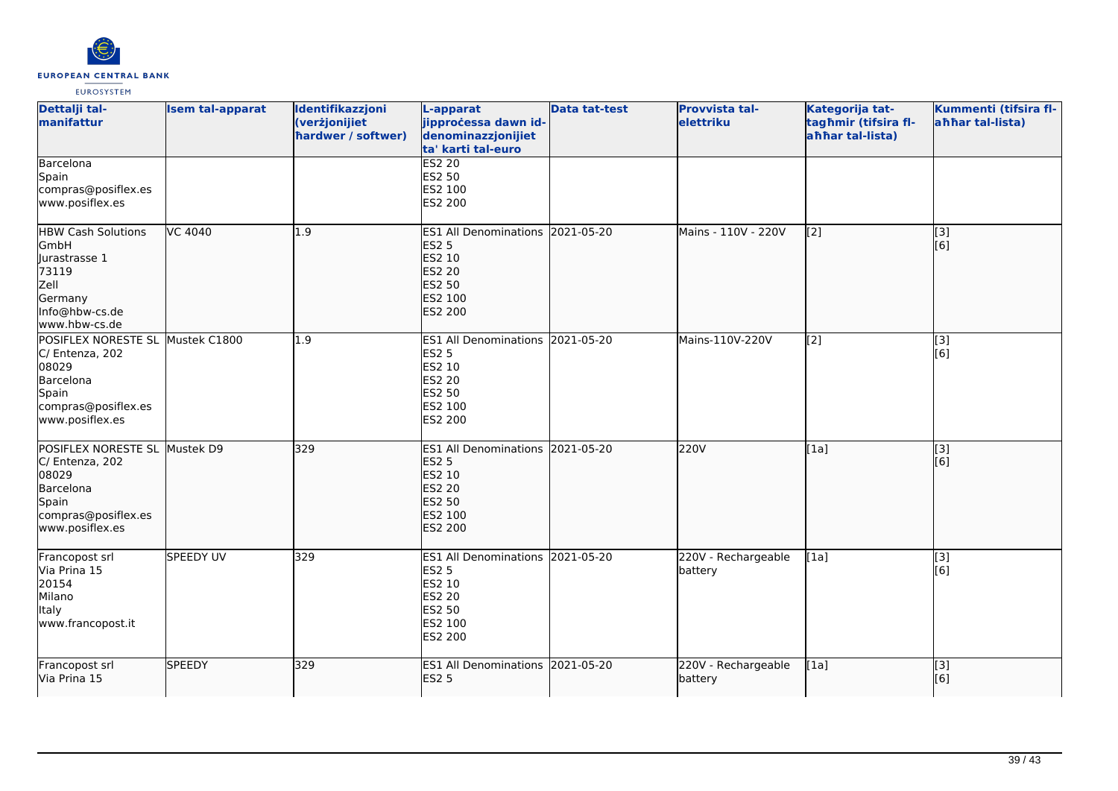

| Dettalji tal-<br>manifattur                                                                                                  | <b>Isem tal-apparat</b> | Identifikazzjoni<br>(verżjonijiet<br>hardwer / softwer) | L-apparat<br>jipprocessa dawn id-<br>denominazzjonijiet<br>ta' karti tal-euro                                                | <b>Data tat-test</b> | Provvista tal-<br>elettriku    | Kategorija tat-<br>tagħmir (tifsira fl-<br>ahhar tal-lista) | Kummenti (tifsira fl-<br>ahhar tal-lista) |
|------------------------------------------------------------------------------------------------------------------------------|-------------------------|---------------------------------------------------------|------------------------------------------------------------------------------------------------------------------------------|----------------------|--------------------------------|-------------------------------------------------------------|-------------------------------------------|
| Barcelona<br>Spain<br>compras@posiflex.es<br>www.posiflex.es                                                                 |                         |                                                         | <b>ES2 20</b><br>ES2 50<br>ES2 100<br>ES2 200                                                                                |                      |                                |                                                             |                                           |
| <b>HBW Cash Solutions</b><br>GmbH<br>lurastrasse 1<br>73119<br>Zell<br>Germany<br>Info@hbw-cs.de<br>www.hbw-cs.de            | VC 4040                 | 1.9                                                     | <b>ES1 All Denominations</b><br><b>ES2 5</b><br>ES2 10<br><b>ES2 20</b><br><b>ES2 50</b><br><b>ES2 100</b><br><b>ES2 200</b> | 2021-05-20           | Mains - 110V - 220V            | $\left[2\right]$                                            | [3]<br>[6]                                |
| POSIFLEX NORESTE SL Mustek C1800<br>C/ Entenza, 202<br>08029<br>Barcelona<br>Spain<br>compras@posiflex.es<br>www.posiflex.es |                         | 1.9                                                     | ES1 All Denominations 2021-05-20<br><b>ES2 5</b><br>ES2 10<br><b>ES2 20</b><br>ES2 50<br>ES2 100<br>ES2 200                  |                      | Mains-110V-220V                | $\overline{[2]}$                                            | $\overline{[3]}$<br>[6]                   |
| POSIFLEX NORESTE SL Mustek D9<br>C/ Entenza, 202<br>08029<br>Barcelona<br>Spain<br>compras@posiflex.es<br>www.posiflex.es    |                         | 329                                                     | ES1 All Denominations 2021-05-20<br><b>ES2 5</b><br><b>ES2 10</b><br><b>ES2 20</b><br>ES2 50<br>ES2 100<br><b>ES2 200</b>    |                      | 220V                           | [1a]                                                        | [3]<br>[6]                                |
| Francopost srl<br>Via Prina 15<br>20154<br>Milano<br><b>Italy</b><br>www.francopost.it                                       | <b>SPEEDY UV</b>        | 329                                                     | ES1 All Denominations 2021-05-20<br><b>ES2 5</b><br>ES2 10<br><b>ES2 20</b><br><b>ES2 50</b><br>ES2 100<br><b>ES2 200</b>    |                      | 220V - Rechargeable<br>battery | [1a]                                                        | [3]<br>[6]                                |
| Francopost srl<br>Via Prina 15                                                                                               | <b>SPEEDY</b>           | 329                                                     | ES1 All Denominations 2021-05-20<br><b>ES2 5</b>                                                                             |                      | 220V - Rechargeable<br>battery | [1a]                                                        | $\overline{[3]}$<br>[6]                   |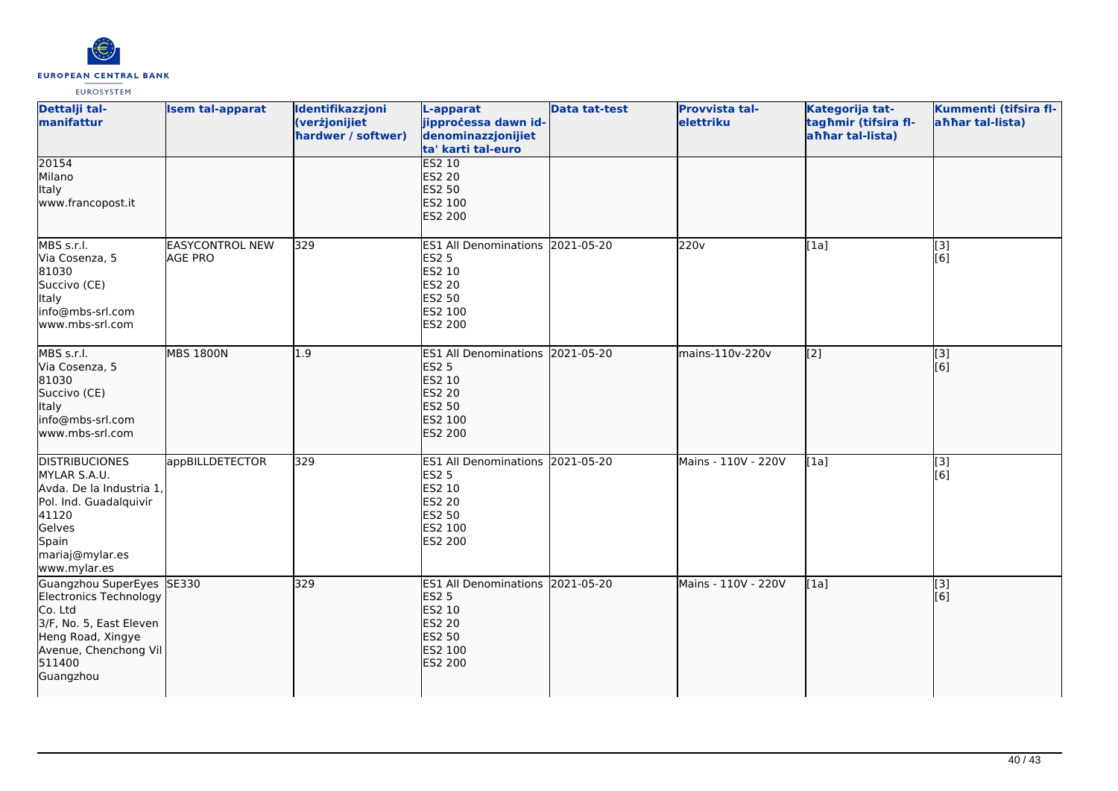

| Dettalji tal-<br>manifattur                                                                                                                                    | <b>Isem tal-apparat</b>                  | Identifikazzjoni<br>(verżjonijiet<br>hardwer / softwer) | L-apparat<br>jipprocessa dawn id-<br>denominazzjonijiet<br>ta' karti tal-euro                                                | <b>Data tat-test</b> | Provvista tal-<br>elettriku | Kategorija tat-<br>tagħmir (tifsira fl-<br>ahhar tal-lista) | Kummenti (tifsira fl-<br>ahhar tal-lista) |
|----------------------------------------------------------------------------------------------------------------------------------------------------------------|------------------------------------------|---------------------------------------------------------|------------------------------------------------------------------------------------------------------------------------------|----------------------|-----------------------------|-------------------------------------------------------------|-------------------------------------------|
| 20154<br>Milano<br>Italy<br>www.francopost.it                                                                                                                  |                                          |                                                         | <b>ES2 10</b><br><b>ES2 20</b><br><b>ES2 50</b><br>ES2 100<br>ES2 200                                                        |                      |                             |                                                             |                                           |
| MBS s.r.l.<br>Via Cosenza, 5<br>81030<br>Succivo (CE)<br><b>Italy</b><br>info@mbs-srl.com<br>www.mbs-srl.com                                                   | <b>EASYCONTROL NEW</b><br><b>AGE PRO</b> | 329                                                     | ES1 All Denominations 2021-05-20<br><b>ES2 5</b><br>ES2 10<br>ES2 20<br>ES2 50<br>ES2 100<br>ES2 200                         |                      | 220v                        | [1a]                                                        | [3]<br>[6]                                |
| MBS s.r.l.<br>Via Cosenza, 5<br>81030<br>Succivo (CE)<br><b>Italy</b><br>info@mbs-srl.com<br>www.mbs-srl.com                                                   | <b>MBS 1800N</b>                         | 1.9                                                     | ES1 All Denominations 2021-05-20<br><b>ES2 5</b><br>ES2 10<br><b>ES2 20</b><br><b>ES2 50</b><br>ES2 100<br>ES2 200           |                      | mains-110v-220v             | $\left[2\right]$                                            | [3]<br>[6]                                |
| <b>DISTRIBUCIONES</b><br>MYLAR S.A.U.<br>Avda. De la Industria 1,<br>Pol. Ind. Guadalquivir<br>41120<br>Gelves<br>Spain<br>mariaj@mylar.es<br>www.mylar.es     | appBILLDETECTOR                          | 329                                                     | <b>ES1 All Denominations</b><br><b>ES2 5</b><br>ES2 10<br>ES2 20<br>ES2 50<br>ES2 100<br>ES2 200                             | 2021-05-20           | Mains - 110V - 220V         | [1a]                                                        | [3]<br>[6]                                |
| Guangzhou SuperEyes SE330<br>Electronics Technology<br>Co. Ltd<br>3/F, No. 5, East Eleven<br>Heng Road, Xingye<br>Avenue, Chenchong Vil<br>511400<br>Guangzhou |                                          | 329                                                     | <b>ES1 All Denominations</b><br><b>ES2 5</b><br><b>ES2 10</b><br><b>ES2 20</b><br><b>ES2 50</b><br>ES2 100<br><b>ES2 200</b> | 2021-05-20           | Mains - 110V - 220V         | [1a]                                                        | $\overline{[}$ [3]<br>[6]                 |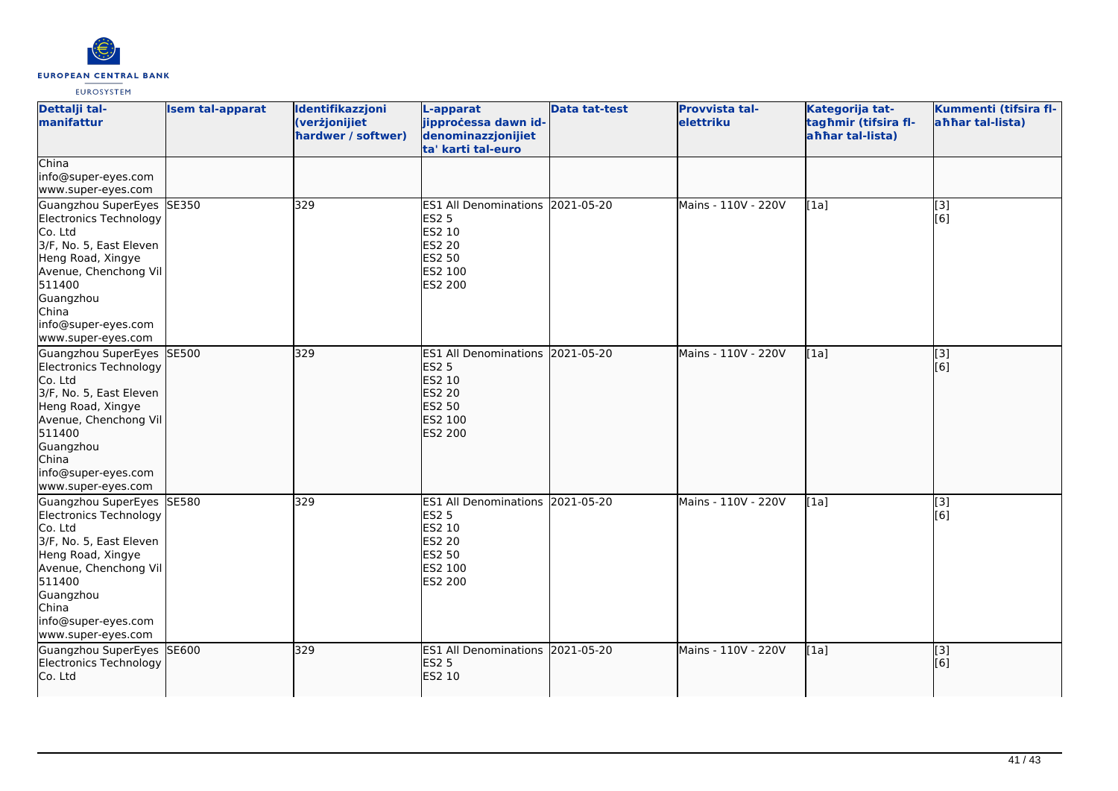

| Dettalji tal-<br>manifattur                                                                                                                                                                                                 | <b>Isem tal-apparat</b> | Identifikazzjoni<br>(verżjonijiet<br>hardwer / softwer) | L-apparat<br>jipproċessa dawn id-<br>denominazzjonijiet<br>ta' karti tal-euro                                         | <b>Data tat-test</b> | Provvista tal-<br>elettriku | Kategorija tat-<br>tagħmir (tifsira fl-<br>ahhar tal-lista) | Kummenti (tifsira fl-<br>ahhar tal-lista) |
|-----------------------------------------------------------------------------------------------------------------------------------------------------------------------------------------------------------------------------|-------------------------|---------------------------------------------------------|-----------------------------------------------------------------------------------------------------------------------|----------------------|-----------------------------|-------------------------------------------------------------|-------------------------------------------|
| China<br>info@super-eyes.com<br>www.super-eyes.com                                                                                                                                                                          |                         |                                                         |                                                                                                                       |                      |                             |                                                             |                                           |
| Guangzhou SuperEyes<br>Electronics Technology<br>Co. Ltd<br>3/F, No. 5, East Eleven<br>Heng Road, Xingye<br>Avenue, Chenchong Vil<br>511400<br>Guangzhou<br>China<br>info@super-eyes.com<br>www.super-eyes.com              | SE350                   | 329                                                     | ES1 All Denominations 2021-05-20<br><b>ES2 5</b><br>ES2 10<br><b>ES2 20</b><br>ES2 50<br>ES2 100<br>ES2 200           |                      | Mains - 110V - 220V         | [1a]                                                        | $\overline{[3]}$<br>[6]                   |
| Guangzhou SuperEyes SE500<br><b>Electronics Technology</b><br>Co. Ltd<br>3/F, No. 5, East Eleven<br>Heng Road, Xingye<br>Avenue, Chenchong Vil<br>511400<br>Guangzhou<br>China<br>info@super-eyes.com<br>www.super-eyes.com |                         | 329                                                     | <b>ES1 All Denominations</b><br><b>ES2 5</b><br><b>ES2 10</b><br><b>ES2 20</b><br><b>ES2 50</b><br>ES2 100<br>ES2 200 | 2021-05-20           | Mains - 110V - 220V         | [1a]                                                        | [3]<br>[6]                                |
| Guangzhou SuperEyes<br>Electronics Technology<br>Co. Ltd<br>3/F, No. 5, East Eleven<br>Heng Road, Xingye<br>Avenue, Chenchong Vil<br>511400<br>Guangzhou<br>China<br>info@super-eyes.com<br>www.super-eyes.com              | SE580                   | 329                                                     | ES1 All Denominations 2021-05-20<br><b>ES2 5</b><br>ES2 10<br>ES2 20<br>ES2 50<br>ES2 100<br>ES2 200                  |                      | Mains - 110V - 220V         | [1a]                                                        | [3]<br>[6]                                |
| Guangzhou SuperEyes<br>Electronics Technology<br>Co. Ltd                                                                                                                                                                    | SE600                   | 329                                                     | ES1 All Denominations 2021-05-20<br><b>ES2 5</b><br>ES2 10                                                            |                      | Mains - 110V - 220V         | [1a]                                                        | $\overline{[3]}$<br>[6]                   |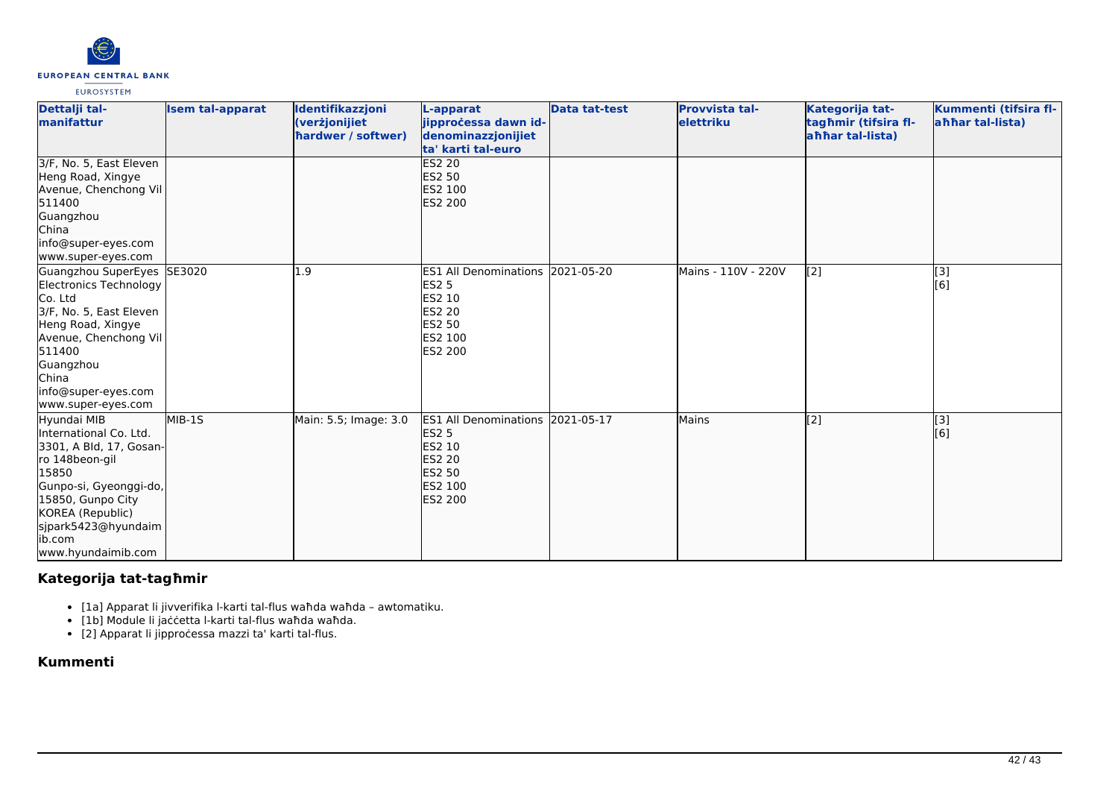

| Dettalji tal-<br>manifattur                                                                                                                                                                                            | <b>Isem tal-apparat</b> | Identifikazzjoni<br>(verżjonijiet<br>hardwer / softwer) | L-apparat<br>jipprocessa dawn id-<br>denominazzjonijiet<br>ta' karti tal-euro                                                           | Data tat-test | <b>Provvista tal-</b><br>elettriku | Kategorija tat-<br>tagħmir (tifsira fl-<br>ahhar tal-lista) | Kummenti (tifsira fl-<br>ahhar tal-lista) |
|------------------------------------------------------------------------------------------------------------------------------------------------------------------------------------------------------------------------|-------------------------|---------------------------------------------------------|-----------------------------------------------------------------------------------------------------------------------------------------|---------------|------------------------------------|-------------------------------------------------------------|-------------------------------------------|
| 3/F, No. 5, East Eleven<br>Heng Road, Xingye<br>Avenue, Chenchong Vil<br>511400<br>Guangzhou<br>China<br>info@super-eyes.com<br>www.super-eyes.com                                                                     |                         |                                                         | <b>ES2 20</b><br><b>ES2 50</b><br>ES2 100<br><b>ES2 200</b>                                                                             |               |                                    |                                                             |                                           |
| Guangzhou SuperEyes SE3020<br>Electronics Technology<br>Co. Ltd<br>3/F, No. 5, East Eleven<br>Heng Road, Xingye<br>Avenue, Chenchong Vil<br>511400<br>Guangzhou<br>China<br>info@super-eyes.com<br>www.super-eyes.com  |                         | 1.9                                                     | ES1 All Denominations 2021-05-20<br><b>ES2 5</b><br><b>ES2 10</b><br><b>ES2 20</b><br><b>ES2 50</b><br>ES2 100<br><b>IES2 200</b>       |               | Mains - 110V - 220V                | [2]                                                         | [3]<br>$\overline{[}6\overline{]}$        |
| Hyundai MIB<br>International Co. Ltd.<br>3301, A Bld, 17, Gosan-<br>ro 148beon-gil<br>15850<br>Gunpo-si, Gyeonggi-do,<br>15850, Gunpo City<br>KOREA (Republic)<br>sjpark5423@hyundaim<br>lib.com<br>www.hyundaimib.com | MIB-1S                  | Main: 5.5; Image: 3.0                                   | ES1 All Denominations 2021-05-17<br><b>ES2 5</b><br><b>ES2 10</b><br><b>ES2 20</b><br><b>ES2 50</b><br><b>ES2 100</b><br><b>ES2 200</b> |               | Mains                              | $\left[2\right]$                                            | [3]<br>[6]                                |

# **Kategorija tat-tagħmir**

- [1a] Apparat li jivverifika l-karti tal-flus waħda waħda awtomatiku.
- [1b] Module li jaċċetta l-karti tal-flus waħda waħda.
- [2] Apparat li jipproċessa mazzi ta' karti tal-flus.

**Kummenti**